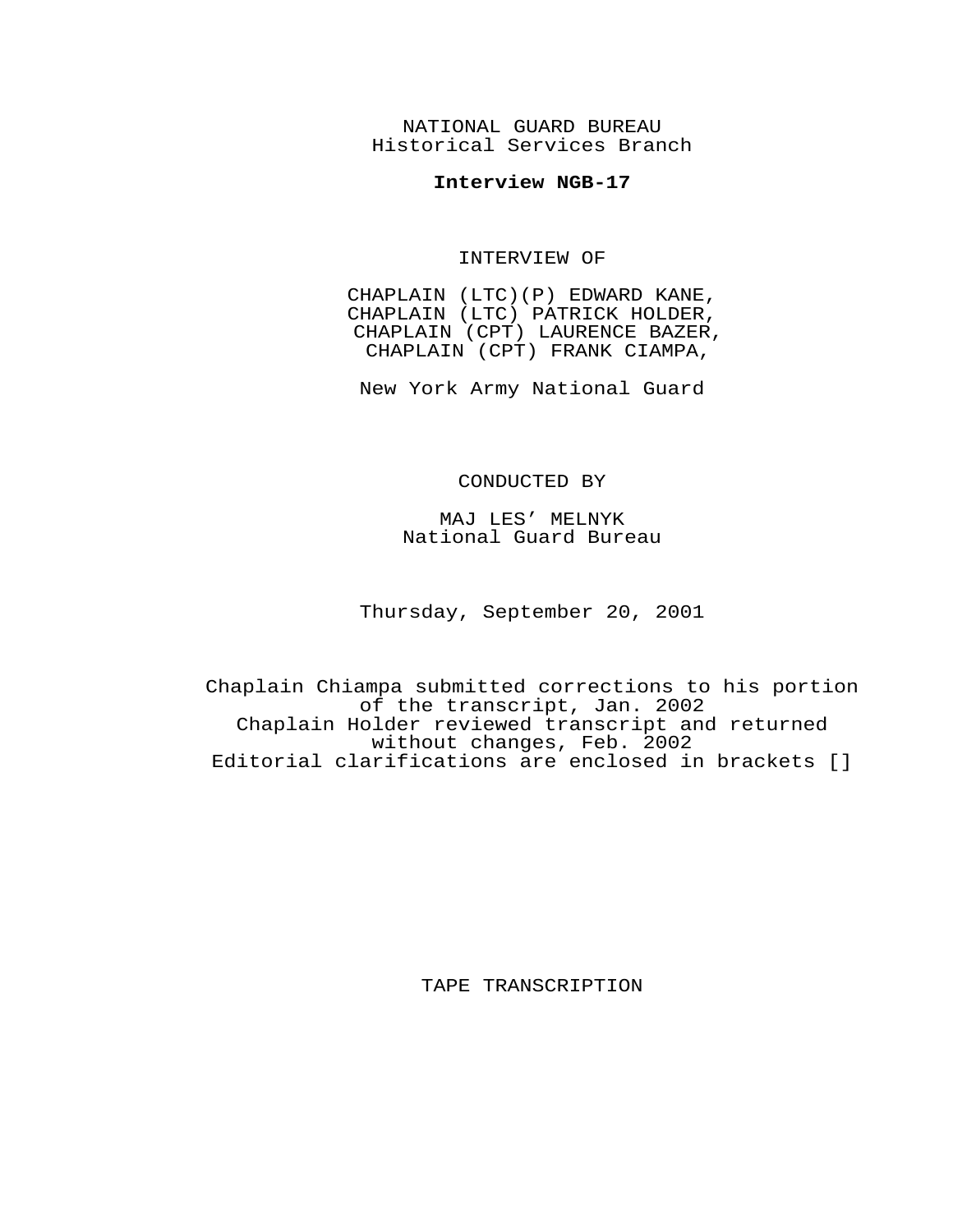NATIONAL GUARD BUREAU Historical Services Branch

## **Interview NGB-17**

INTERVIEW OF

CHAPLAIN (LTC)(P) EDWARD KANE, CHAPLAIN (LTC) PATRICK HOLDER, CHAPLAIN (CPT) LAURENCE BAZER, CHAPLAIN (CPT) FRANK CIAMPA,

New York Army National Guard

## CONDUCTED BY

MAJ LES' MELNYK National Guard Bureau

Thursday, September 20, 2001

Chaplain Chiampa submitted corrections to his portion of the transcript, Jan. 2002 Chaplain Holder reviewed transcript and returned without changes, Feb. 2002 Editorial clarifications are enclosed in brackets []

TAPE TRANSCRIPTION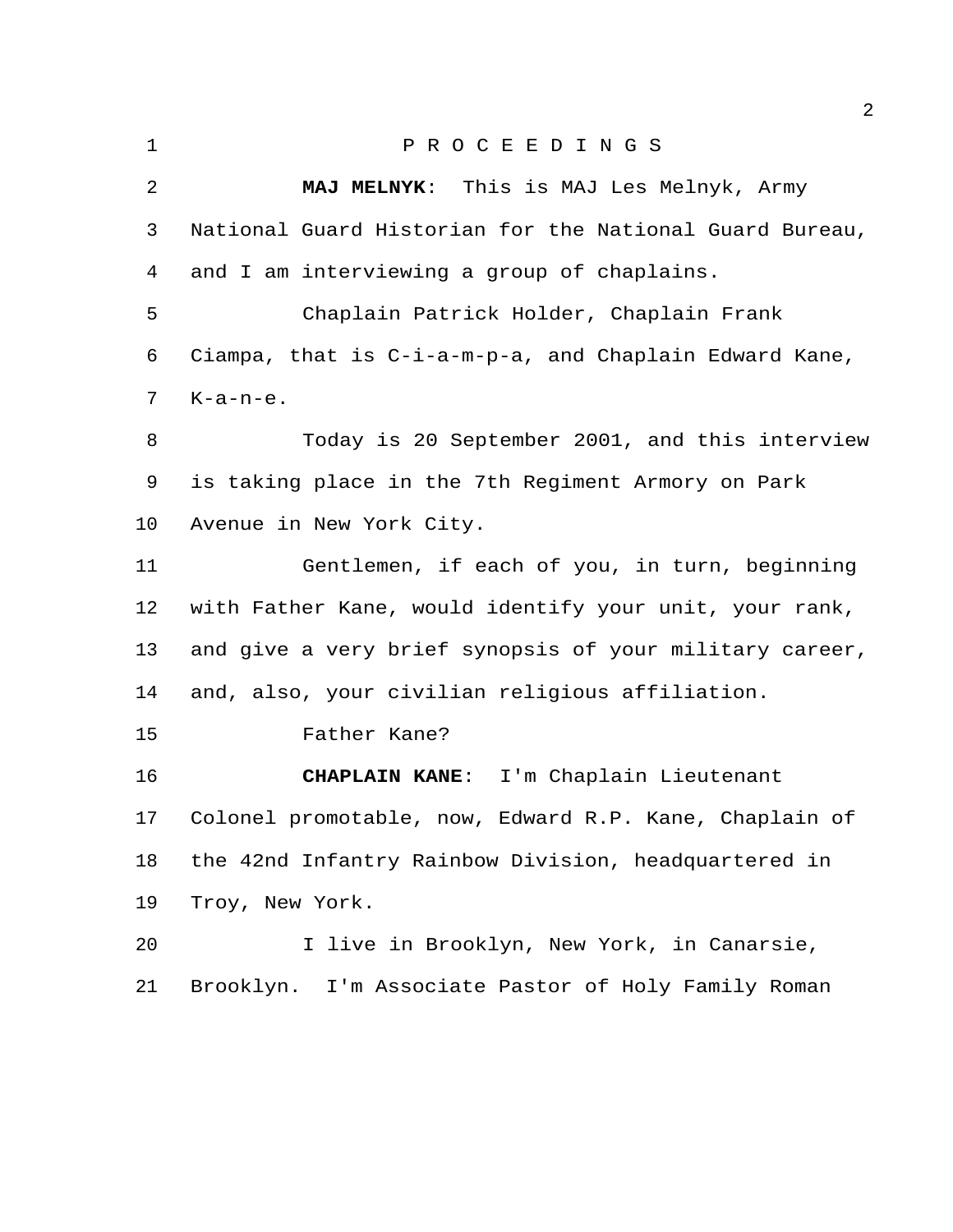|                | 4                                                       |
|----------------|---------------------------------------------------------|
| $\mathbf 1$    | PROCEEDINGS                                             |
| $\overline{2}$ | MAJ MELNYK: This is MAJ Les Melnyk, Army                |
| 3              | National Guard Historian for the National Guard Bureau, |
| 4              | and I am interviewing a group of chaplains.             |
| 5              | Chaplain Patrick Holder, Chaplain Frank                 |
| 6              | Ciampa, that is C-i-a-m-p-a, and Chaplain Edward Kane,  |
| 7              | $K-a-n-e$ .                                             |
| 8              | Today is 20 September 2001, and this interview          |
| 9              | is taking place in the 7th Regiment Armory on Park      |
| 10             | Avenue in New York City.                                |
| 11             | Gentlemen, if each of you, in turn, beginning           |
| 12             | with Father Kane, would identify your unit, your rank,  |
| 13             | and give a very brief synopsis of your military career, |
| 14             | and, also, your civilian religious affiliation.         |
| 15             | Father Kane?                                            |
| 16             | I'm Chaplain Lieutenant<br><b>CHAPLAIN KANE:</b>        |
| 17             | Colonel promotable, now, Edward R.P. Kane, Chaplain of  |
| 18             | the 42nd Infantry Rainbow Division, headquartered in    |
| 19             | Troy, New York.                                         |
| 20             | I live in Brooklyn, New York, in Canarsie,              |
| 21             | Brooklyn. I'm Associate Pastor of Holy Family Roman     |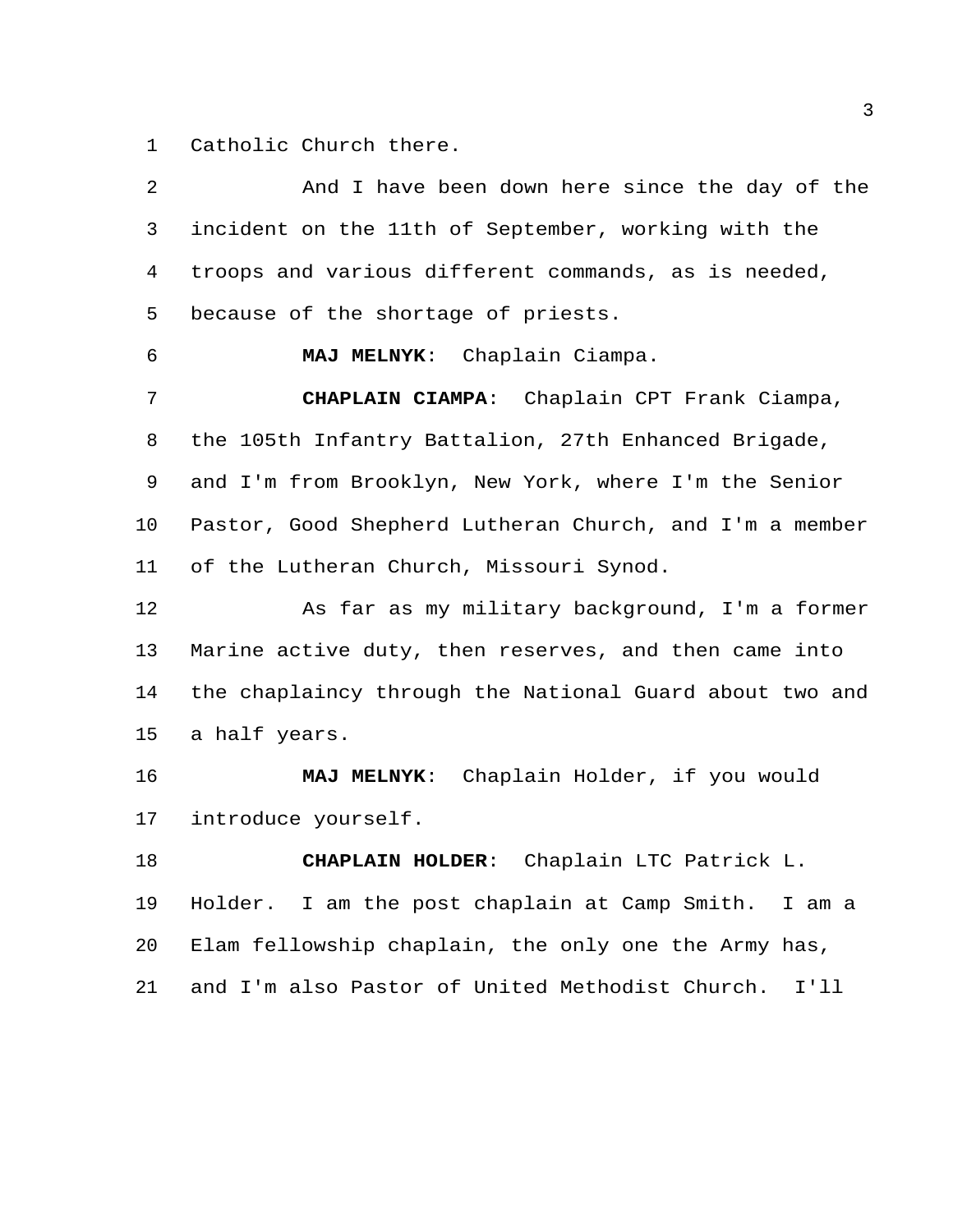Catholic Church there.

| 2  | And I have been down here since the day of the          |
|----|---------------------------------------------------------|
| 3  | incident on the 11th of September, working with the     |
| 4  | troops and various different commands, as is needed,    |
| 5  | because of the shortage of priests.                     |
| 6  | MAJ MELNYK: Chaplain Ciampa.                            |
| 7  | CHAPLAIN CIAMPA: Chaplain CPT Frank Ciampa,             |
| 8  | the 105th Infantry Battalion, 27th Enhanced Brigade,    |
| 9  | and I'm from Brooklyn, New York, where I'm the Senior   |
| 10 | Pastor, Good Shepherd Lutheran Church, and I'm a member |
| 11 | of the Lutheran Church, Missouri Synod.                 |
| 12 | As far as my military background, I'm a former          |
| 13 | Marine active duty, then reserves, and then came into   |
| 14 | the chaplaincy through the National Guard about two and |
| 15 | a half years.                                           |
| 16 | MAJ MELNYK: Chaplain Holder, if you would               |
| 17 | introduce yourself.                                     |
| 18 | CHAPLAIN HOLDER: Chaplain LTC Patrick L.                |
| 19 | Holder. I am the post chaplain at Camp Smith. I am a    |
| 20 | Elam fellowship chaplain, the only one the Army has,    |
| 21 | and I'm also Pastor of United Methodist Church.<br>I'11 |
|    |                                                         |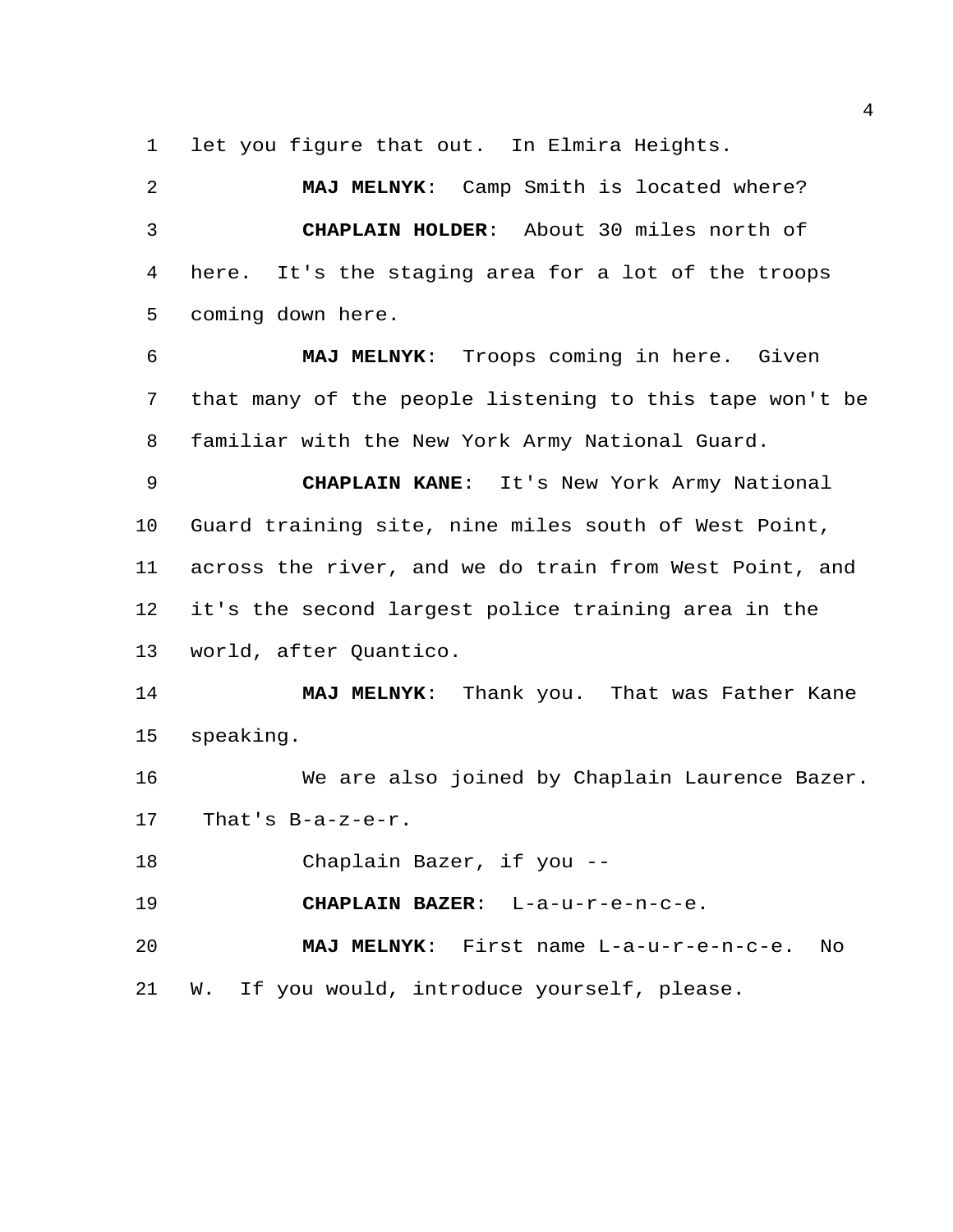let you figure that out. In Elmira Heights.

 **MAJ MELNYK**: Camp Smith is located where? **CHAPLAIN HOLDER**: About 30 miles north of here. It's the staging area for a lot of the troops coming down here.

 **MAJ MELNYK**: Troops coming in here. Given that many of the people listening to this tape won't be familiar with the New York Army National Guard.

 **CHAPLAIN KANE**: It's New York Army National Guard training site, nine miles south of West Point, across the river, and we do train from West Point, and it's the second largest police training area in the world, after Quantico.

 **MAJ MELNYK**: Thank you. That was Father Kane speaking.

 We are also joined by Chaplain Laurence Bazer. That's B-a-z-e-r.

Chaplain Bazer, if you --

**CHAPLAIN BAZER**: L-a-u-r-e-n-c-e.

 **MAJ MELNYK**: First name L-a-u-r-e-n-c-e. No W. If you would, introduce yourself, please.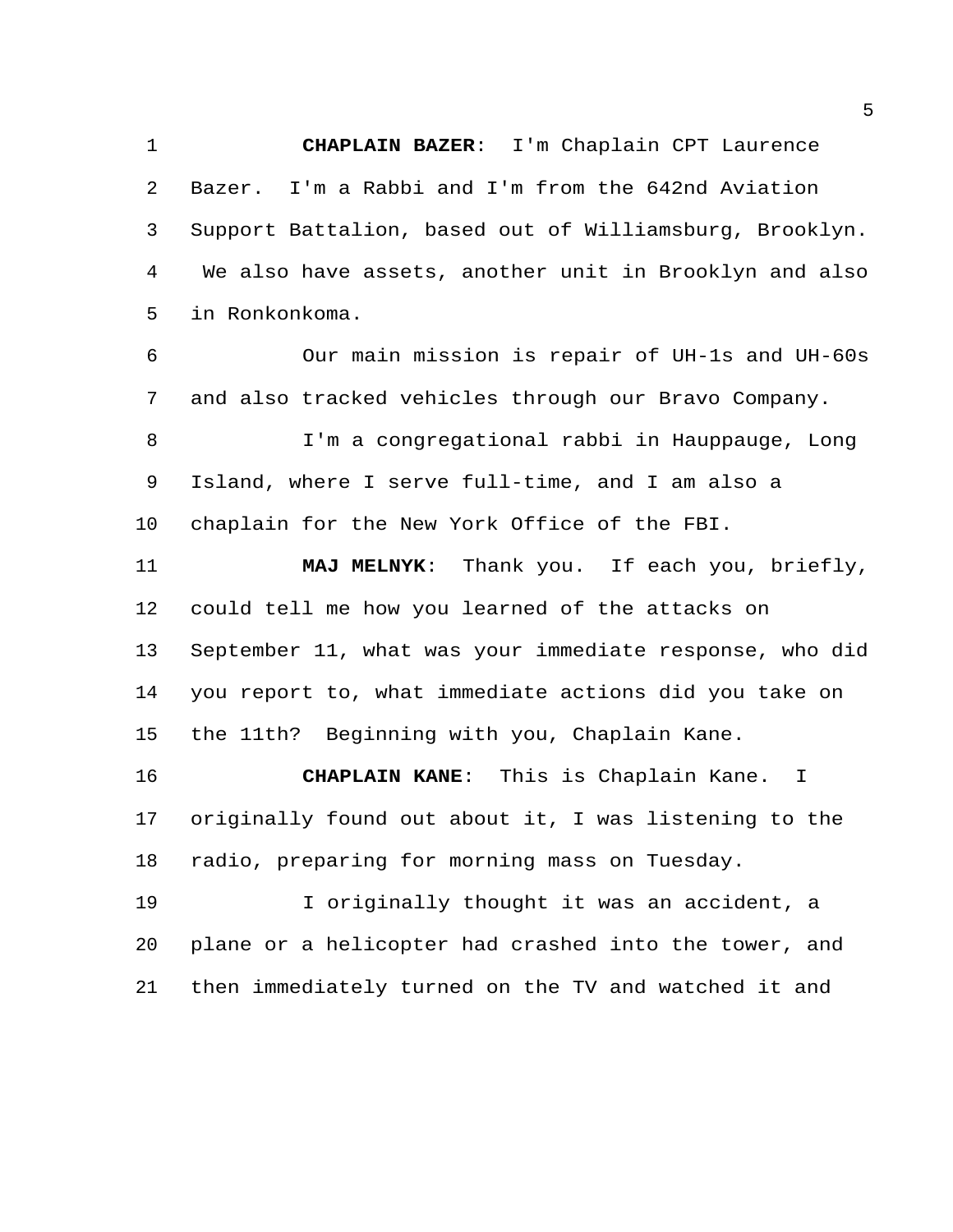**CHAPLAIN BAZER**: I'm Chaplain CPT Laurence Bazer. I'm a Rabbi and I'm from the 642nd Aviation Support Battalion, based out of Williamsburg, Brooklyn. We also have assets, another unit in Brooklyn and also in Ronkonkoma.

 Our main mission is repair of UH-1s and UH-60s and also tracked vehicles through our Bravo Company.

 I'm a congregational rabbi in Hauppauge, Long Island, where I serve full-time, and I am also a chaplain for the New York Office of the FBI.

 **MAJ MELNYK**: Thank you. If each you, briefly, could tell me how you learned of the attacks on September 11, what was your immediate response, who did you report to, what immediate actions did you take on the 11th? Beginning with you, Chaplain Kane.

 **CHAPLAIN KANE**: This is Chaplain Kane. I originally found out about it, I was listening to the radio, preparing for morning mass on Tuesday.

 I originally thought it was an accident, a plane or a helicopter had crashed into the tower, and then immediately turned on the TV and watched it and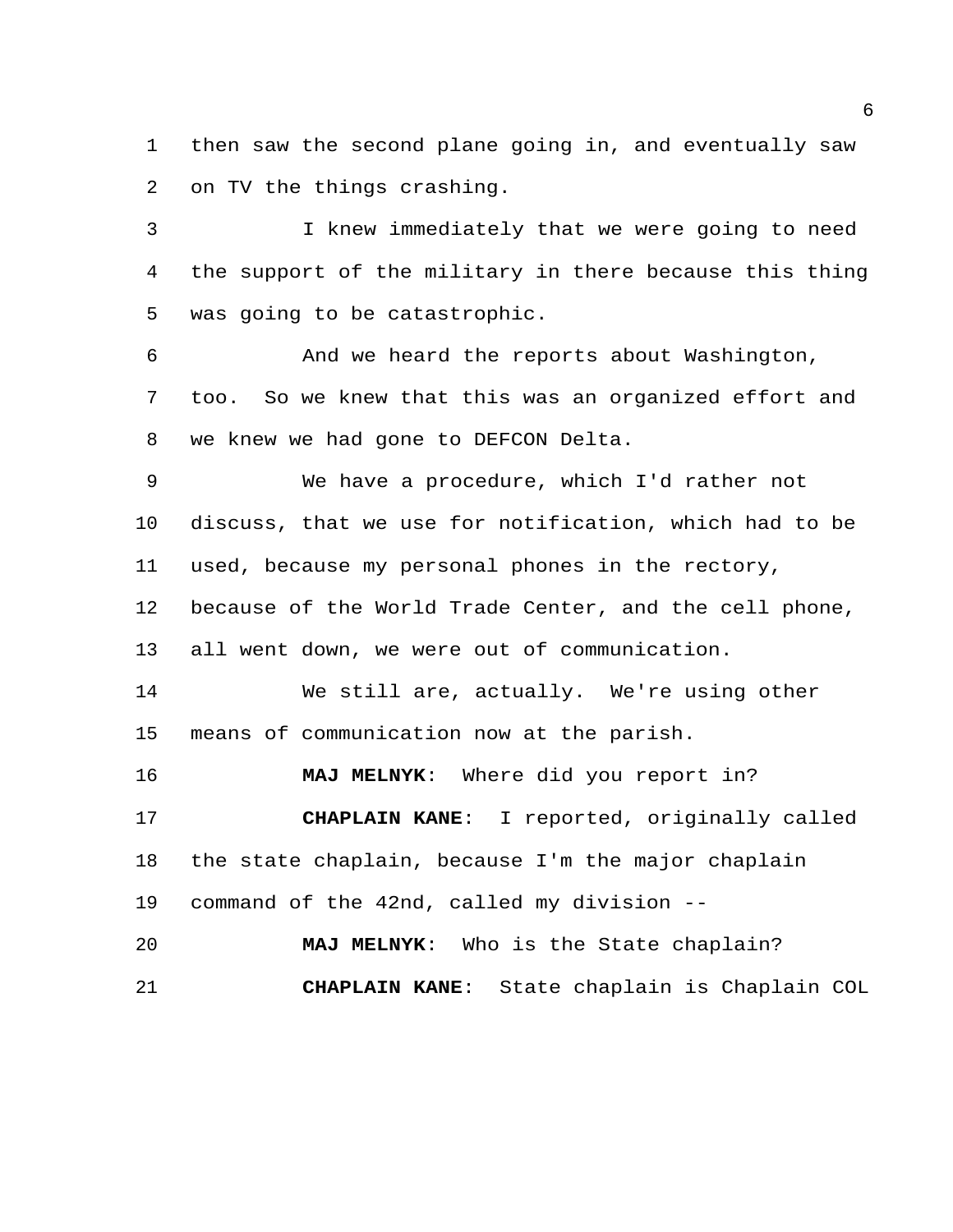then saw the second plane going in, and eventually saw on TV the things crashing.

 I knew immediately that we were going to need the support of the military in there because this thing was going to be catastrophic.

 And we heard the reports about Washington, too. So we knew that this was an organized effort and we knew we had gone to DEFCON Delta.

 We have a procedure, which I'd rather not discuss, that we use for notification, which had to be used, because my personal phones in the rectory, because of the World Trade Center, and the cell phone, all went down, we were out of communication.

 We still are, actually. We're using other means of communication now at the parish.

**MAJ MELNYK**: Where did you report in?

 **CHAPLAIN KANE**: I reported, originally called the state chaplain, because I'm the major chaplain command of the 42nd, called my division --

 **MAJ MELNYK**: Who is the State chaplain? **CHAPLAIN KANE**: State chaplain is Chaplain COL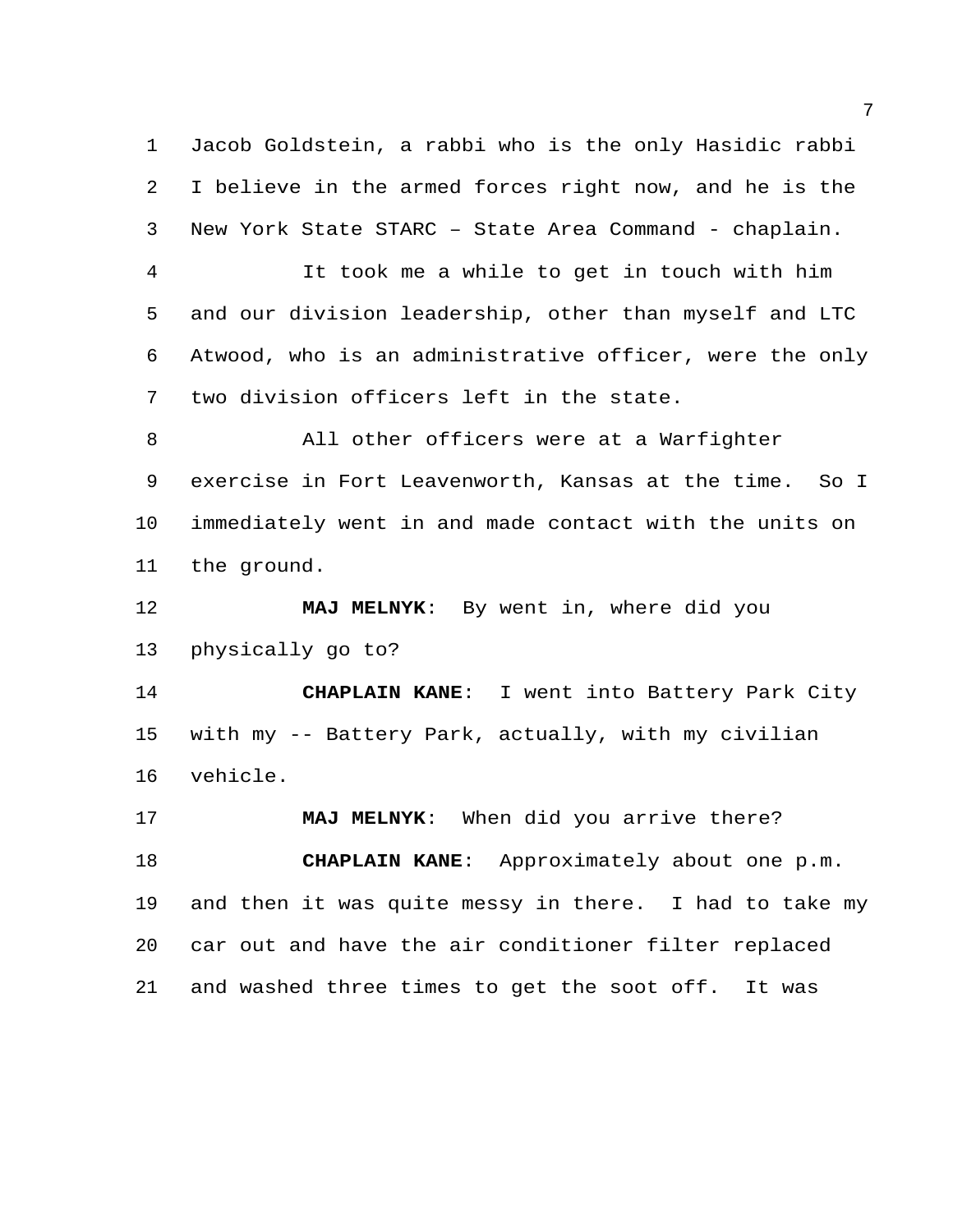Jacob Goldstein, a rabbi who is the only Hasidic rabbi I believe in the armed forces right now, and he is the New York State STARC – State Area Command - chaplain.

 It took me a while to get in touch with him and our division leadership, other than myself and LTC Atwood, who is an administrative officer, were the only two division officers left in the state.

 All other officers were at a Warfighter exercise in Fort Leavenworth, Kansas at the time. So I immediately went in and made contact with the units on the ground.

 **MAJ MELNYK**: By went in, where did you physically go to?

 **CHAPLAIN KANE**: I went into Battery Park City with my -- Battery Park, actually, with my civilian vehicle.

 **MAJ MELNYK**: When did you arrive there? **CHAPLAIN KANE**: Approximately about one p.m. and then it was quite messy in there. I had to take my car out and have the air conditioner filter replaced and washed three times to get the soot off. It was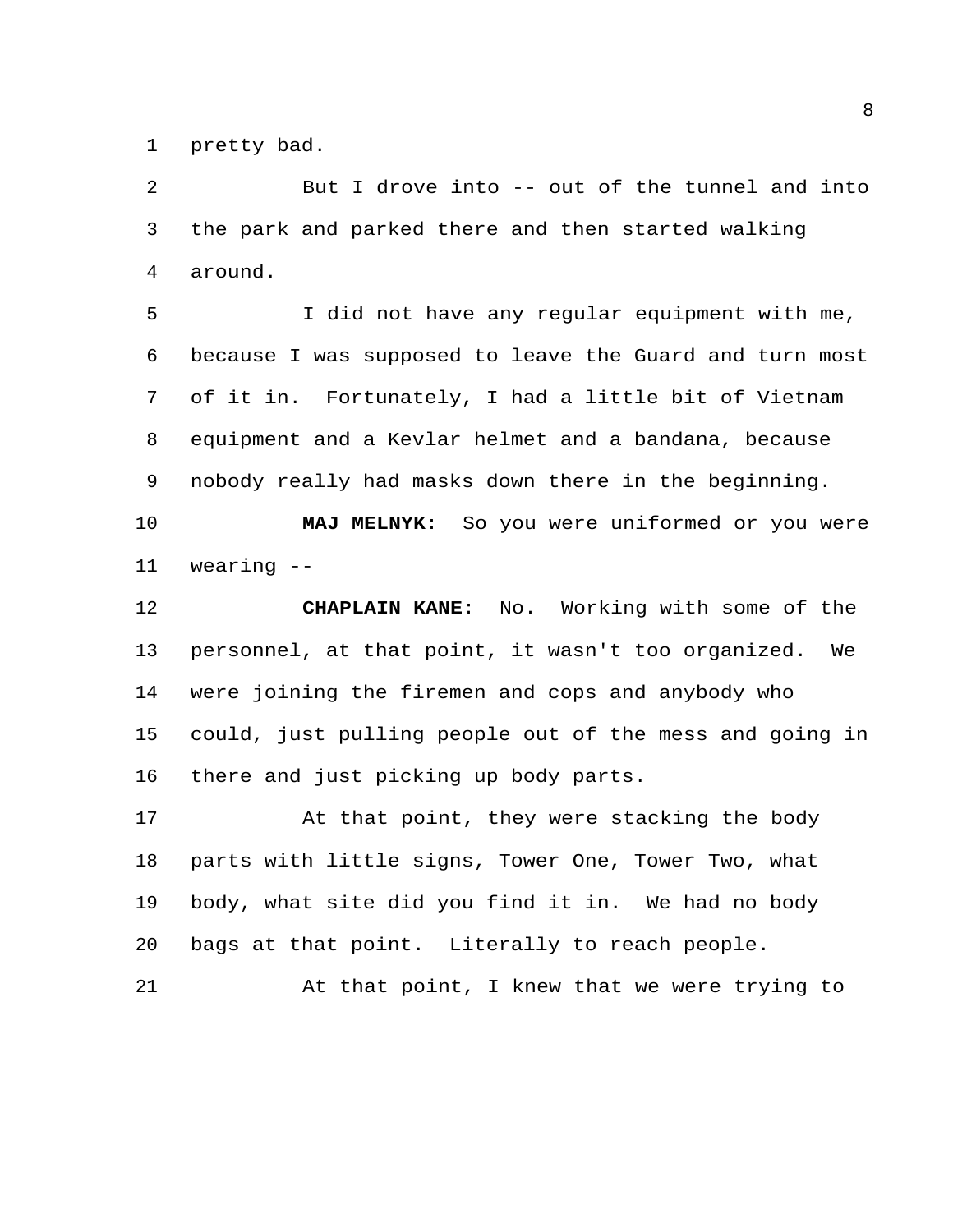pretty bad.

 But I drove into -- out of the tunnel and into the park and parked there and then started walking around.

 I did not have any regular equipment with me, because I was supposed to leave the Guard and turn most of it in. Fortunately, I had a little bit of Vietnam equipment and a Kevlar helmet and a bandana, because nobody really had masks down there in the beginning.

 **MAJ MELNYK**: So you were uniformed or you were wearing --

 **CHAPLAIN KANE**: No. Working with some of the personnel, at that point, it wasn't too organized. We were joining the firemen and cops and anybody who could, just pulling people out of the mess and going in there and just picking up body parts.

17 At that point, they were stacking the body parts with little signs, Tower One, Tower Two, what body, what site did you find it in. We had no body bags at that point. Literally to reach people.

At that point, I knew that we were trying to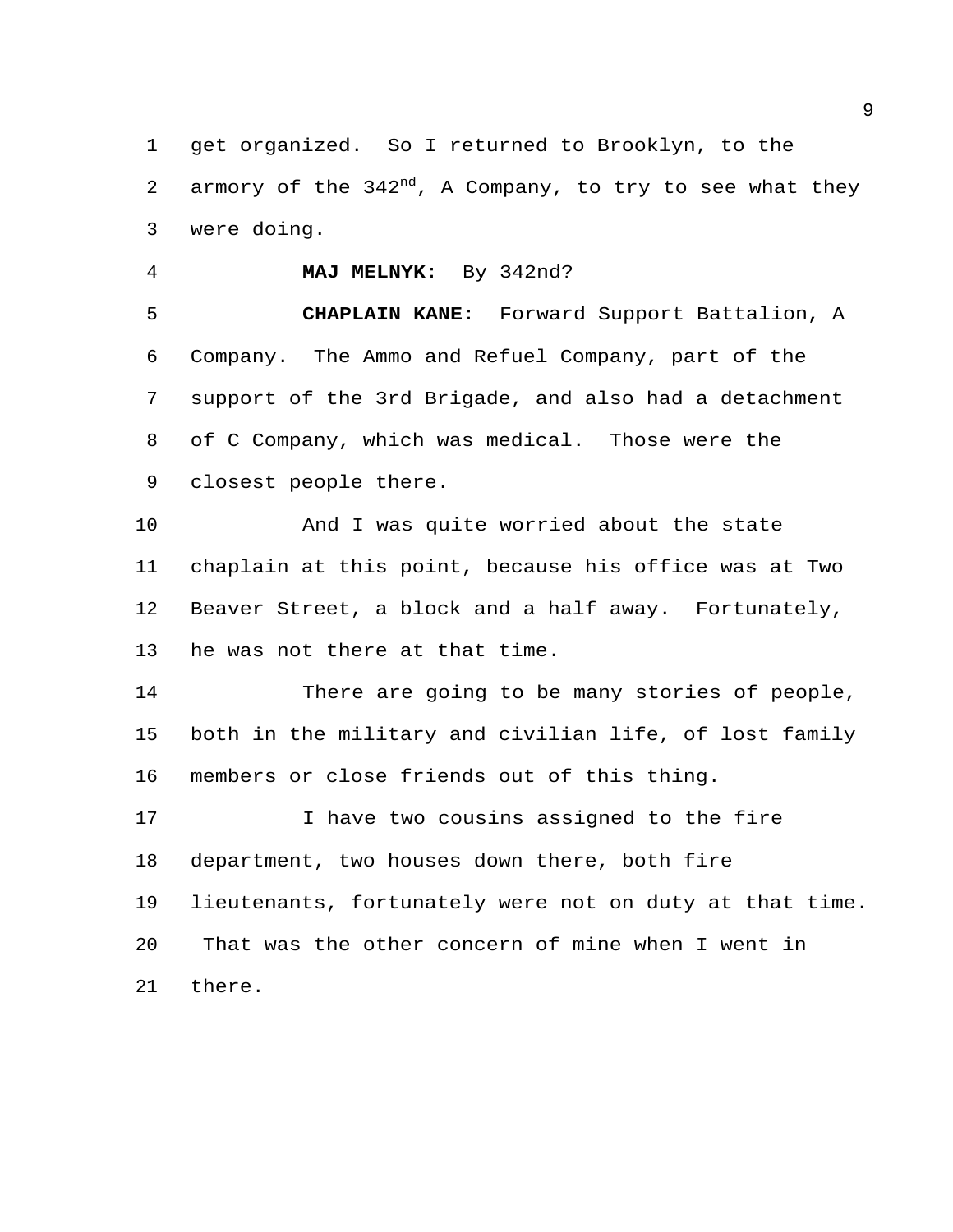get organized. So I returned to Brooklyn, to the 2 armory of the  $342<sup>nd</sup>$ , A Company, to try to see what they were doing.

**MAJ MELNYK**: By 342nd?

 **CHAPLAIN KANE**: Forward Support Battalion, A Company. The Ammo and Refuel Company, part of the support of the 3rd Brigade, and also had a detachment of C Company, which was medical. Those were the closest people there.

 And I was quite worried about the state chaplain at this point, because his office was at Two Beaver Street, a block and a half away. Fortunately, he was not there at that time.

 There are going to be many stories of people, both in the military and civilian life, of lost family members or close friends out of this thing.

17 17 I have two cousins assigned to the fire department, two houses down there, both fire lieutenants, fortunately were not on duty at that time. That was the other concern of mine when I went in there.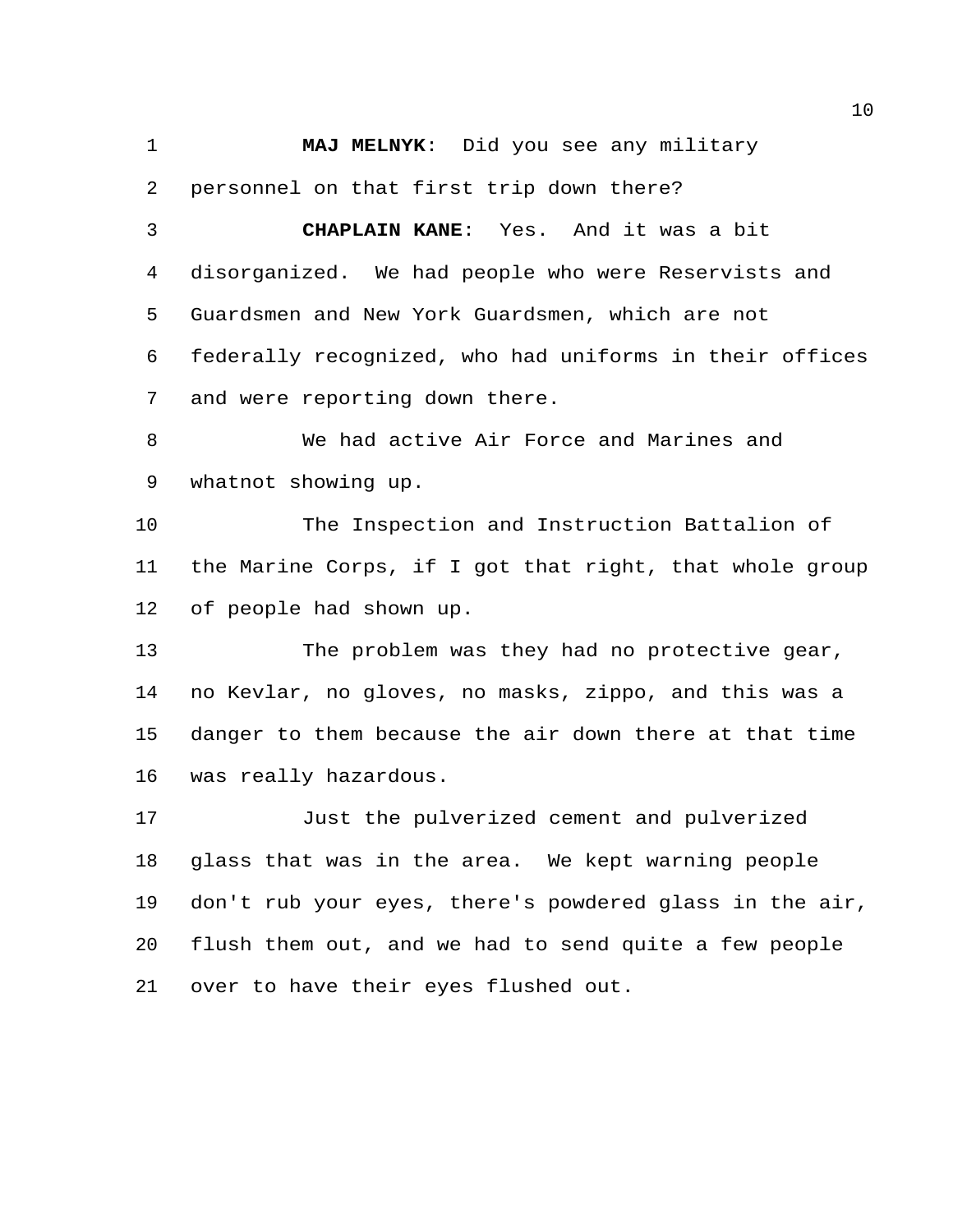**MAJ MELNYK**: Did you see any military personnel on that first trip down there?

 **CHAPLAIN KANE**: Yes. And it was a bit disorganized. We had people who were Reservists and Guardsmen and New York Guardsmen, which are not federally recognized, who had uniforms in their offices and were reporting down there.

 We had active Air Force and Marines and whatnot showing up.

 The Inspection and Instruction Battalion of the Marine Corps, if I got that right, that whole group of people had shown up.

 The problem was they had no protective gear, no Kevlar, no gloves, no masks, zippo, and this was a danger to them because the air down there at that time was really hazardous.

 Just the pulverized cement and pulverized glass that was in the area. We kept warning people don't rub your eyes, there's powdered glass in the air, flush them out, and we had to send quite a few people over to have their eyes flushed out.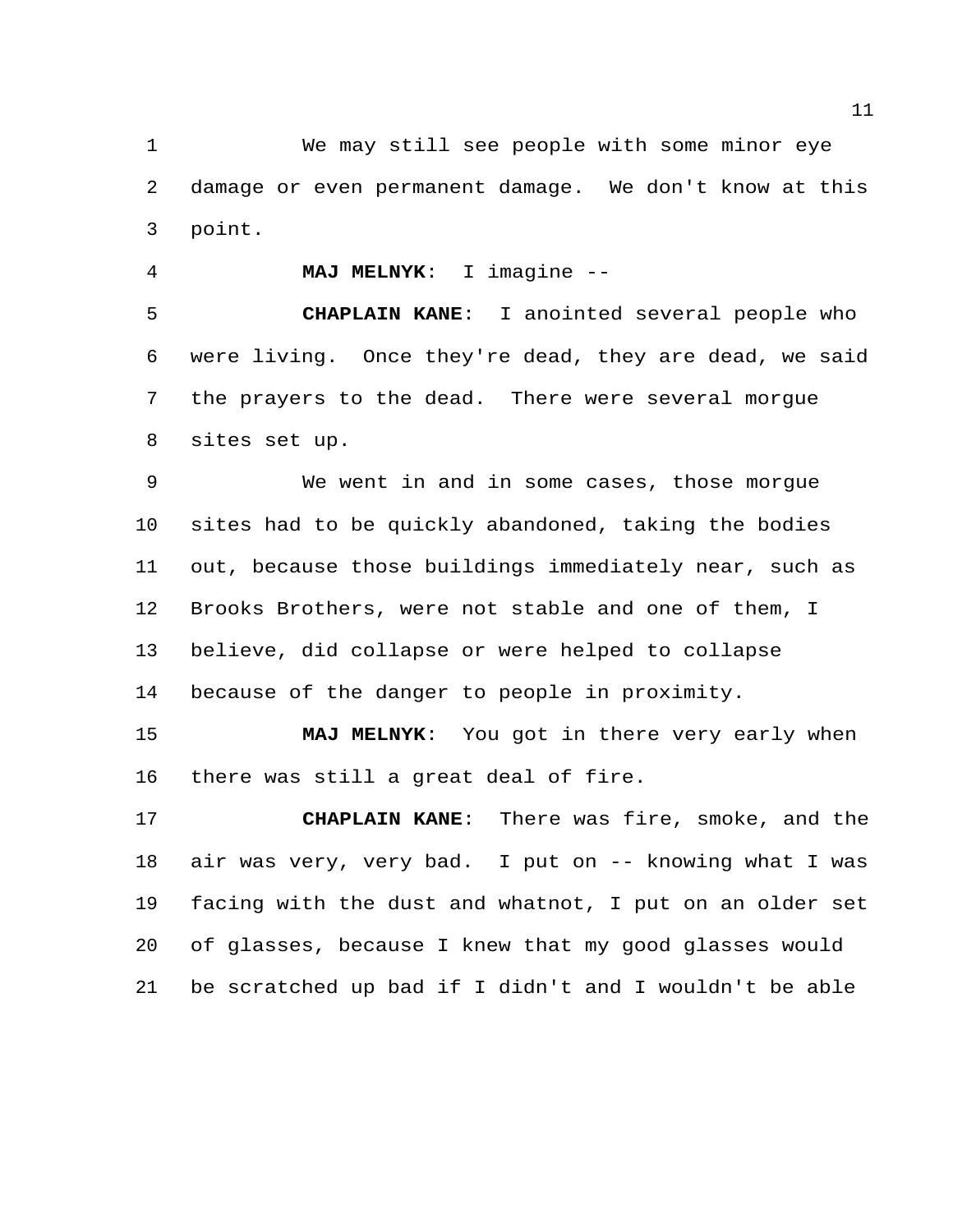We may still see people with some minor eye damage or even permanent damage. We don't know at this point.

**MAJ MELNYK**: I imagine --

 **CHAPLAIN KANE**: I anointed several people who were living. Once they're dead, they are dead, we said the prayers to the dead. There were several morgue sites set up.

 We went in and in some cases, those morgue sites had to be quickly abandoned, taking the bodies out, because those buildings immediately near, such as Brooks Brothers, were not stable and one of them, I believe, did collapse or were helped to collapse because of the danger to people in proximity.

 **MAJ MELNYK**: You got in there very early when there was still a great deal of fire.

 **CHAPLAIN KANE**: There was fire, smoke, and the air was very, very bad. I put on -- knowing what I was facing with the dust and whatnot, I put on an older set of glasses, because I knew that my good glasses would be scratched up bad if I didn't and I wouldn't be able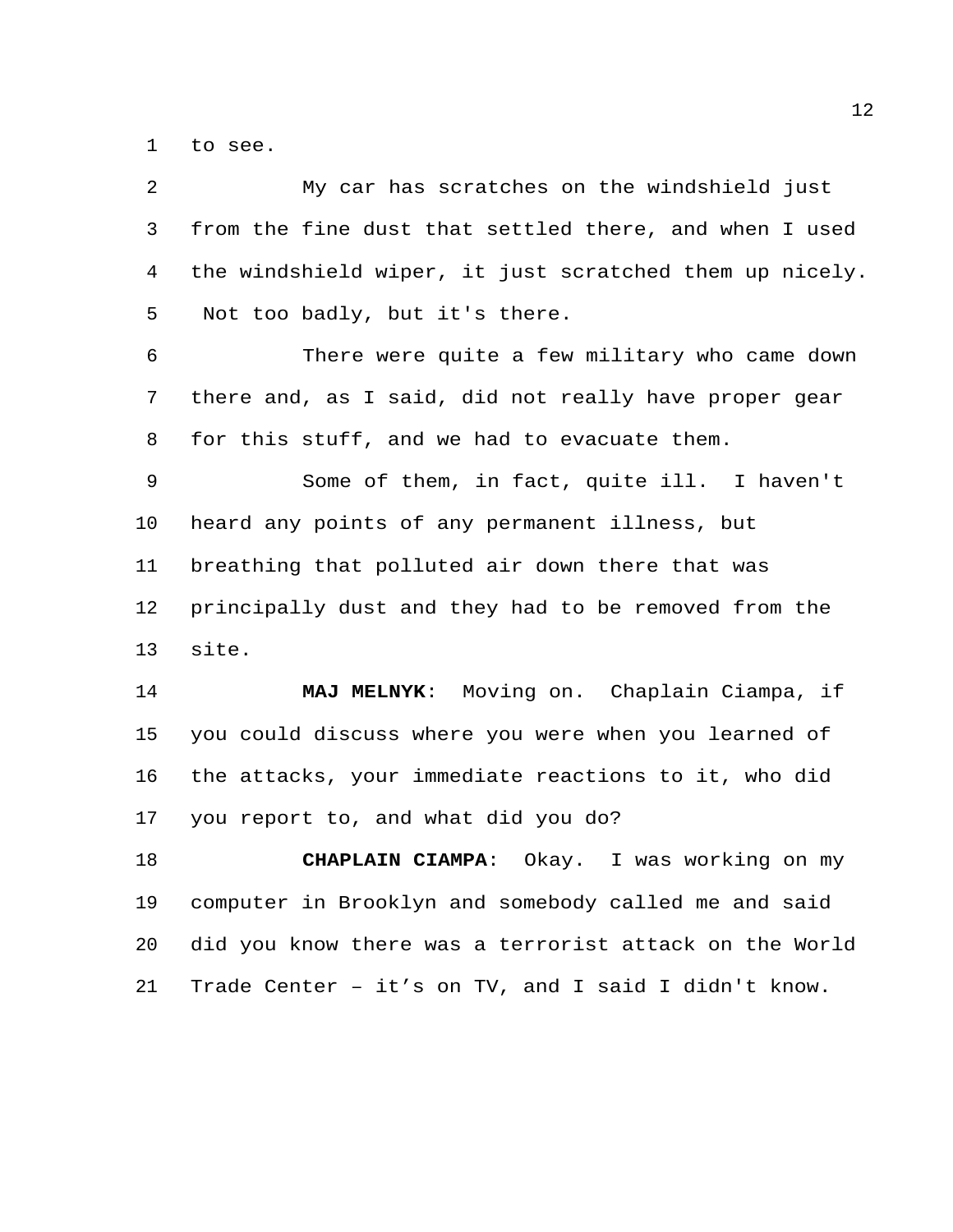to see.

| $\overline{a}$ | My car has scratches on the windshield just             |
|----------------|---------------------------------------------------------|
| 3              | from the fine dust that settled there, and when I used  |
| 4              | the windshield wiper, it just scratched them up nicely. |
| 5              | Not too badly, but it's there.                          |
| 6              | There were quite a few military who came down           |
| 7              | there and, as I said, did not really have proper gear   |
| 8              | for this stuff, and we had to evacuate them.            |
| 9              | Some of them, in fact, quite ill. I haven't             |
| 10             | heard any points of any permanent illness, but          |
| 11             | breathing that polluted air down there that was         |
| 12             | principally dust and they had to be removed from the    |
| 13             | site.                                                   |
| 14             | MAJ MELNYK: Moving on. Chaplain Ciampa, if              |
| 15             | you could discuss where you were when you learned of    |
| 16             | the attacks, your immediate reactions to it, who did    |
| 17             | you report to, and what did you do?                     |
| 18             | Okay. I was working on my<br><b>CHAPLAIN CIAMPA:</b>    |
| 19             | computer in Brooklyn and somebody called me and said    |
| 20             | did you know there was a terrorist attack on the World  |
| 21             | Trade Center - it's on TV, and I said I didn't know.    |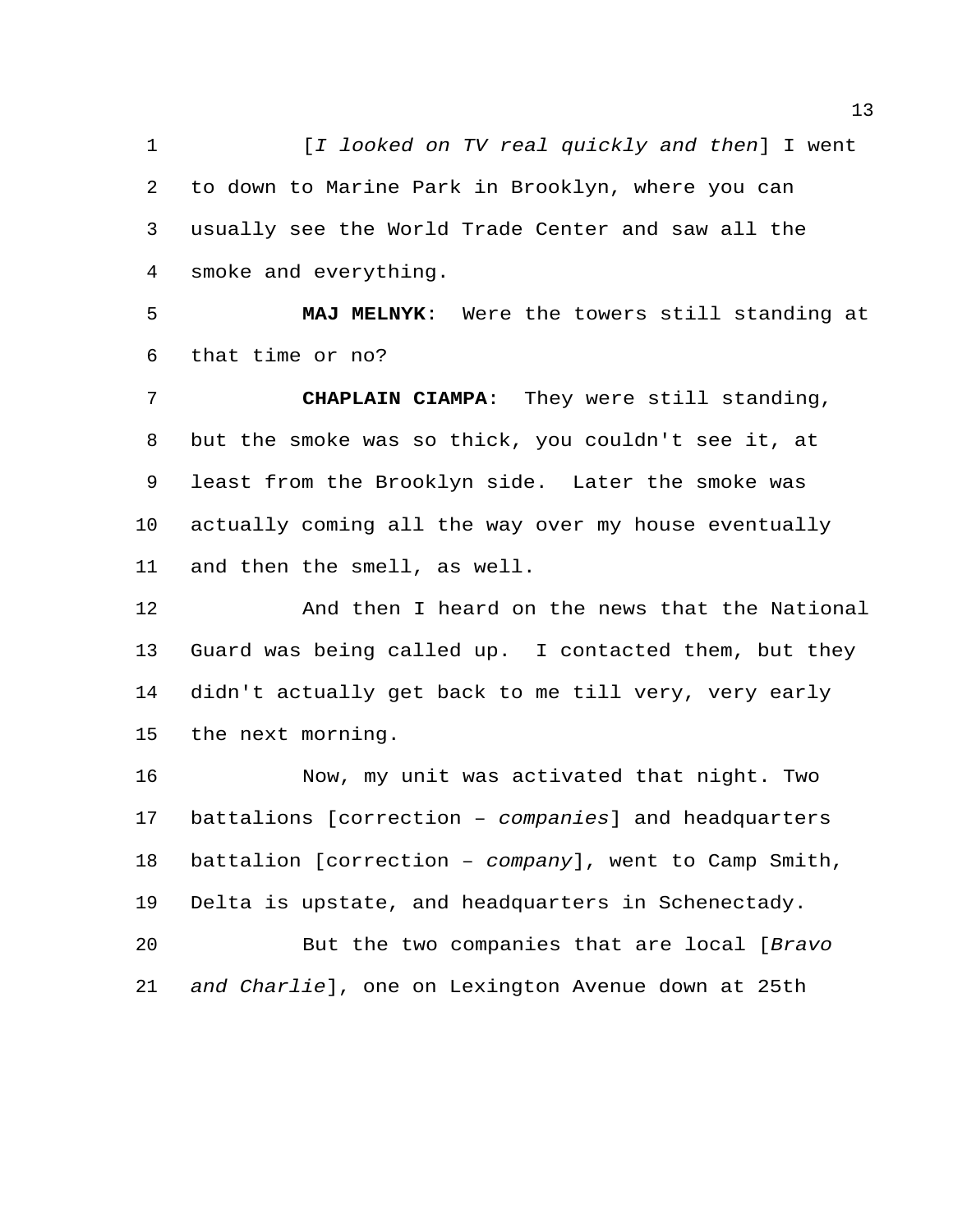[*I looked on TV real quickly and then*] I went to down to Marine Park in Brooklyn, where you can usually see the World Trade Center and saw all the smoke and everything.

 **MAJ MELNYK**: Were the towers still standing at that time or no?

 **CHAPLAIN CIAMPA**: They were still standing, but the smoke was so thick, you couldn't see it, at least from the Brooklyn side. Later the smoke was actually coming all the way over my house eventually and then the smell, as well.

 And then I heard on the news that the National Guard was being called up. I contacted them, but they didn't actually get back to me till very, very early the next morning.

 Now, my unit was activated that night. Two battalions [correction – *companies*] and headquarters battalion [correction – *company*], went to Camp Smith, Delta is upstate, and headquarters in Schenectady.

 But the two companies that are local [*Bravo and Charlie*], one on Lexington Avenue down at 25th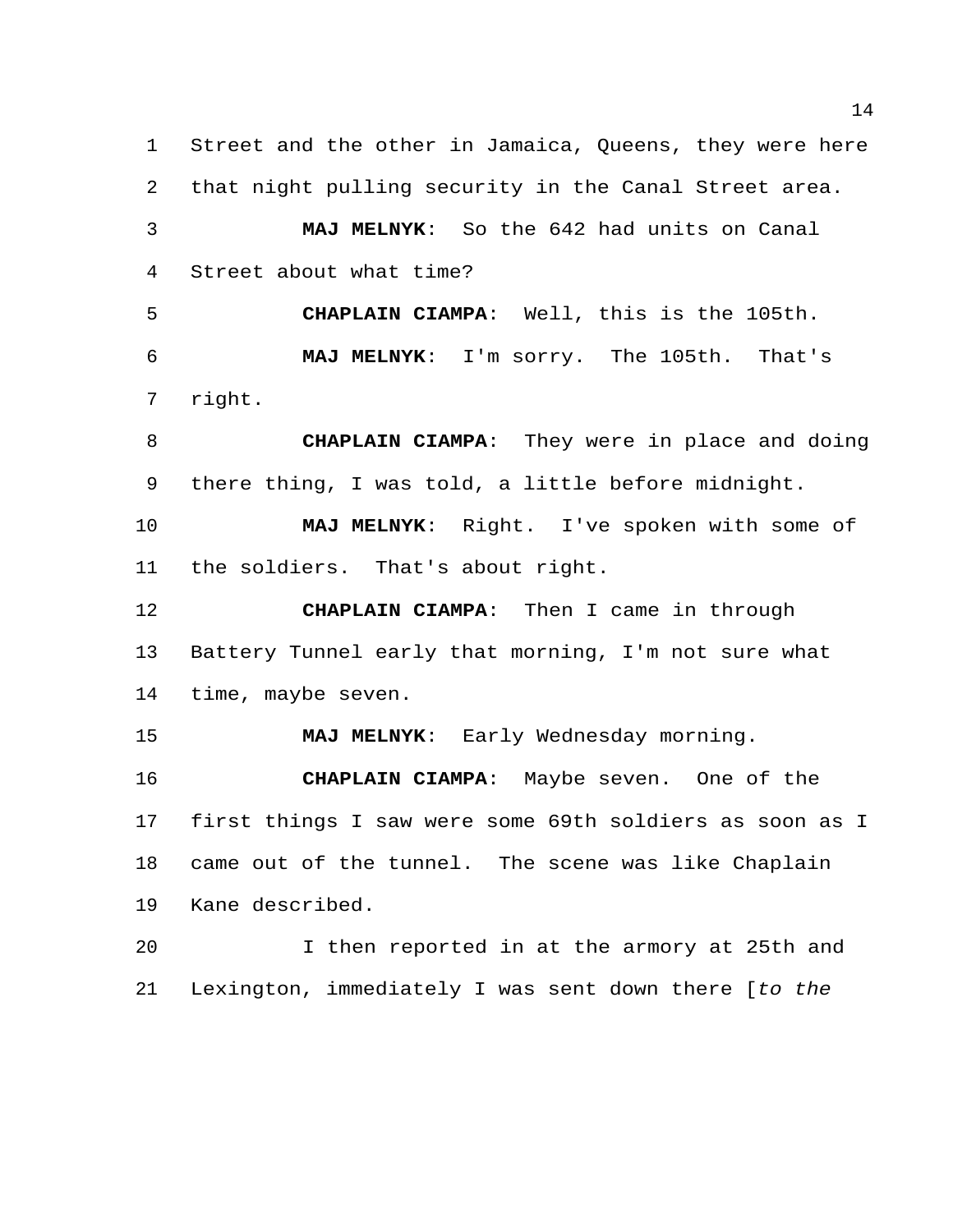Street and the other in Jamaica, Queens, they were here that night pulling security in the Canal Street area. **MAJ MELNYK**: So the 642 had units on Canal Street about what time? **CHAPLAIN CIAMPA**: Well, this is the 105th. **MAJ MELNYK**: I'm sorry. The 105th. That's right. **CHAPLAIN CIAMPA**: They were in place and doing there thing, I was told, a little before midnight.

 **MAJ MELNYK**: Right. I've spoken with some of the soldiers. That's about right.

 **CHAPLAIN CIAMPA**: Then I came in through Battery Tunnel early that morning, I'm not sure what time, maybe seven.

**MAJ MELNYK**: Early Wednesday morning.

 **CHAPLAIN CIAMPA**: Maybe seven. One of the first things I saw were some 69th soldiers as soon as I came out of the tunnel. The scene was like Chaplain Kane described.

 I then reported in at the armory at 25th and Lexington, immediately I was sent down there [*to the*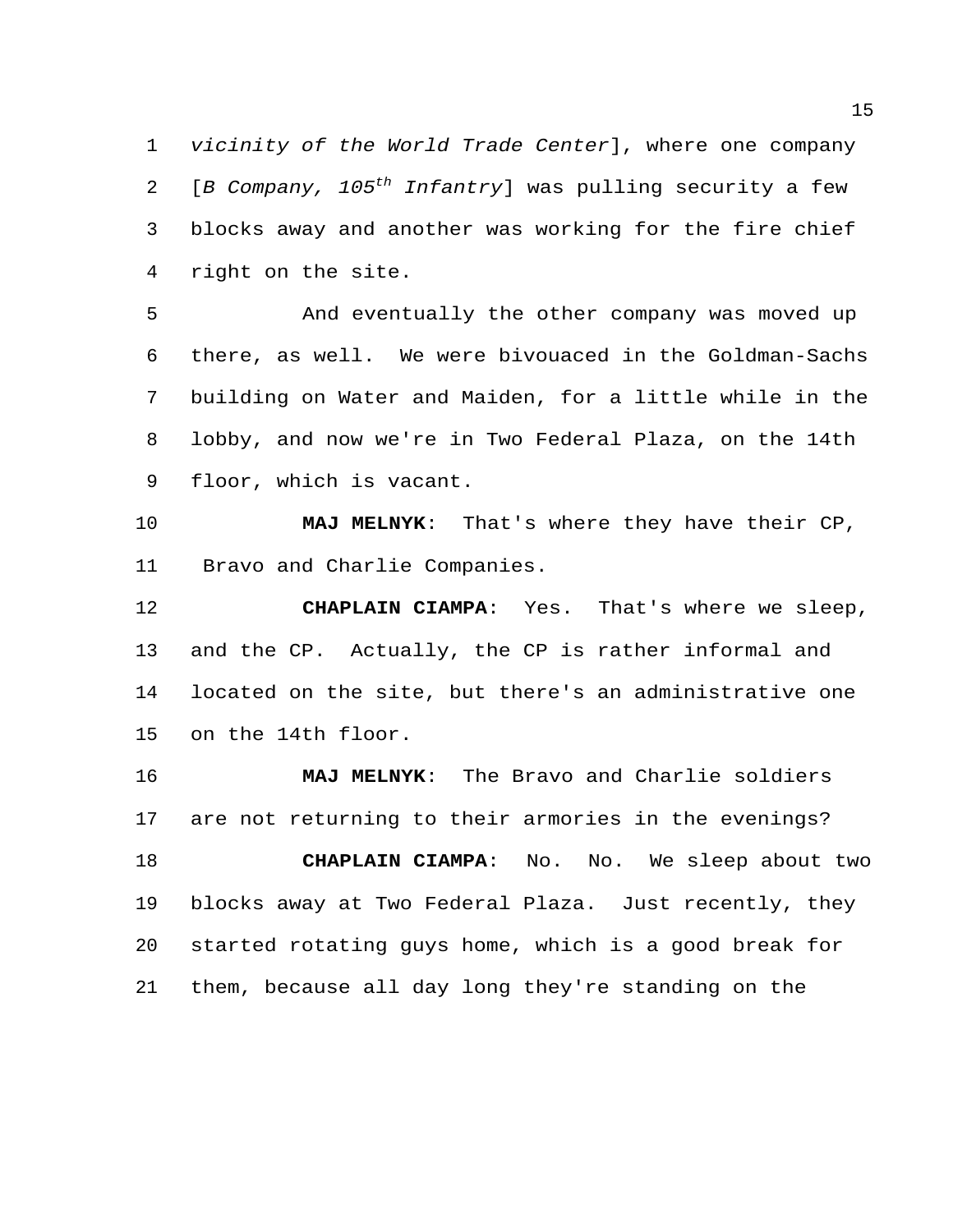*vicinity of the World Trade Center*], where one company [*B Company, 105th Infantry*] was pulling security a few blocks away and another was working for the fire chief right on the site.

 And eventually the other company was moved up there, as well. We were bivouaced in the Goldman-Sachs building on Water and Maiden, for a little while in the lobby, and now we're in Two Federal Plaza, on the 14th floor, which is vacant.

 **MAJ MELNYK**: That's where they have their CP, Bravo and Charlie Companies.

 **CHAPLAIN CIAMPA**: Yes. That's where we sleep, and the CP. Actually, the CP is rather informal and located on the site, but there's an administrative one on the 14th floor.

 **MAJ MELNYK**: The Bravo and Charlie soldiers are not returning to their armories in the evenings? **CHAPLAIN CIAMPA**: No. No. We sleep about two blocks away at Two Federal Plaza. Just recently, they started rotating guys home, which is a good break for them, because all day long they're standing on the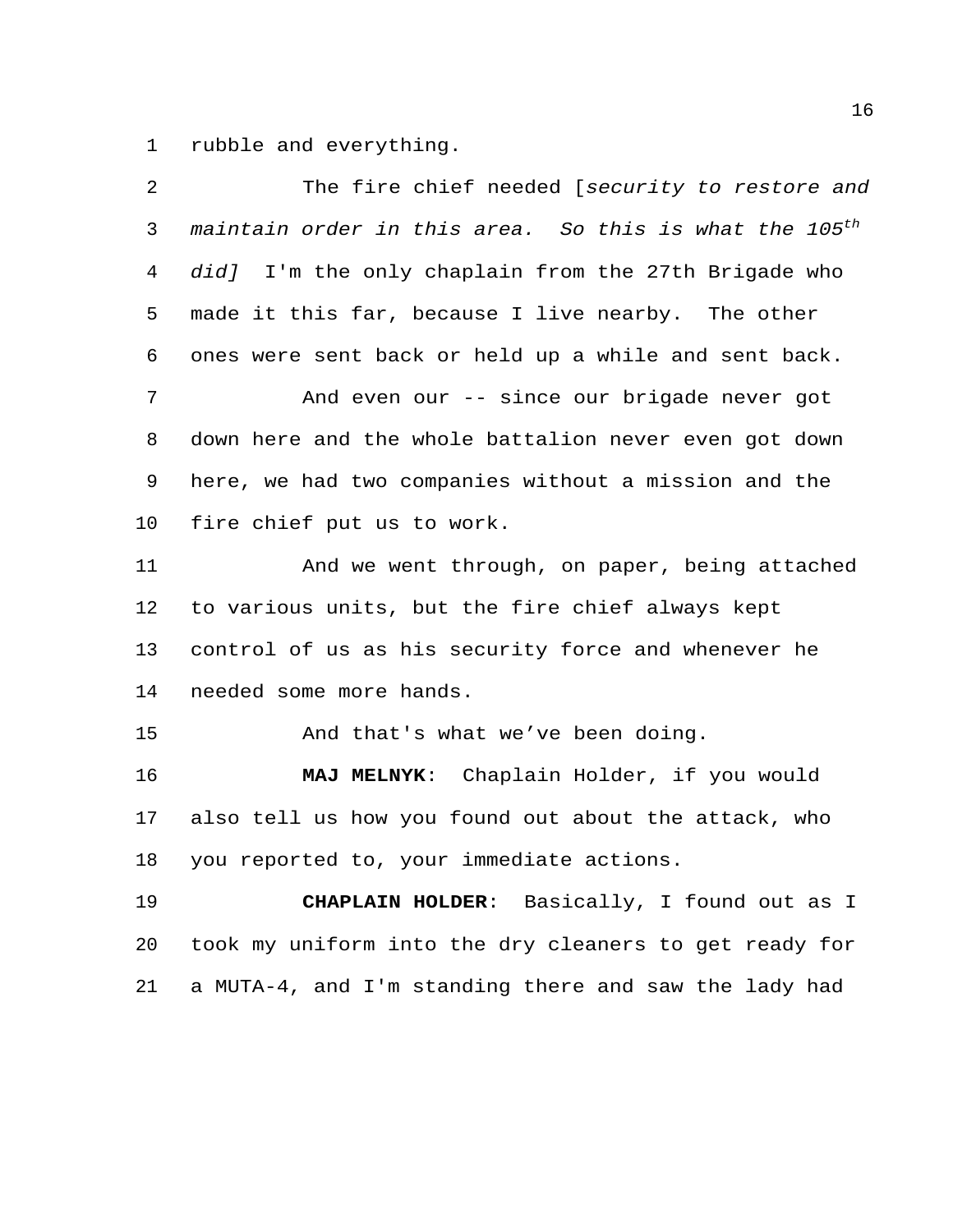rubble and everything.

| 2  | The fire chief needed [security to restore and                     |
|----|--------------------------------------------------------------------|
| 3  | maintain order in this area. So this is what the 105 <sup>th</sup> |
| 4  | did] I'm the only chaplain from the 27th Brigade who               |
| 5  | made it this far, because I live nearby. The other                 |
| 6  | ones were sent back or held up a while and sent back.              |
| 7  | And even our -- since our brigade never got                        |
| 8  | down here and the whole battalion never even got down              |
| 9  | here, we had two companies without a mission and the               |
| 10 | fire chief put us to work.                                         |
| 11 | And we went through, on paper, being attached                      |
| 12 | to various units, but the fire chief always kept                   |
| 13 | control of us as his security force and whenever he                |
| 14 | needed some more hands.                                            |
| 15 | And that's what we've been doing.                                  |
| 16 | MAJ MELNYK: Chaplain Holder, if you would                          |
| 17 | also tell us how you found out about the attack, who               |
| 18 | you reported to, your immediate actions.                           |
| 19 | CHAPLAIN HOLDER: Basically, I found out as I                       |
| 20 | took my uniform into the dry cleaners to get ready for             |
| 21 | a MUTA-4, and I'm standing there and saw the lady had              |
|    |                                                                    |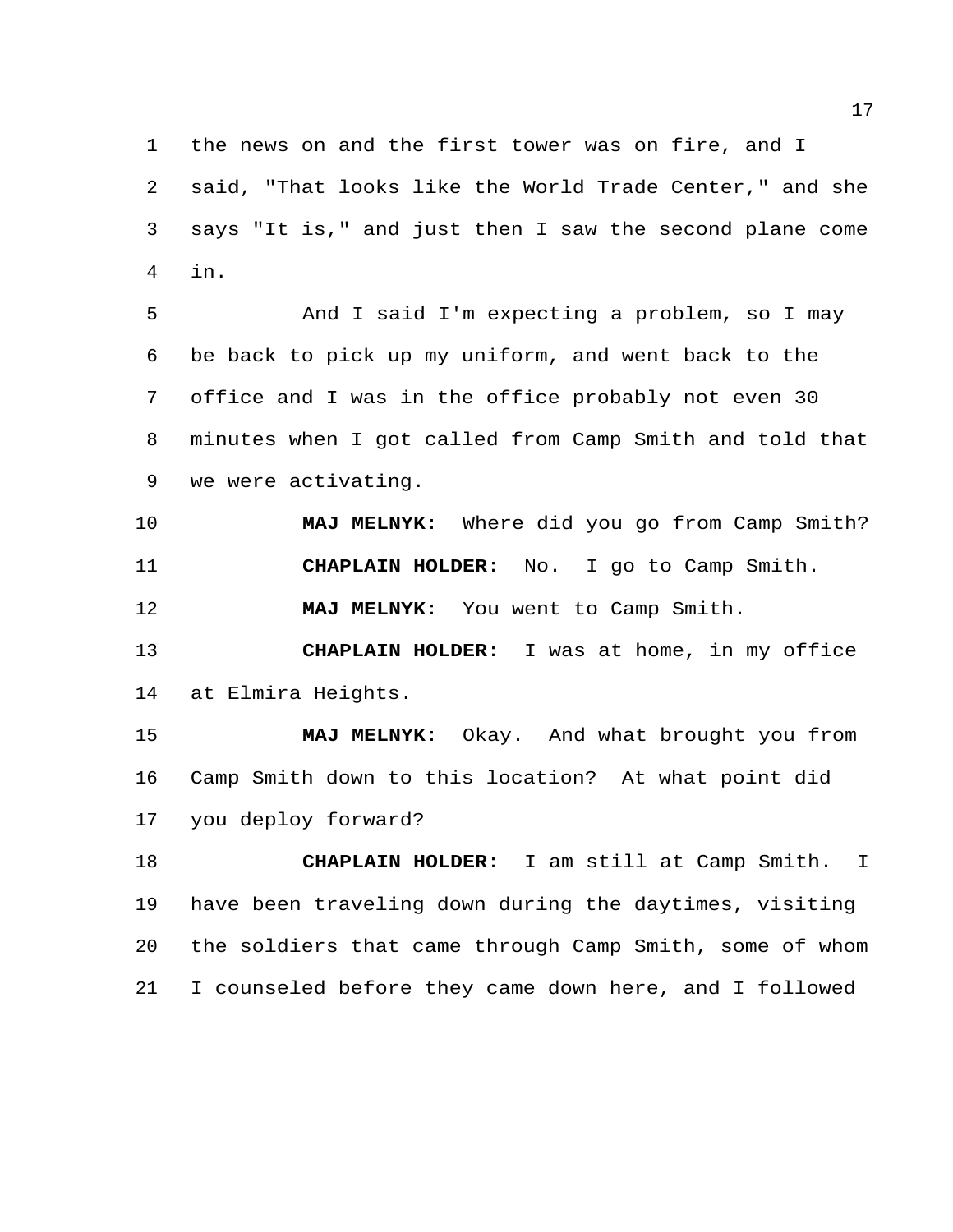the news on and the first tower was on fire, and I said, "That looks like the World Trade Center," and she says "It is," and just then I saw the second plane come in.

 And I said I'm expecting a problem, so I may be back to pick up my uniform, and went back to the office and I was in the office probably not even 30 minutes when I got called from Camp Smith and told that we were activating.

 **MAJ MELNYK**: Where did you go from Camp Smith? **CHAPLAIN HOLDER**: No. I go to Camp Smith.

**MAJ MELNYK**: You went to Camp Smith.

 **CHAPLAIN HOLDER**: I was at home, in my office at Elmira Heights.

 **MAJ MELNYK**: Okay. And what brought you from Camp Smith down to this location? At what point did you deploy forward?

 **CHAPLAIN HOLDER**: I am still at Camp Smith. I have been traveling down during the daytimes, visiting the soldiers that came through Camp Smith, some of whom I counseled before they came down here, and I followed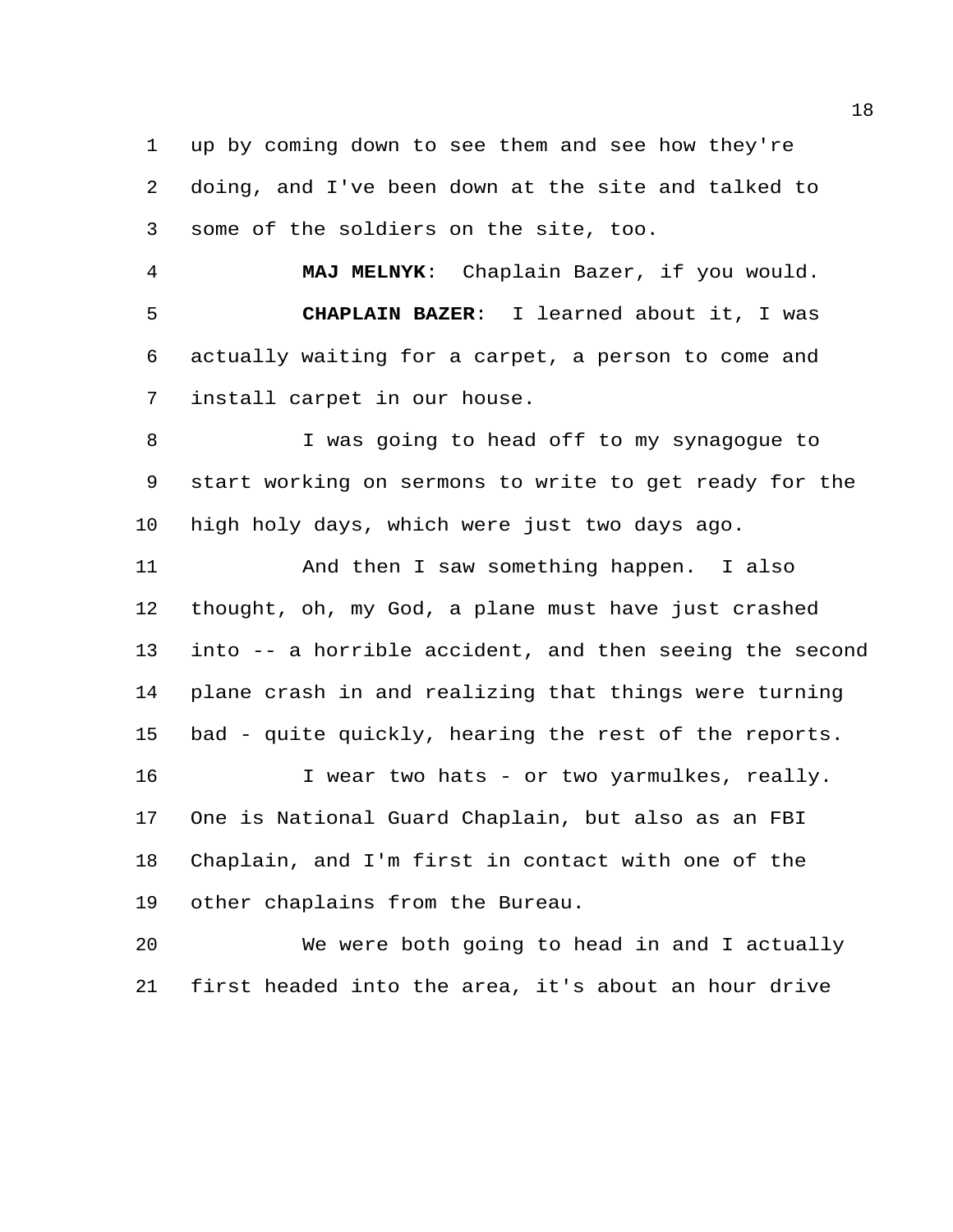up by coming down to see them and see how they're doing, and I've been down at the site and talked to some of the soldiers on the site, too.

 **MAJ MELNYK**: Chaplain Bazer, if you would. **CHAPLAIN BAZER**: I learned about it, I was actually waiting for a carpet, a person to come and install carpet in our house.

 I was going to head off to my synagogue to start working on sermons to write to get ready for the high holy days, which were just two days ago.

 And then I saw something happen. I also thought, oh, my God, a plane must have just crashed into -- a horrible accident, and then seeing the second plane crash in and realizing that things were turning bad - quite quickly, hearing the rest of the reports. I wear two hats - or two yarmulkes, really. One is National Guard Chaplain, but also as an FBI Chaplain, and I'm first in contact with one of the other chaplains from the Bureau.

 We were both going to head in and I actually first headed into the area, it's about an hour drive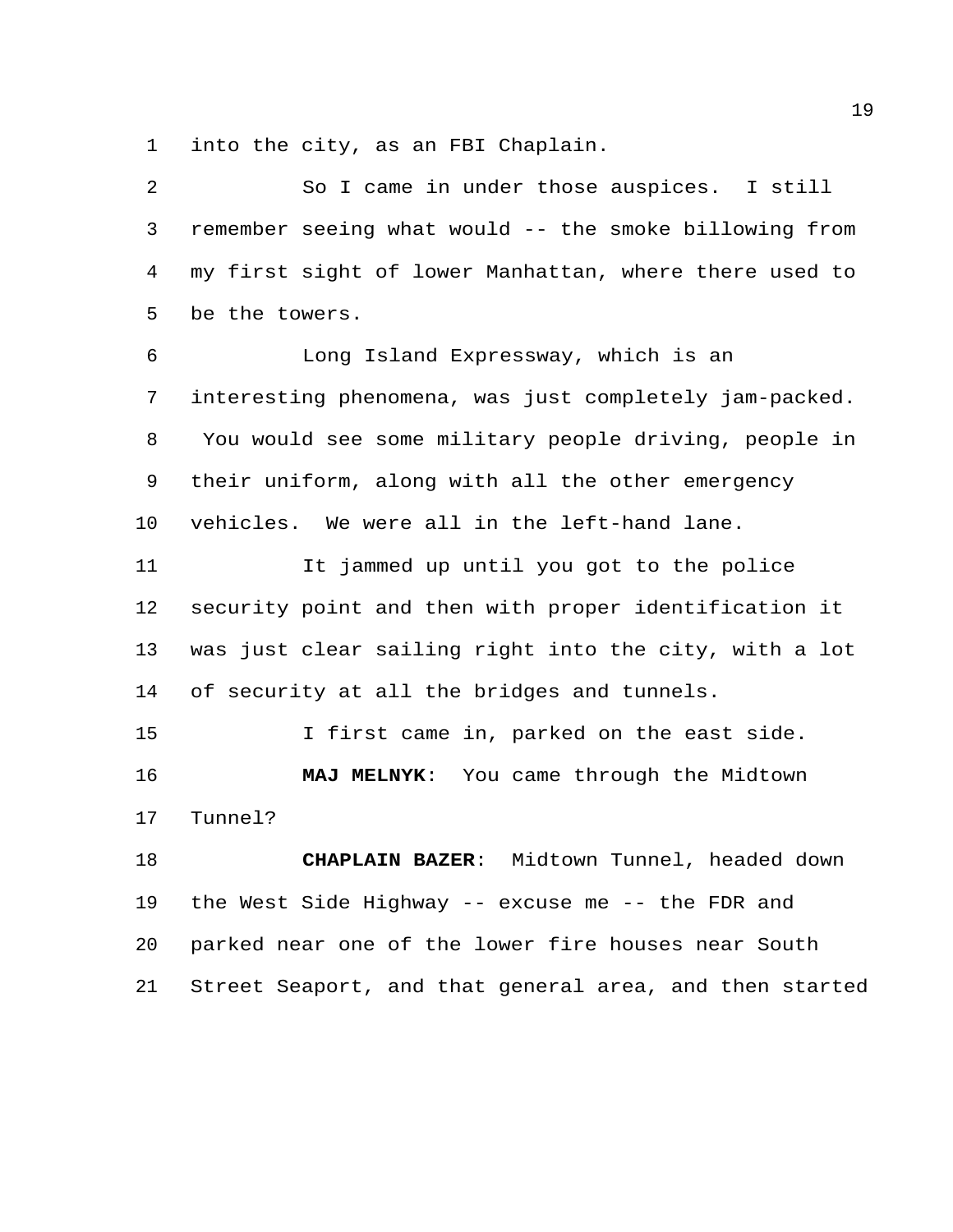into the city, as an FBI Chaplain.

| 2  | So I came in under those auspices. I still              |
|----|---------------------------------------------------------|
| 3  | remember seeing what would -- the smoke billowing from  |
| 4  | my first sight of lower Manhattan, where there used to  |
| 5  | be the towers.                                          |
| 6  | Long Island Expressway, which is an                     |
| 7  | interesting phenomena, was just completely jam-packed.  |
| 8  | You would see some military people driving, people in   |
| 9  | their uniform, along with all the other emergency       |
| 10 | vehicles. We were all in the left-hand lane.            |
| 11 | It jammed up until you got to the police                |
| 12 | security point and then with proper identification it   |
| 13 | was just clear sailing right into the city, with a lot  |
| 14 | of security at all the bridges and tunnels.             |
| 15 | I first came in, parked on the east side.               |
| 16 | MAJ MELNYK: You came through the Midtown                |
| 17 | Tunnel?                                                 |
| 18 | CHAPLAIN BAZER: Midtown Tunnel, headed down             |
| 19 | the West Side Highway -- excuse me -- the FDR and       |
| 20 | parked near one of the lower fire houses near South     |
| 21 | Street Seaport, and that general area, and then started |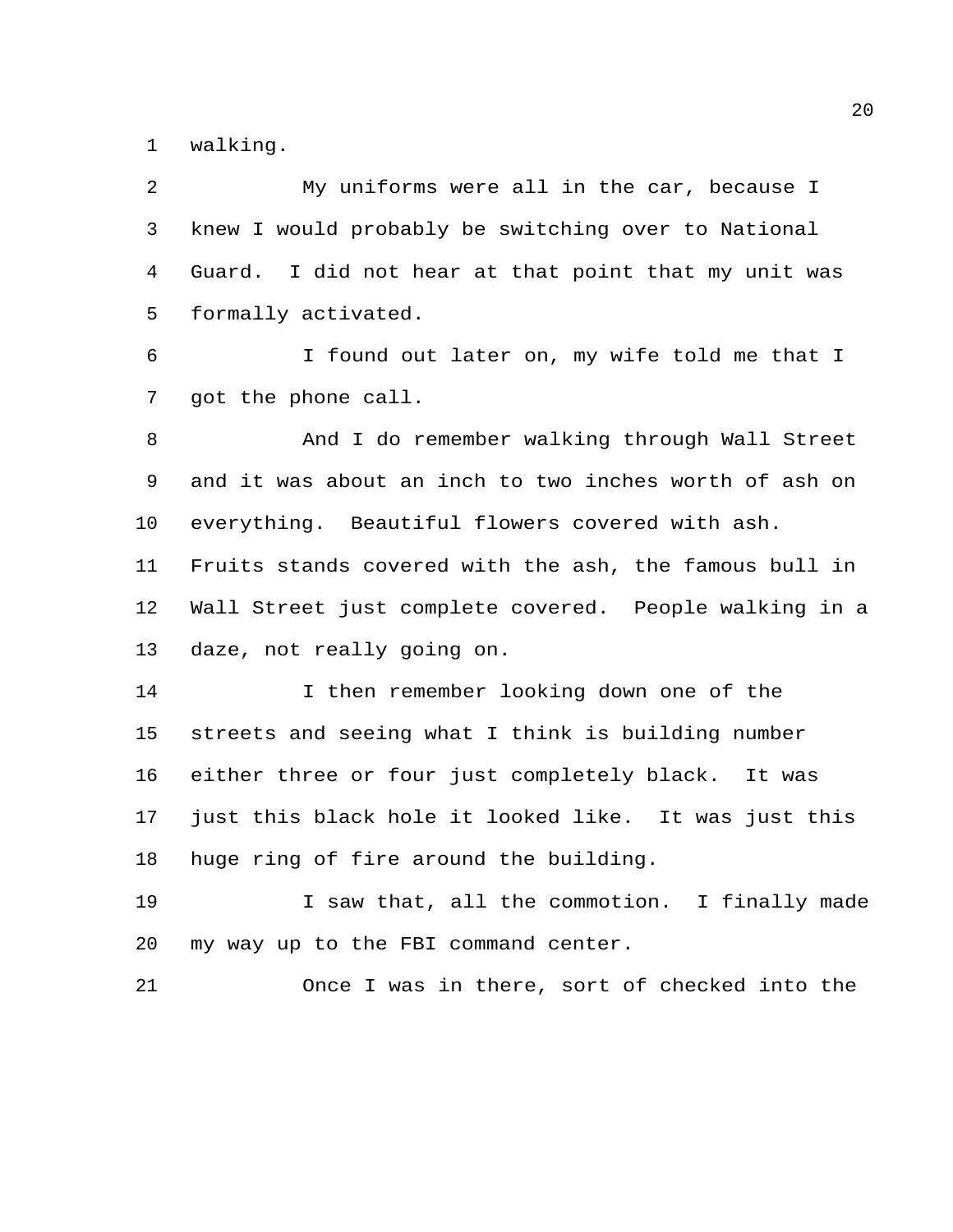walking.

| 2              | My uniforms were all in the car, because I              |
|----------------|---------------------------------------------------------|
| 3              | knew I would probably be switching over to National     |
| $\overline{4}$ | I did not hear at that point that my unit was<br>Guard. |
| 5              | formally activated.                                     |
| 6              | I found out later on, my wife told me that I            |
| $7\phantom{.}$ | got the phone call.                                     |
| 8              | And I do remember walking through Wall Street           |
| 9              | and it was about an inch to two inches worth of ash on  |
| 10             | everything. Beautiful flowers covered with ash.         |
| 11             | Fruits stands covered with the ash, the famous bull in  |
| 12             | Wall Street just complete covered. People walking in a  |
| 13             | daze, not really going on.                              |
| 14             | I then remember looking down one of the                 |
| 15             | streets and seeing what I think is building number      |
| 16             | either three or four just completely black. It was      |
| 17             | just this black hole it looked like. It was just this   |
| 18             | huge ring of fire around the building.                  |
| 19             | I saw that, all the commotion. I finally made           |
| 20             | my way up to the FBI command center.                    |
| 21             | Once I was in there, sort of checked into the           |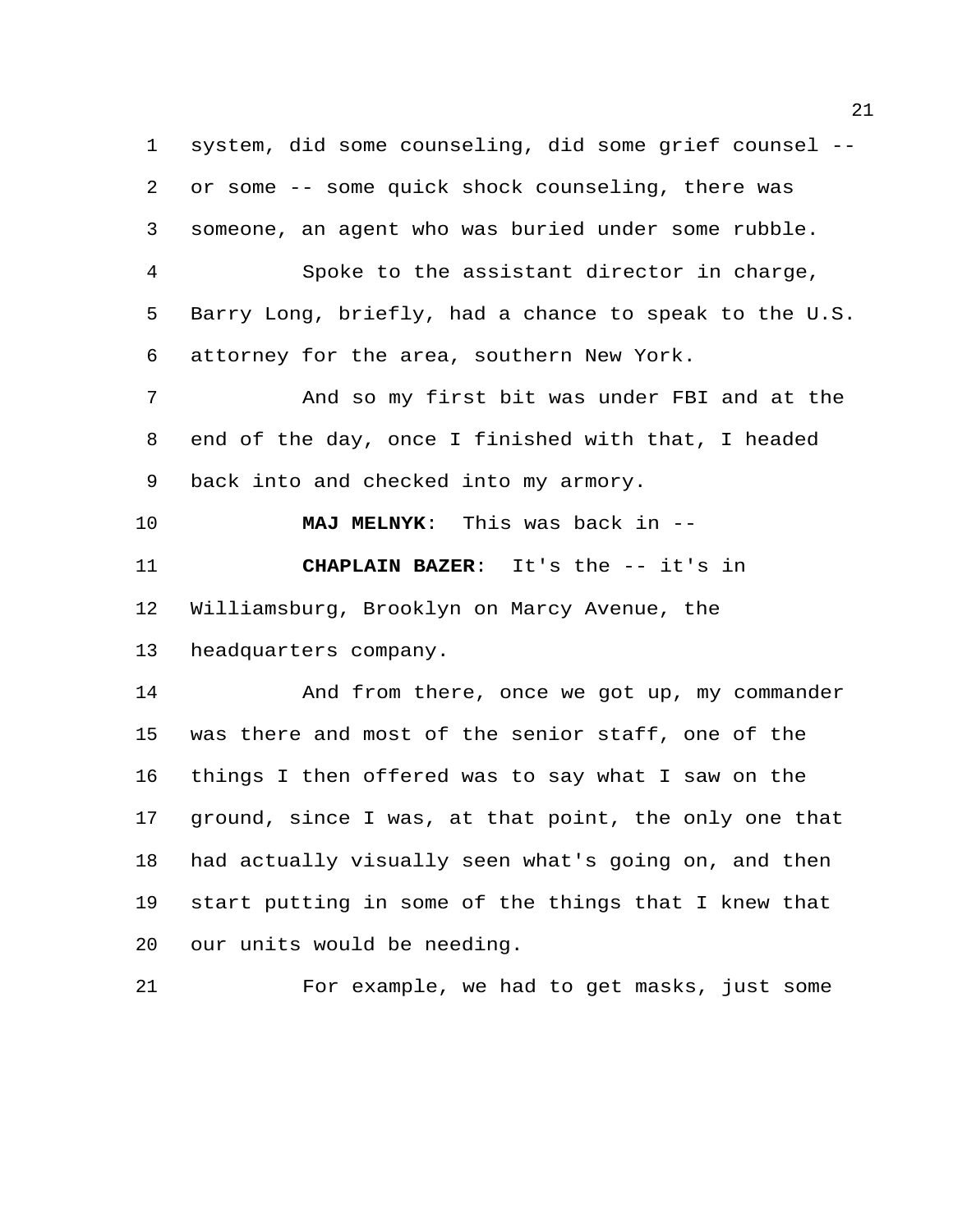system, did some counseling, did some grief counsel -- or some -- some quick shock counseling, there was someone, an agent who was buried under some rubble. Spoke to the assistant director in charge, Barry Long, briefly, had a chance to speak to the U.S. attorney for the area, southern New York. And so my first bit was under FBI and at the end of the day, once I finished with that, I headed back into and checked into my armory. **MAJ MELNYK**: This was back in -- **CHAPLAIN BAZER**: It's the -- it's in Williamsburg, Brooklyn on Marcy Avenue, the headquarters company. 14 And from there, once we got up, my commander was there and most of the senior staff, one of the things I then offered was to say what I saw on the ground, since I was, at that point, the only one that had actually visually seen what's going on, and then start putting in some of the things that I knew that our units would be needing. For example, we had to get masks, just some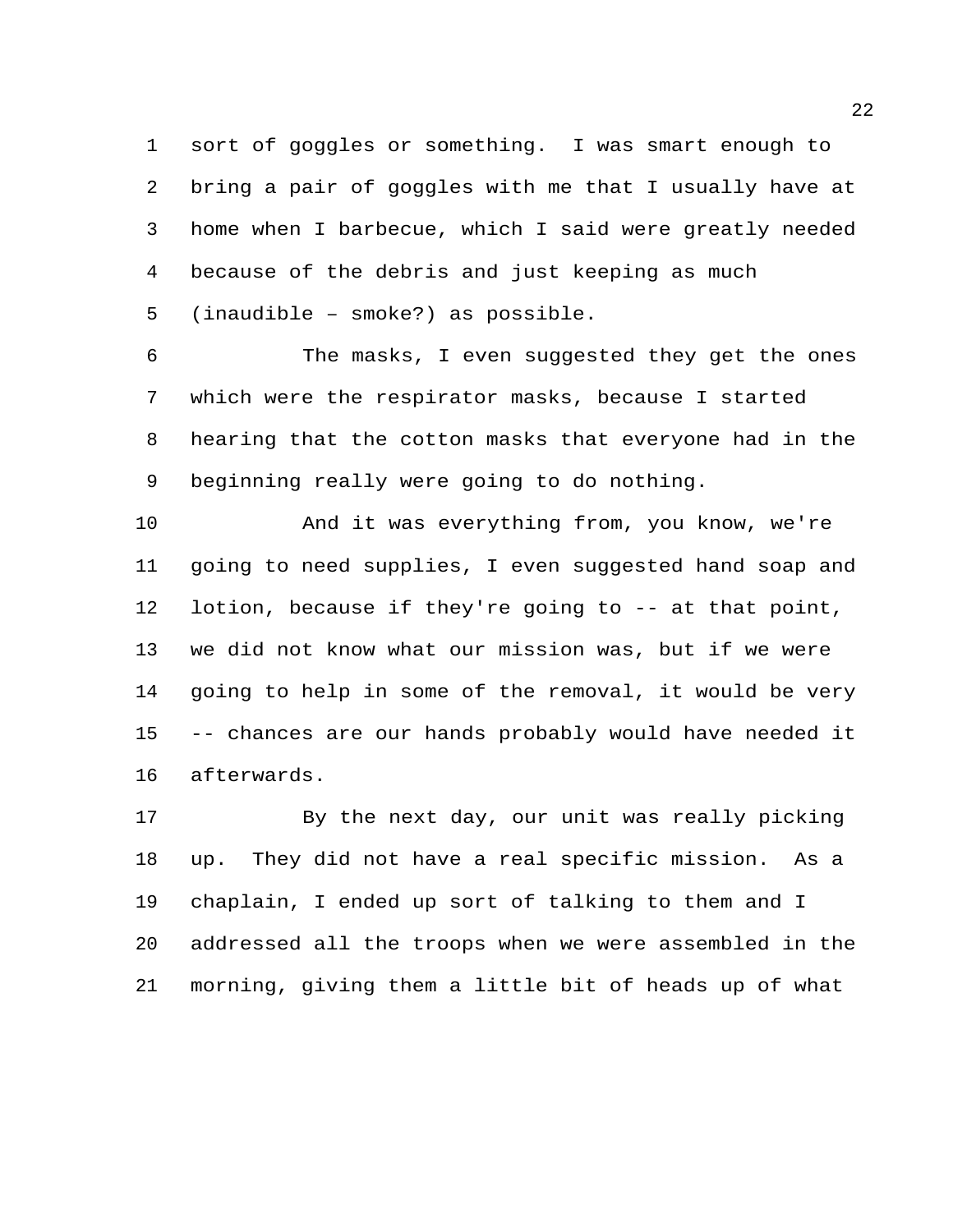sort of goggles or something. I was smart enough to bring a pair of goggles with me that I usually have at home when I barbecue, which I said were greatly needed because of the debris and just keeping as much (inaudible – smoke?) as possible.

 The masks, I even suggested they get the ones which were the respirator masks, because I started hearing that the cotton masks that everyone had in the beginning really were going to do nothing.

 And it was everything from, you know, we're going to need supplies, I even suggested hand soap and lotion, because if they're going to -- at that point, we did not know what our mission was, but if we were going to help in some of the removal, it would be very -- chances are our hands probably would have needed it afterwards.

 By the next day, our unit was really picking up. They did not have a real specific mission. As a chaplain, I ended up sort of talking to them and I addressed all the troops when we were assembled in the morning, giving them a little bit of heads up of what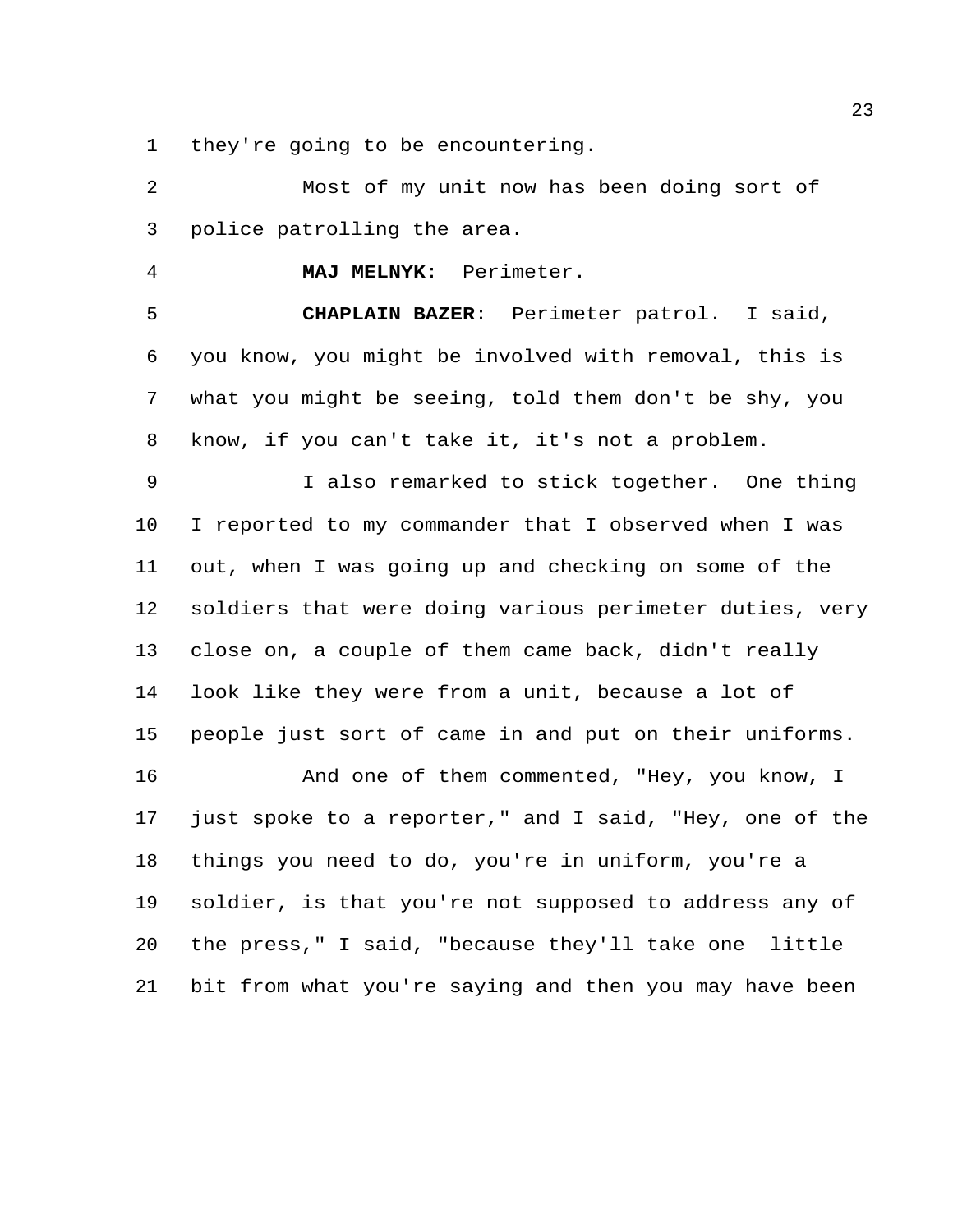they're going to be encountering.

 Most of my unit now has been doing sort of police patrolling the area.

**MAJ MELNYK**: Perimeter.

 **CHAPLAIN BAZER**: Perimeter patrol. I said, you know, you might be involved with removal, this is what you might be seeing, told them don't be shy, you know, if you can't take it, it's not a problem.

 I also remarked to stick together. One thing I reported to my commander that I observed when I was out, when I was going up and checking on some of the soldiers that were doing various perimeter duties, very close on, a couple of them came back, didn't really look like they were from a unit, because a lot of people just sort of came in and put on their uniforms.

 And one of them commented, "Hey, you know, I just spoke to a reporter," and I said, "Hey, one of the things you need to do, you're in uniform, you're a soldier, is that you're not supposed to address any of the press," I said, "because they'll take one little bit from what you're saying and then you may have been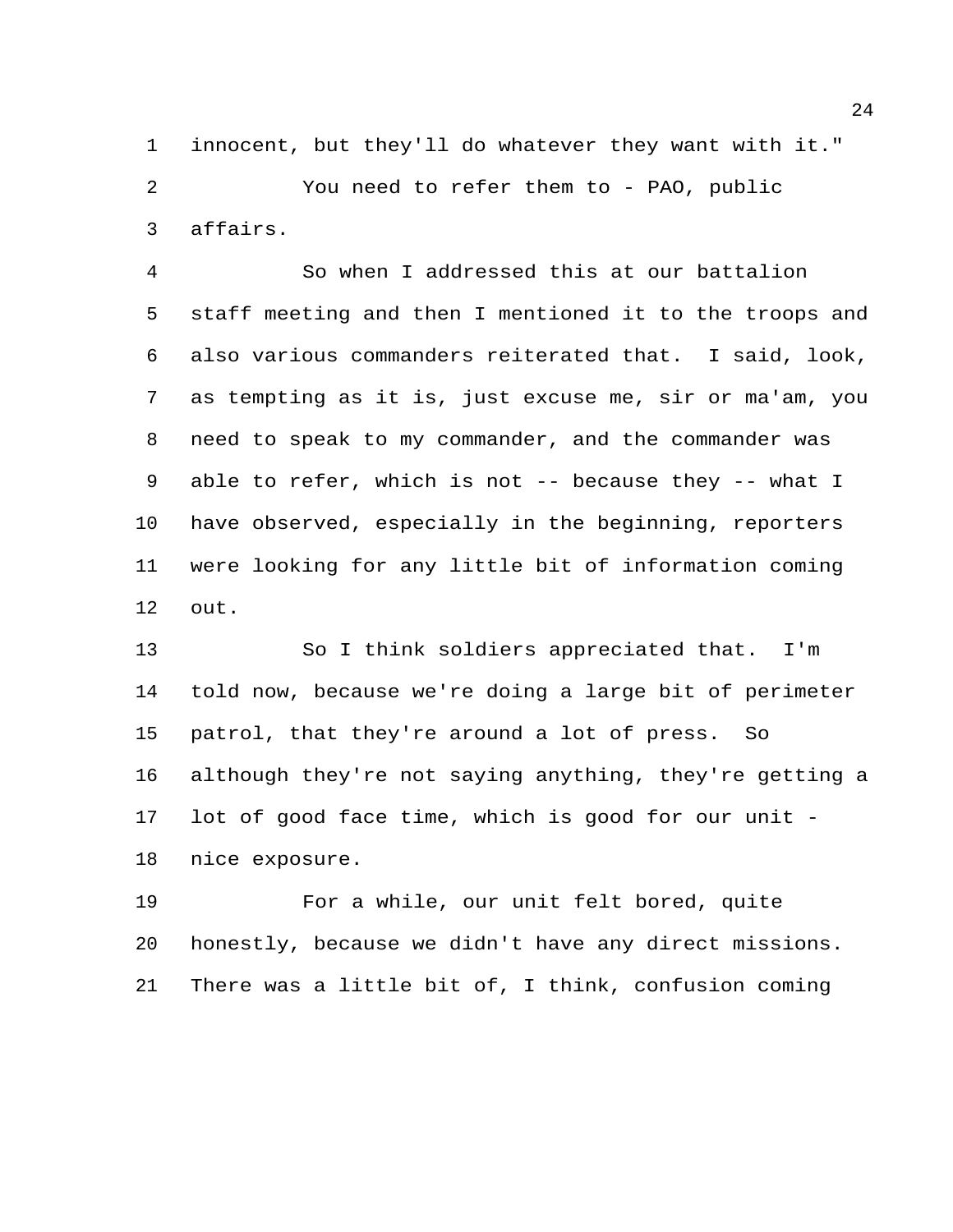innocent, but they'll do whatever they want with it." You need to refer them to - PAO, public affairs.

 So when I addressed this at our battalion staff meeting and then I mentioned it to the troops and also various commanders reiterated that. I said, look, as tempting as it is, just excuse me, sir or ma'am, you need to speak to my commander, and the commander was able to refer, which is not -- because they -- what I have observed, especially in the beginning, reporters were looking for any little bit of information coming out.

 So I think soldiers appreciated that. I'm told now, because we're doing a large bit of perimeter patrol, that they're around a lot of press. So although they're not saying anything, they're getting a lot of good face time, which is good for our unit - nice exposure.

 For a while, our unit felt bored, quite honestly, because we didn't have any direct missions. There was a little bit of, I think, confusion coming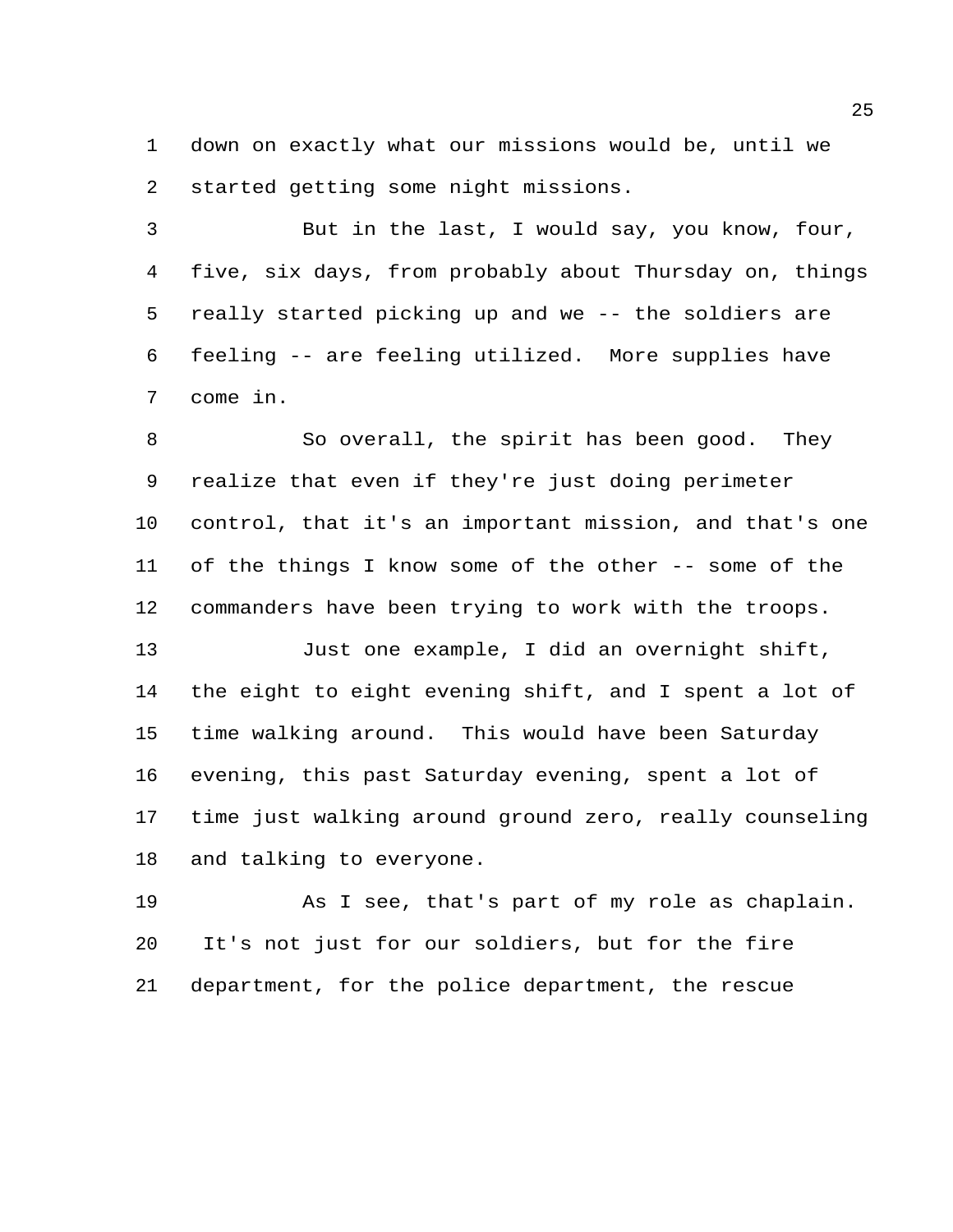down on exactly what our missions would be, until we started getting some night missions.

 But in the last, I would say, you know, four, five, six days, from probably about Thursday on, things really started picking up and we -- the soldiers are feeling -- are feeling utilized. More supplies have come in.

8 So overall, the spirit has been good. They realize that even if they're just doing perimeter control, that it's an important mission, and that's one of the things I know some of the other -- some of the commanders have been trying to work with the troops.

 Just one example, I did an overnight shift, the eight to eight evening shift, and I spent a lot of time walking around. This would have been Saturday evening, this past Saturday evening, spent a lot of time just walking around ground zero, really counseling and talking to everyone.

 As I see, that's part of my role as chaplain. It's not just for our soldiers, but for the fire department, for the police department, the rescue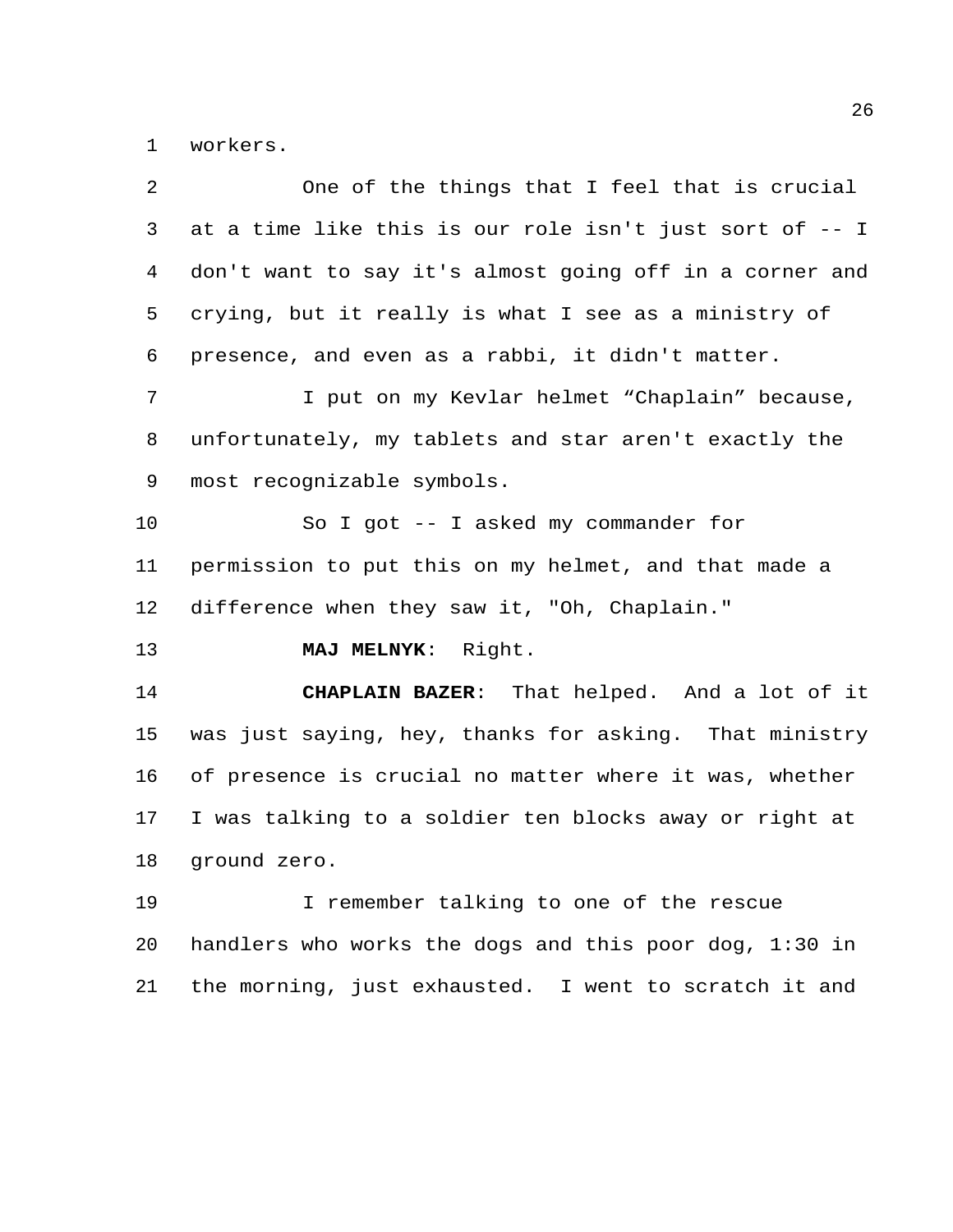workers.

|    | One of the things that I feel that is crucial           |
|----|---------------------------------------------------------|
| 3  | at a time like this is our role isn't just sort of -- I |
| 4  | don't want to say it's almost going off in a corner and |
| 5  | crying, but it really is what I see as a ministry of    |
| 6  | presence, and even as a rabbi, it didn't matter.        |
| 7  | I put on my Kevlar helmet "Chaplain" because,           |
| 8  | unfortunately, my tablets and star aren't exactly the   |
| 9  | most recognizable symbols.                              |
| 10 | So I got -- I asked my commander for                    |
| 11 | permission to put this on my helmet, and that made a    |
| 12 | difference when they saw it, "Oh, Chaplain."            |
|    |                                                         |
| 13 | MAJ MELNYK: Right.                                      |
| 14 | CHAPLAIN BAZER: That helped. And a lot of it            |
| 15 | was just saying, hey, thanks for asking. That ministry  |
| 16 | of presence is crucial no matter where it was, whether  |
| 17 | I was talking to a soldier ten blocks away or right at  |
| 18 | ground zero.                                            |
| 19 | I remember talking to one of the rescue                 |
| 20 | handlers who works the dogs and this poor dog, 1:30 in  |
| 21 | the morning, just exhausted. I went to scratch it and   |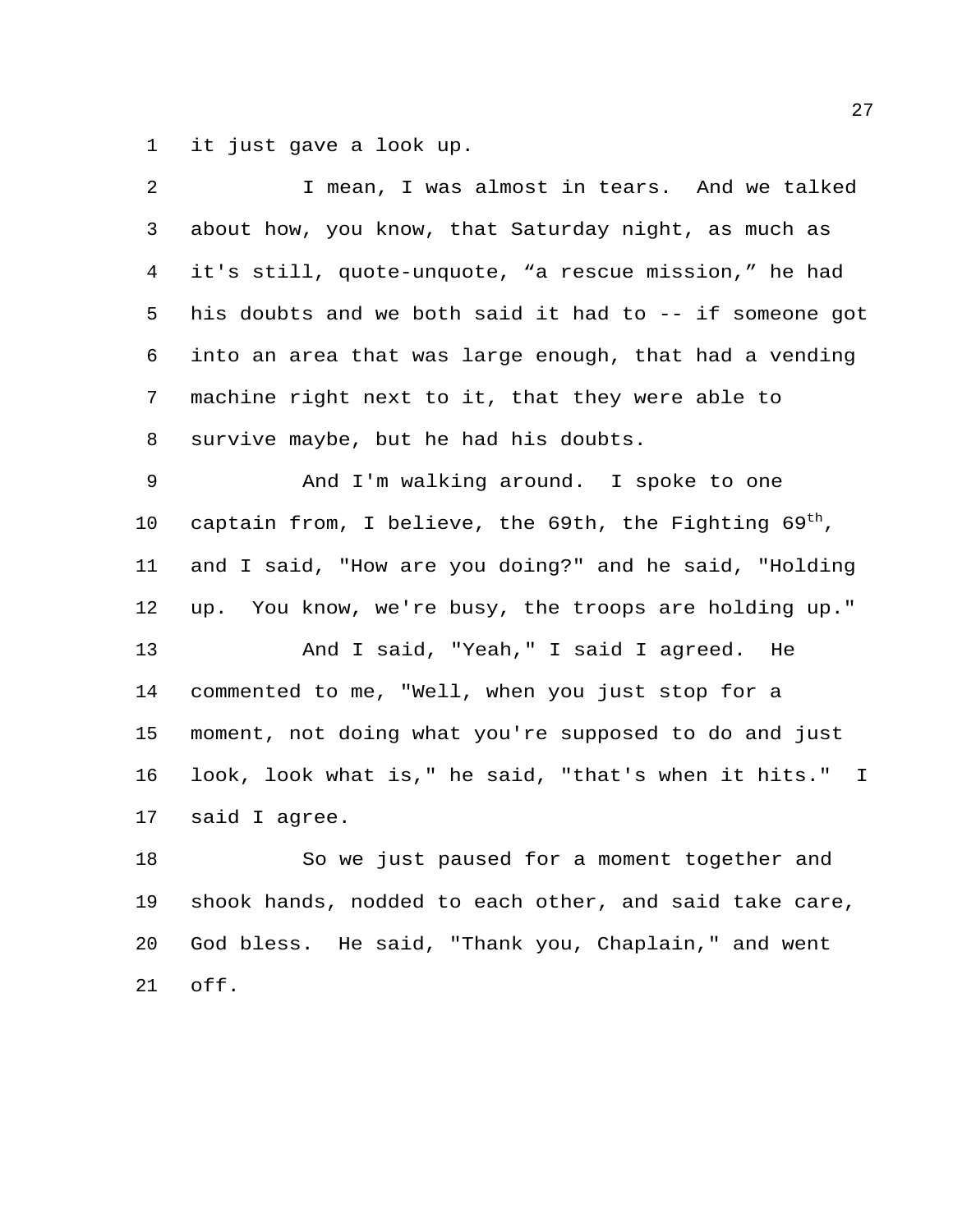it just gave a look up.

| 2              | I mean, I was almost in tears. And we talked                |
|----------------|-------------------------------------------------------------|
| 3              | about how, you know, that Saturday night, as much as        |
| $\overline{4}$ | it's still, quote-unquote, "a rescue mission," he had       |
| 5              | his doubts and we both said it had to -- if someone got     |
| 6              | into an area that was large enough, that had a vending      |
| 7              | machine right next to it, that they were able to            |
| 8              | survive maybe, but he had his doubts.                       |
| 9              | And I'm walking around. I spoke to one                      |
| 10             | captain from, I believe, the 69th, the Fighting $69^{th}$ , |
| 11             | and I said, "How are you doing?" and he said, "Holding      |
| 12             | up. You know, we're busy, the troops are holding up."       |
| 13             | And I said, "Yeah," I said I agreed.<br>He                  |
| 14             | commented to me, "Well, when you just stop for a            |
| 15             | moment, not doing what you're supposed to do and just       |
| 16             | look, look what is," he said, "that's when it hits." I      |
| 17             | said I agree.                                               |
| 18             | So we just paused for a moment together and                 |
| 19             | shook hands, nodded to each other, and said take care,      |
| 20             | God bless. He said, "Thank you, Chaplain," and went         |
| 21             | off.                                                        |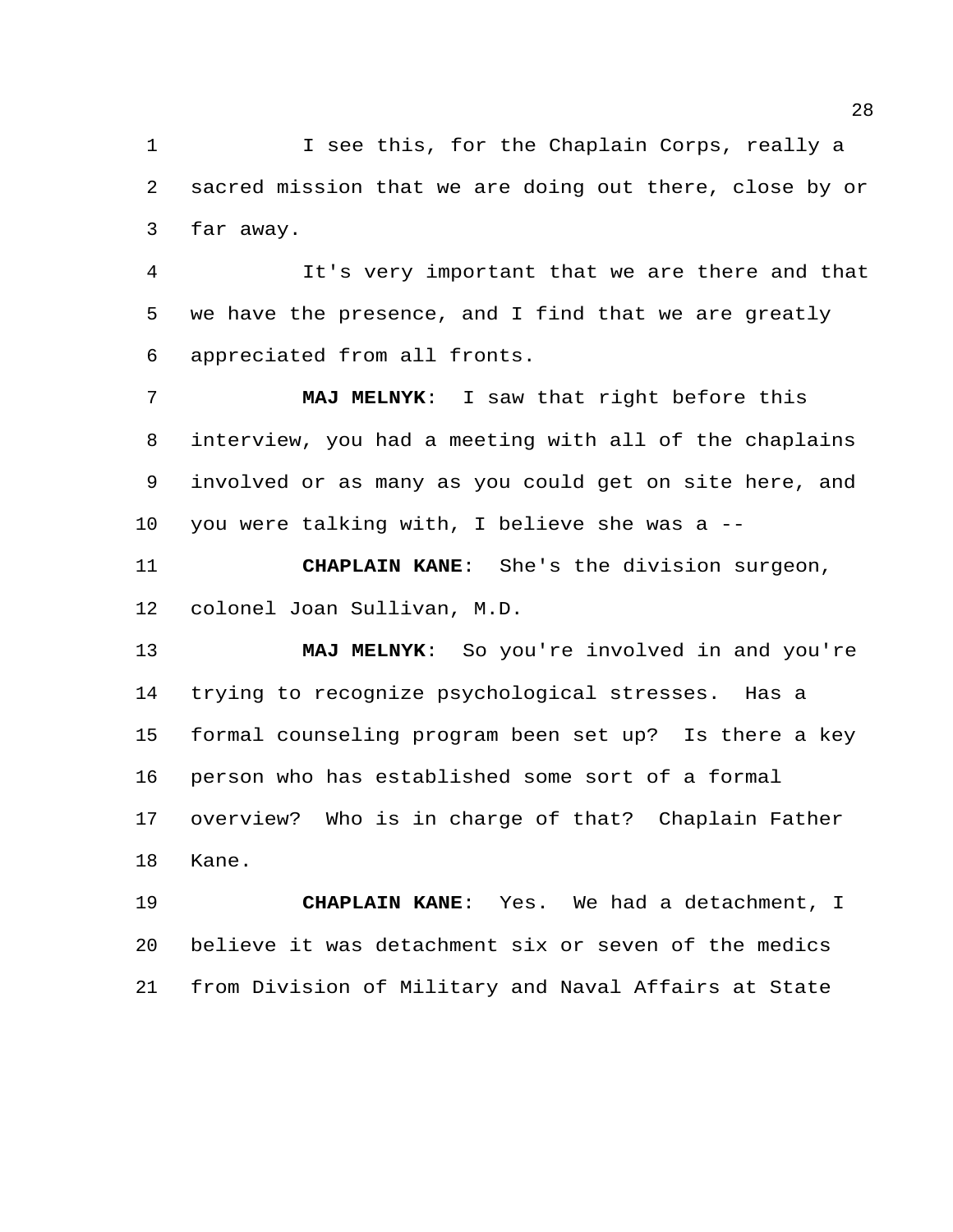I see this, for the Chaplain Corps, really a sacred mission that we are doing out there, close by or far away.

 It's very important that we are there and that we have the presence, and I find that we are greatly appreciated from all fronts.

 **MAJ MELNYK**: I saw that right before this interview, you had a meeting with all of the chaplains involved or as many as you could get on site here, and you were talking with, I believe she was a --

 **CHAPLAIN KANE**: She's the division surgeon, colonel Joan Sullivan, M.D.

 **MAJ MELNYK**: So you're involved in and you're trying to recognize psychological stresses. Has a formal counseling program been set up? Is there a key person who has established some sort of a formal overview? Who is in charge of that? Chaplain Father Kane.

 **CHAPLAIN KANE**: Yes. We had a detachment, I believe it was detachment six or seven of the medics from Division of Military and Naval Affairs at State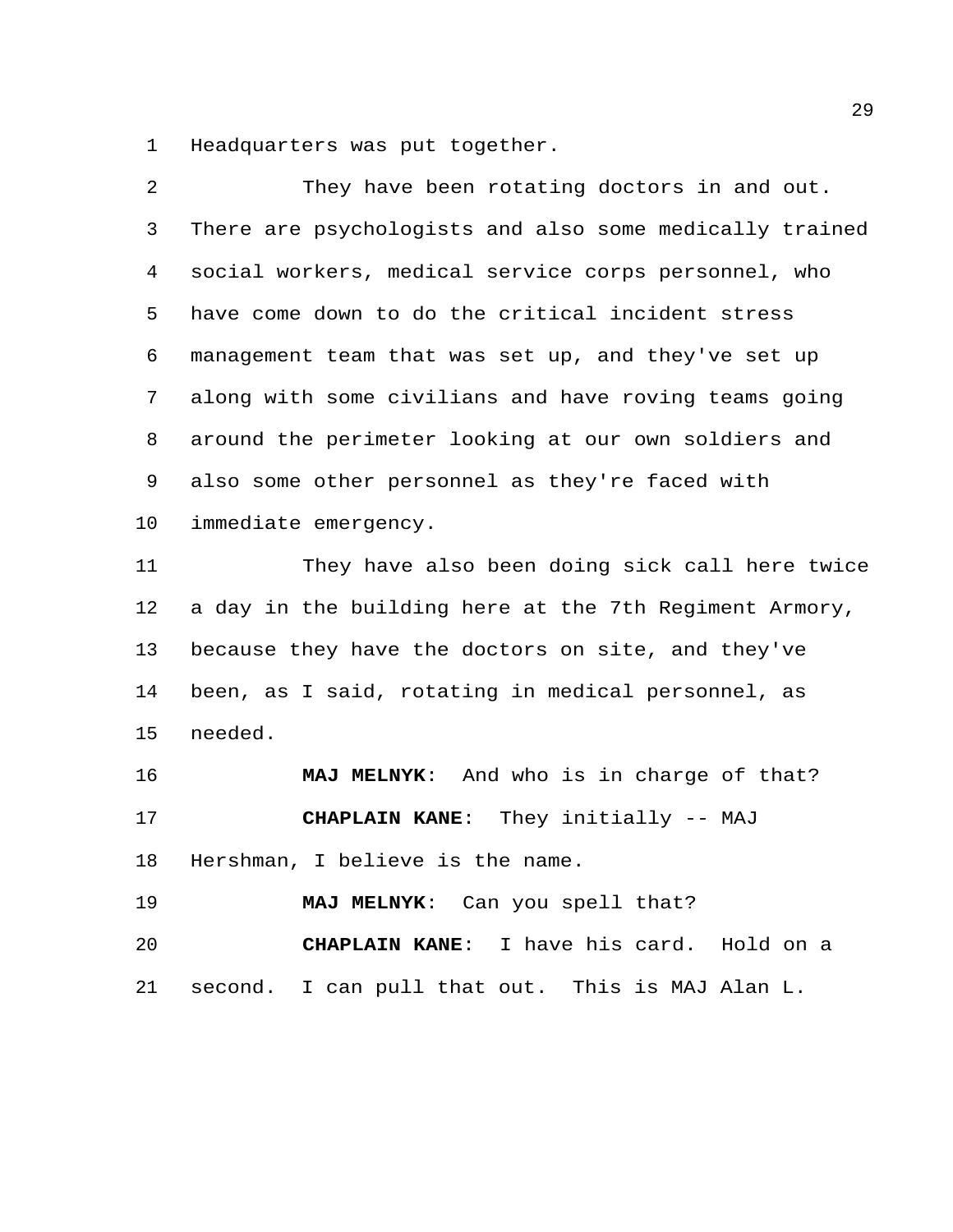Headquarters was put together.

| 2  | They have been rotating doctors in and out.             |
|----|---------------------------------------------------------|
| 3  | There are psychologists and also some medically trained |
| 4  | social workers, medical service corps personnel, who    |
| 5  | have come down to do the critical incident stress       |
| 6  | management team that was set up, and they've set up     |
| 7  | along with some civilians and have roving teams going   |
| 8  | around the perimeter looking at our own soldiers and    |
| 9  | also some other personnel as they're faced with         |
| 10 | immediate emergency.                                    |
| 11 | They have also been doing sick call here twice          |
| 12 | a day in the building here at the 7th Regiment Armory,  |
| 13 | because they have the doctors on site, and they've      |
| 14 | been, as I said, rotating in medical personnel, as      |
| 15 | needed.                                                 |
| 16 | MAJ MELNYK: And who is in charge of that?               |
| 17 | CHAPLAIN KANE: They initially -- MAJ                    |
| 18 | Hershman, I believe is the name.                        |
| 19 | MAJ MELNYK: Can you spell that?                         |
| 20 | CHAPLAIN KANE: I have his card. Hold on a               |
| 21 | second. I can pull that out. This is MAJ Alan L.        |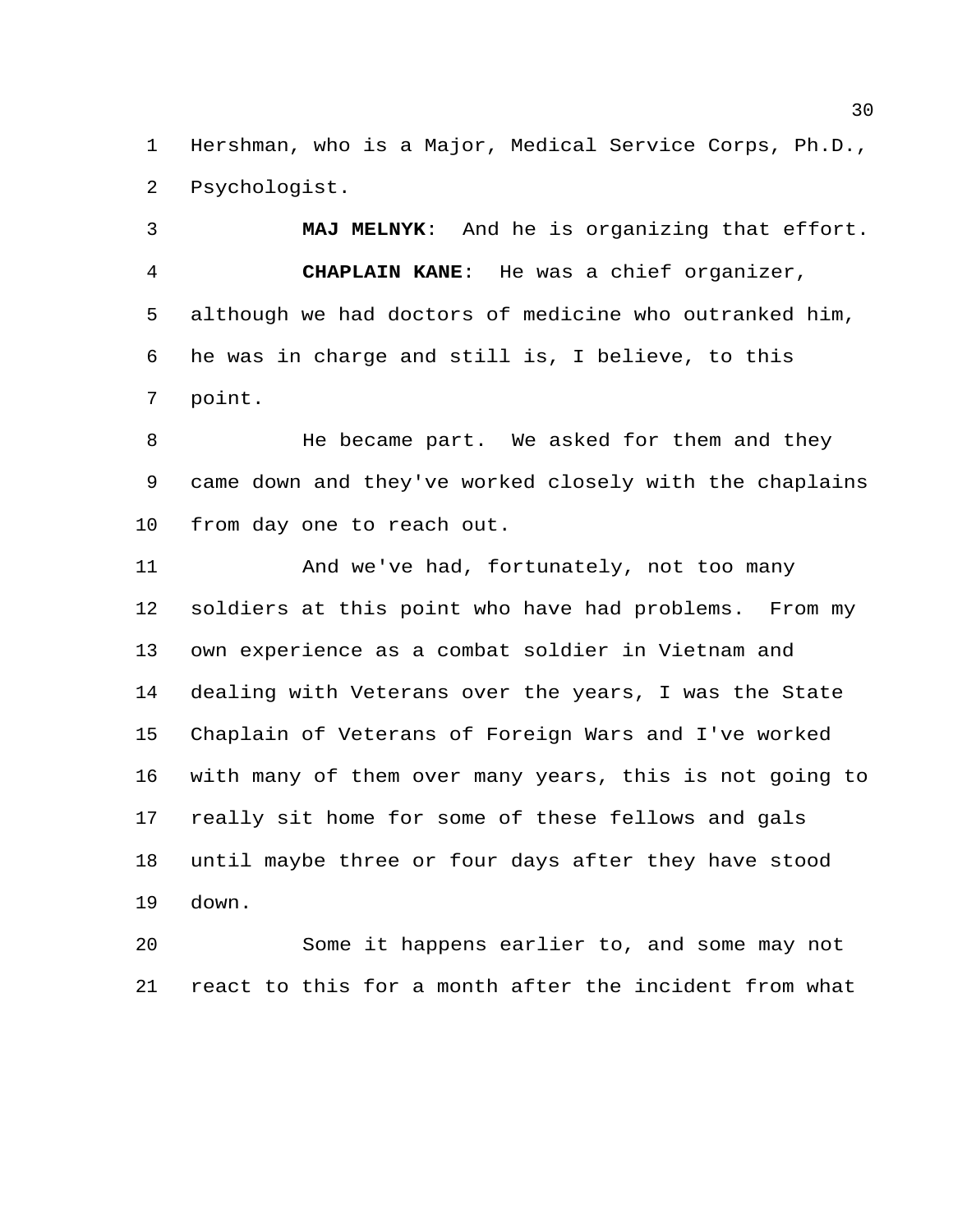Hershman, who is a Major, Medical Service Corps, Ph.D., Psychologist.

 **MAJ MELNYK**: And he is organizing that effort. **CHAPLAIN KANE**: He was a chief organizer, although we had doctors of medicine who outranked him, he was in charge and still is, I believe, to this point.

8 He became part. We asked for them and they came down and they've worked closely with the chaplains from day one to reach out.

 And we've had, fortunately, not too many soldiers at this point who have had problems. From my own experience as a combat soldier in Vietnam and dealing with Veterans over the years, I was the State Chaplain of Veterans of Foreign Wars and I've worked with many of them over many years, this is not going to really sit home for some of these fellows and gals until maybe three or four days after they have stood down.

 Some it happens earlier to, and some may not react to this for a month after the incident from what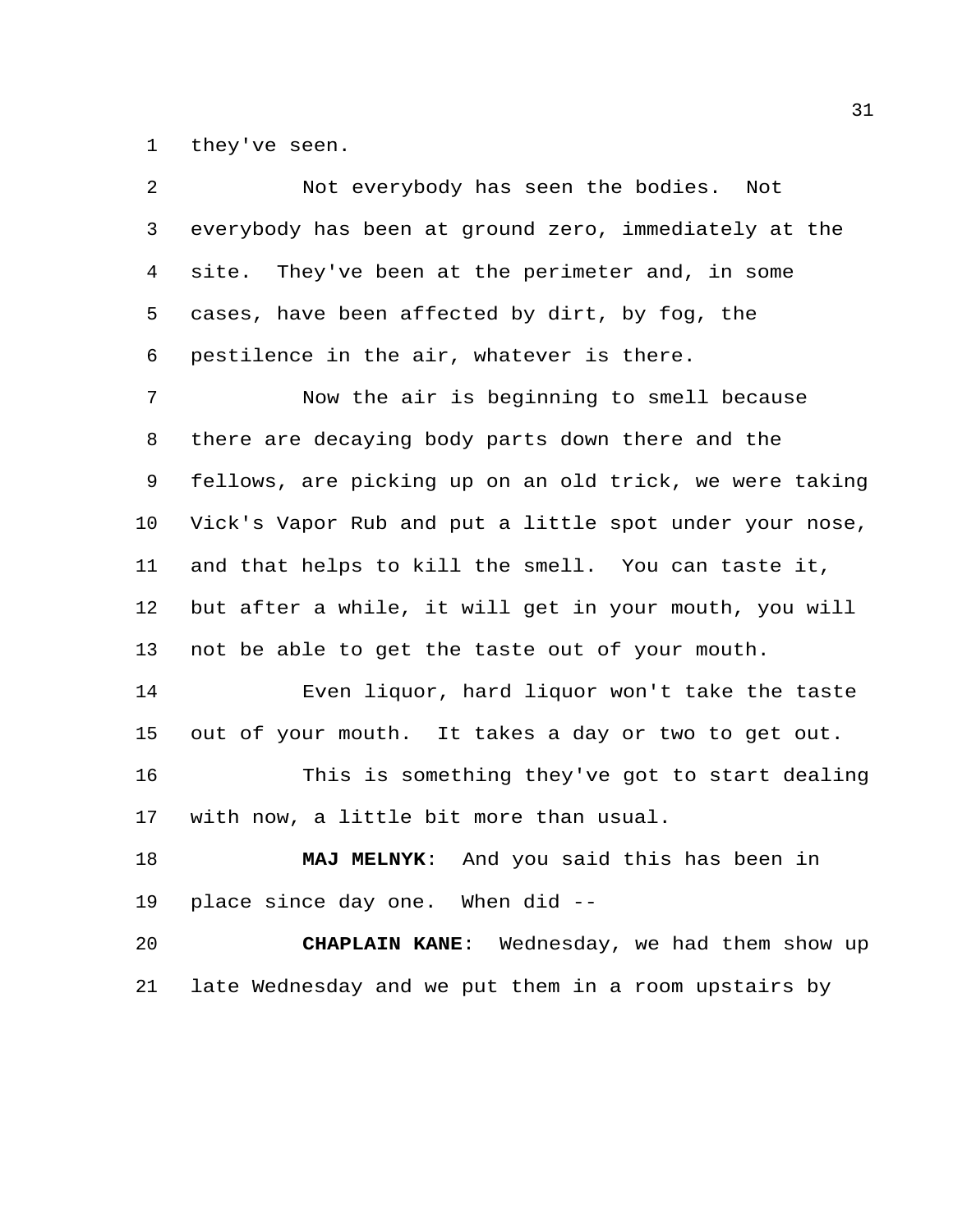they've seen.

| 2       | Not everybody has seen the bodies. Not                  |
|---------|---------------------------------------------------------|
| 3       | everybody has been at ground zero, immediately at the   |
| 4       | site. They've been at the perimeter and, in some        |
| 5       | cases, have been affected by dirt, by fog, the          |
| 6       | pestilence in the air, whatever is there.               |
| 7       | Now the air is beginning to smell because               |
| 8       | there are decaying body parts down there and the        |
| 9       | fellows, are picking up on an old trick, we were taking |
| $10 \,$ | Vick's Vapor Rub and put a little spot under your nose, |
| 11      | and that helps to kill the smell. You can taste it,     |
| 12      | but after a while, it will get in your mouth, you will  |
| 13      | not be able to get the taste out of your mouth.         |
| 14      | Even liquor, hard liquor won't take the taste           |
| 15      | out of your mouth. It takes a day or two to get out.    |
| 16      | This is something they've got to start dealing          |
| 17      | with now, a little bit more than usual.                 |
| 18      | MAJ MELNYK: And you said this has been in               |
| 19      | place since day one. When did --                        |
| 20      | CHAPLAIN KANE: Wednesday, we had them show up           |
| 21      | late Wednesday and we put them in a room upstairs by    |
|         |                                                         |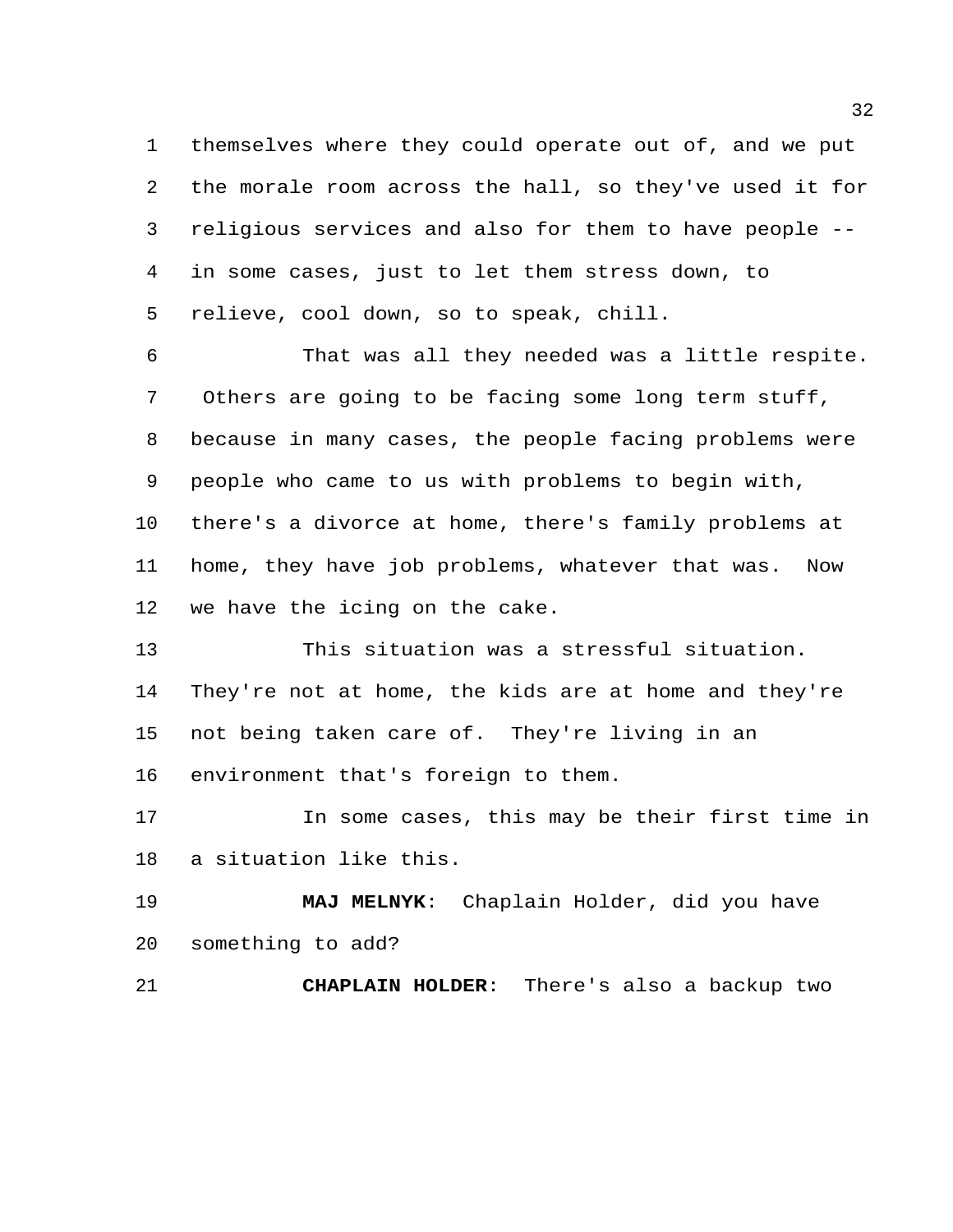themselves where they could operate out of, and we put the morale room across the hall, so they've used it for religious services and also for them to have people -- in some cases, just to let them stress down, to relieve, cool down, so to speak, chill.

 That was all they needed was a little respite. Others are going to be facing some long term stuff, because in many cases, the people facing problems were people who came to us with problems to begin with, there's a divorce at home, there's family problems at home, they have job problems, whatever that was. Now we have the icing on the cake.

 This situation was a stressful situation. They're not at home, the kids are at home and they're not being taken care of. They're living in an environment that's foreign to them.

 In some cases, this may be their first time in a situation like this.

 **MAJ MELNYK**: Chaplain Holder, did you have something to add?

**CHAPLAIN HOLDER**: There's also a backup two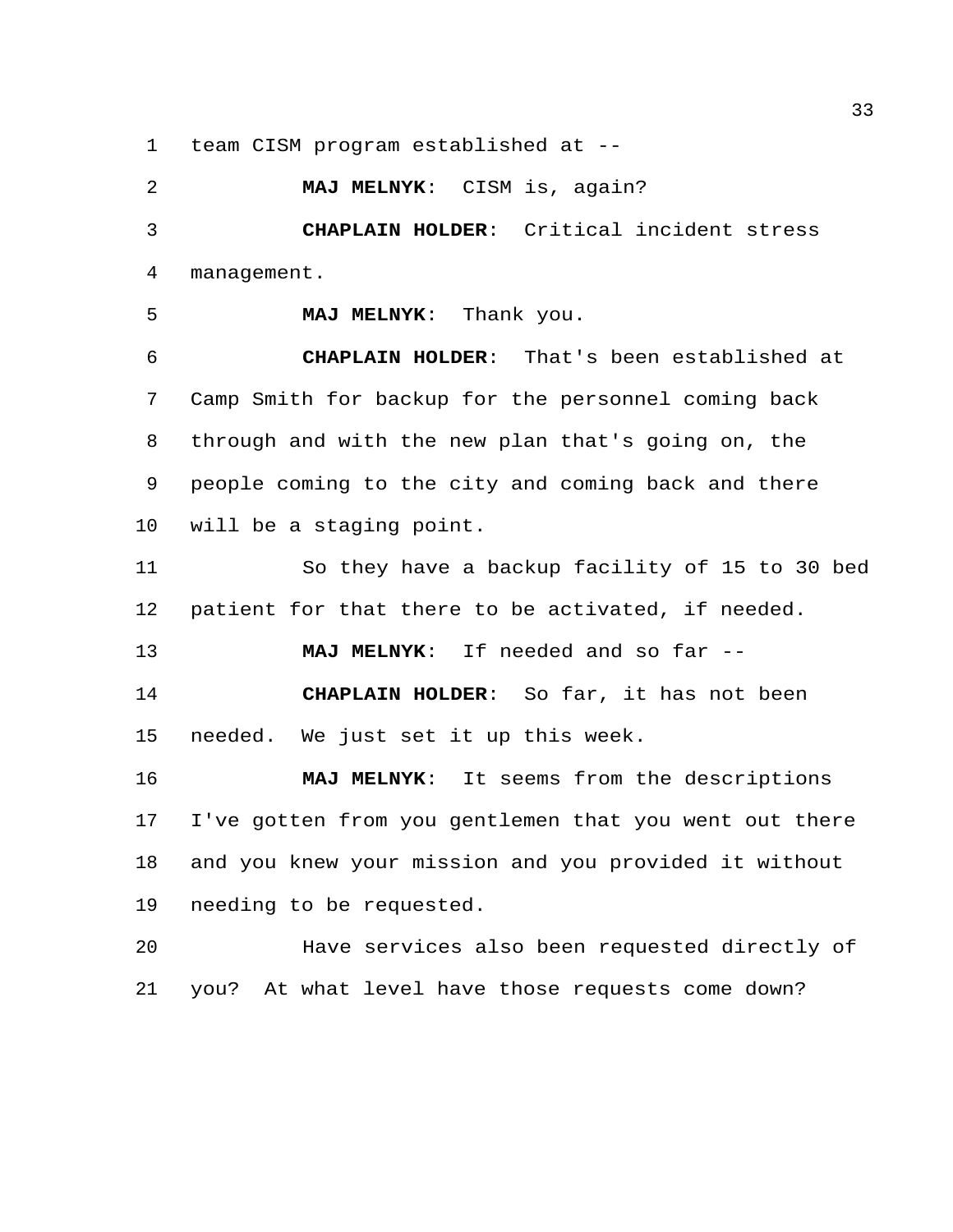team CISM program established at --

 **MAJ MELNYK**: CISM is, again? **CHAPLAIN HOLDER**: Critical incident stress management. **MAJ MELNYK**: Thank you. **CHAPLAIN HOLDER**: That's been established at Camp Smith for backup for the personnel coming back through and with the new plan that's going on, the people coming to the city and coming back and there will be a staging point. So they have a backup facility of 15 to 30 bed patient for that there to be activated, if needed. **MAJ MELNYK**: If needed and so far -- **CHAPLAIN HOLDER**: So far, it has not been needed. We just set it up this week. **MAJ MELNYK**: It seems from the descriptions I've gotten from you gentlemen that you went out there and you knew your mission and you provided it without needing to be requested.

 Have services also been requested directly of you? At what level have those requests come down?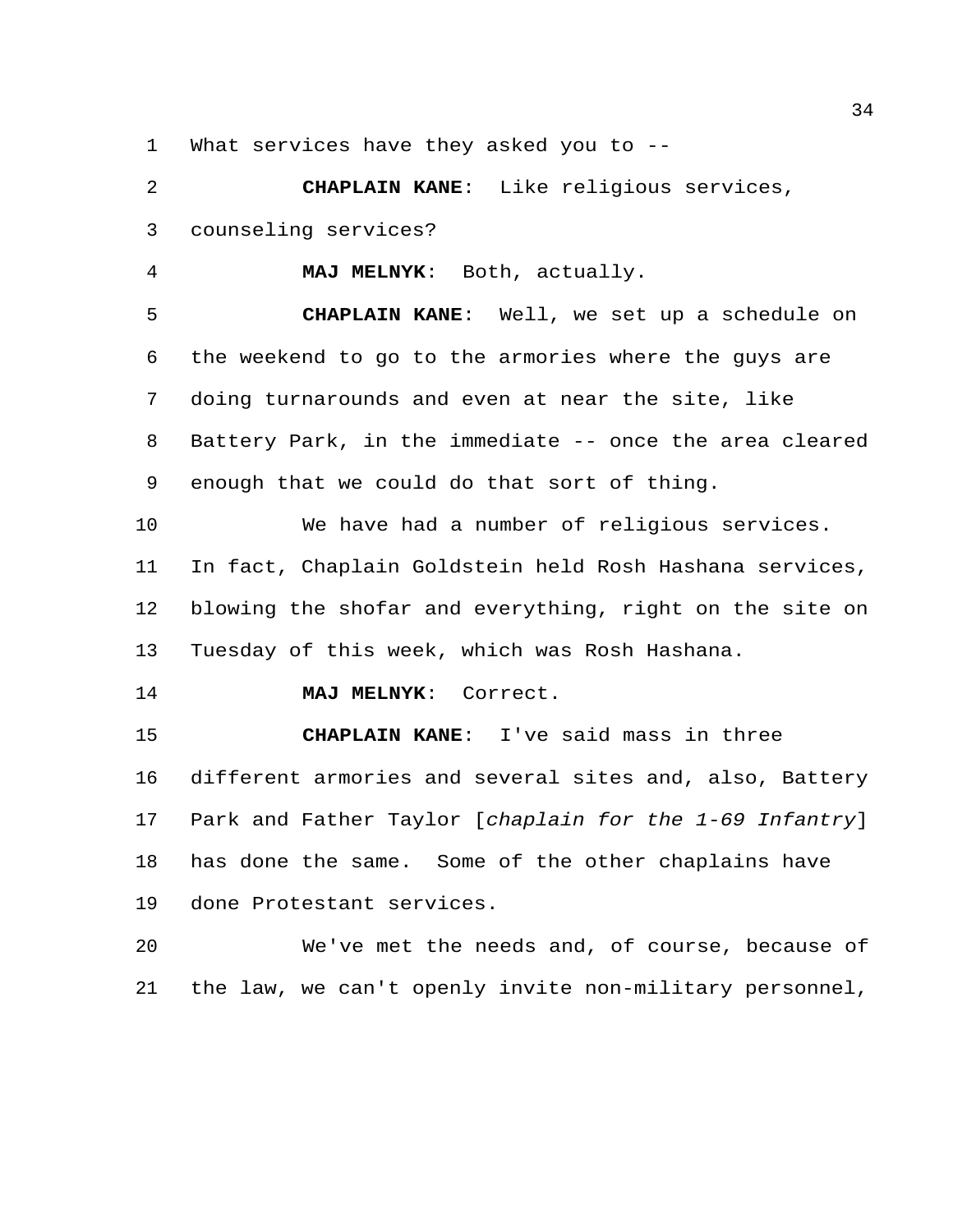What services have they asked you to --

 **CHAPLAIN KANE**: Like religious services, counseling services?

**MAJ MELNYK**: Both, actually.

 **CHAPLAIN KANE**: Well, we set up a schedule on the weekend to go to the armories where the guys are doing turnarounds and even at near the site, like Battery Park, in the immediate -- once the area cleared enough that we could do that sort of thing.

 We have had a number of religious services. In fact, Chaplain Goldstein held Rosh Hashana services, blowing the shofar and everything, right on the site on Tuesday of this week, which was Rosh Hashana.

**MAJ MELNYK**: Correct.

 **CHAPLAIN KANE**: I've said mass in three different armories and several sites and, also, Battery Park and Father Taylor [*chaplain for the 1-69 Infantry*] has done the same. Some of the other chaplains have done Protestant services.

 We've met the needs and, of course, because of the law, we can't openly invite non-military personnel,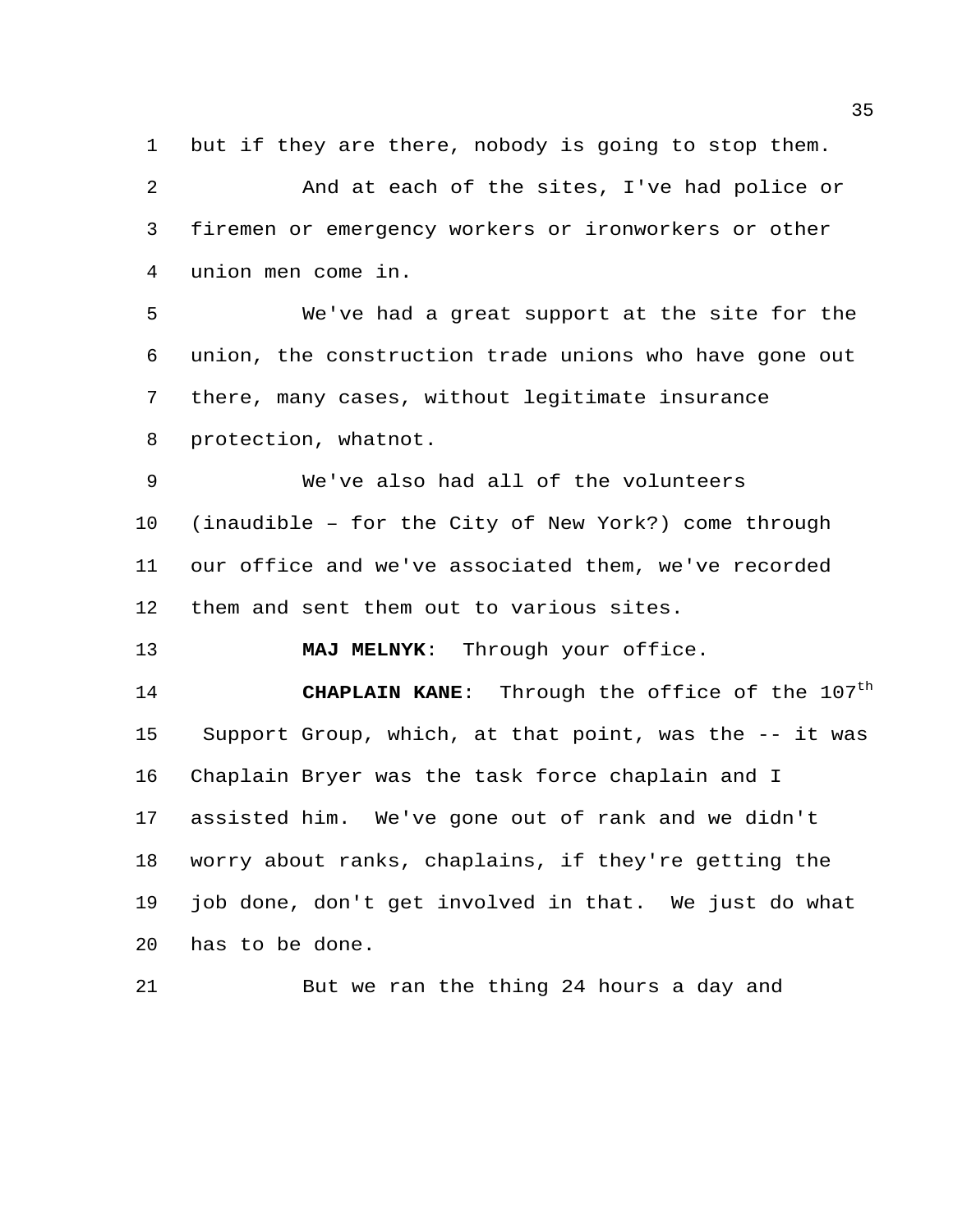but if they are there, nobody is going to stop them.

 And at each of the sites, I've had police or firemen or emergency workers or ironworkers or other union men come in.

 We've had a great support at the site for the union, the construction trade unions who have gone out there, many cases, without legitimate insurance protection, whatnot.

 We've also had all of the volunteers (inaudible – for the City of New York?) come through our office and we've associated them, we've recorded them and sent them out to various sites.

**MAJ MELNYK**: Through your office.

**CHAPLAIN KANE:** Through the office of the 107<sup>th</sup> Support Group, which, at that point, was the -- it was Chaplain Bryer was the task force chaplain and I assisted him. We've gone out of rank and we didn't worry about ranks, chaplains, if they're getting the job done, don't get involved in that. We just do what has to be done.

But we ran the thing 24 hours a day and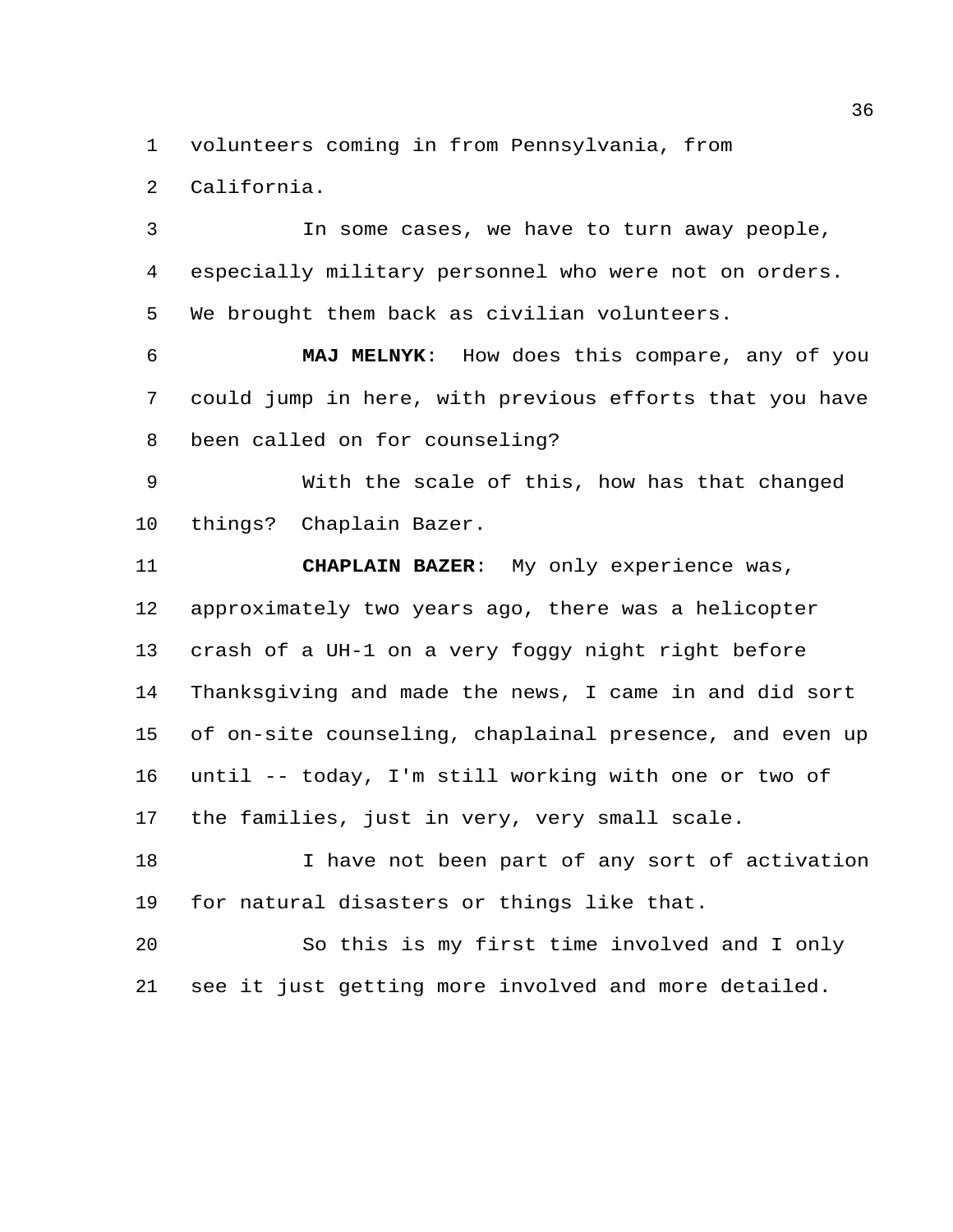volunteers coming in from Pennsylvania, from

California.

 In some cases, we have to turn away people, especially military personnel who were not on orders. We brought them back as civilian volunteers.

 **MAJ MELNYK**: How does this compare, any of you could jump in here, with previous efforts that you have been called on for counseling?

 With the scale of this, how has that changed things? Chaplain Bazer.

 **CHAPLAIN BAZER**: My only experience was, approximately two years ago, there was a helicopter crash of a UH-1 on a very foggy night right before Thanksgiving and made the news, I came in and did sort of on-site counseling, chaplainal presence, and even up until -- today, I'm still working with one or two of the families, just in very, very small scale.

 I have not been part of any sort of activation for natural disasters or things like that.

 So this is my first time involved and I only see it just getting more involved and more detailed.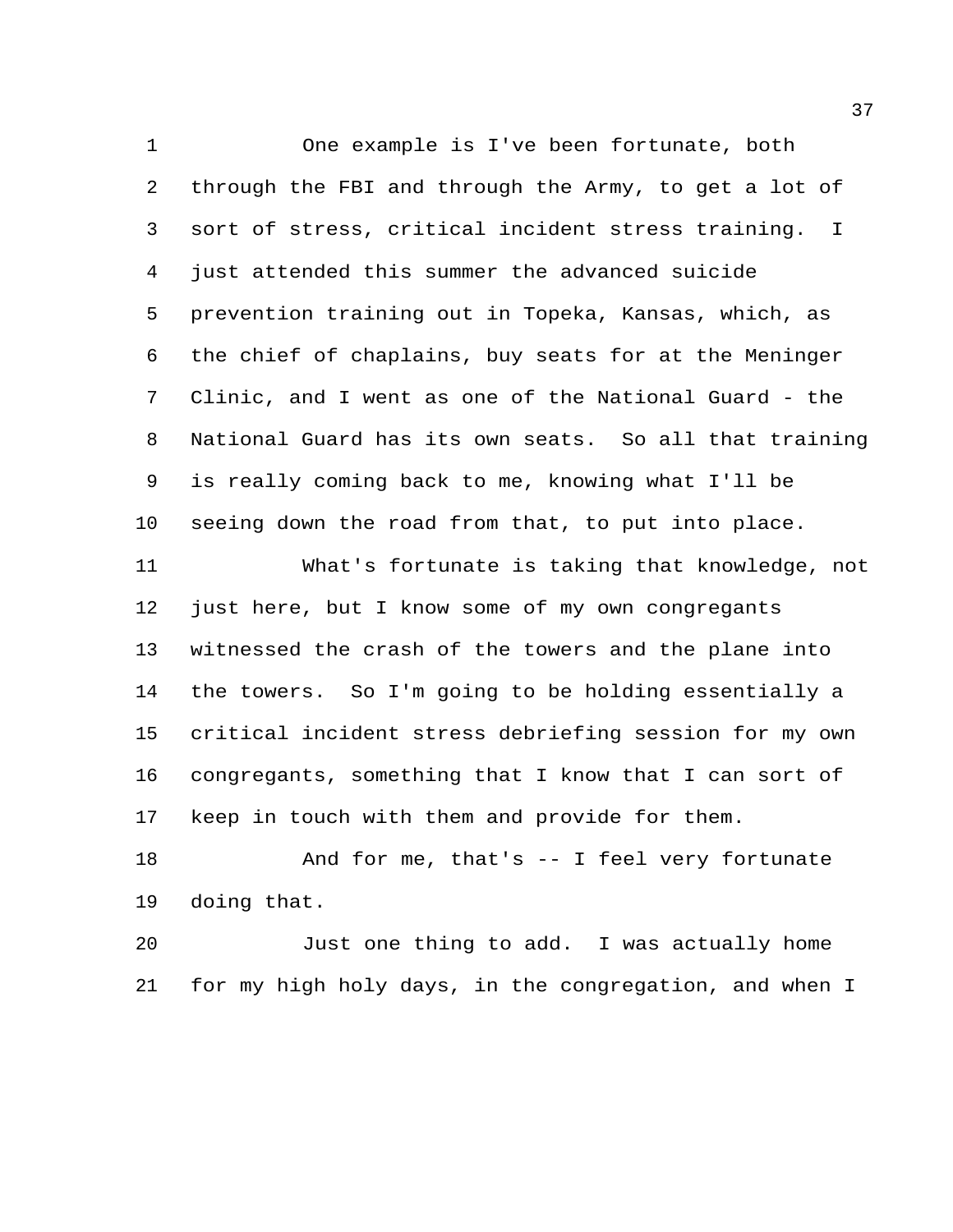One example is I've been fortunate, both through the FBI and through the Army, to get a lot of sort of stress, critical incident stress training. I just attended this summer the advanced suicide prevention training out in Topeka, Kansas, which, as the chief of chaplains, buy seats for at the Meninger Clinic, and I went as one of the National Guard - the National Guard has its own seats. So all that training is really coming back to me, knowing what I'll be seeing down the road from that, to put into place.

 What's fortunate is taking that knowledge, not just here, but I know some of my own congregants witnessed the crash of the towers and the plane into the towers. So I'm going to be holding essentially a critical incident stress debriefing session for my own congregants, something that I know that I can sort of keep in touch with them and provide for them.

18 And for me, that's -- I feel very fortunate doing that.

 Just one thing to add. I was actually home for my high holy days, in the congregation, and when I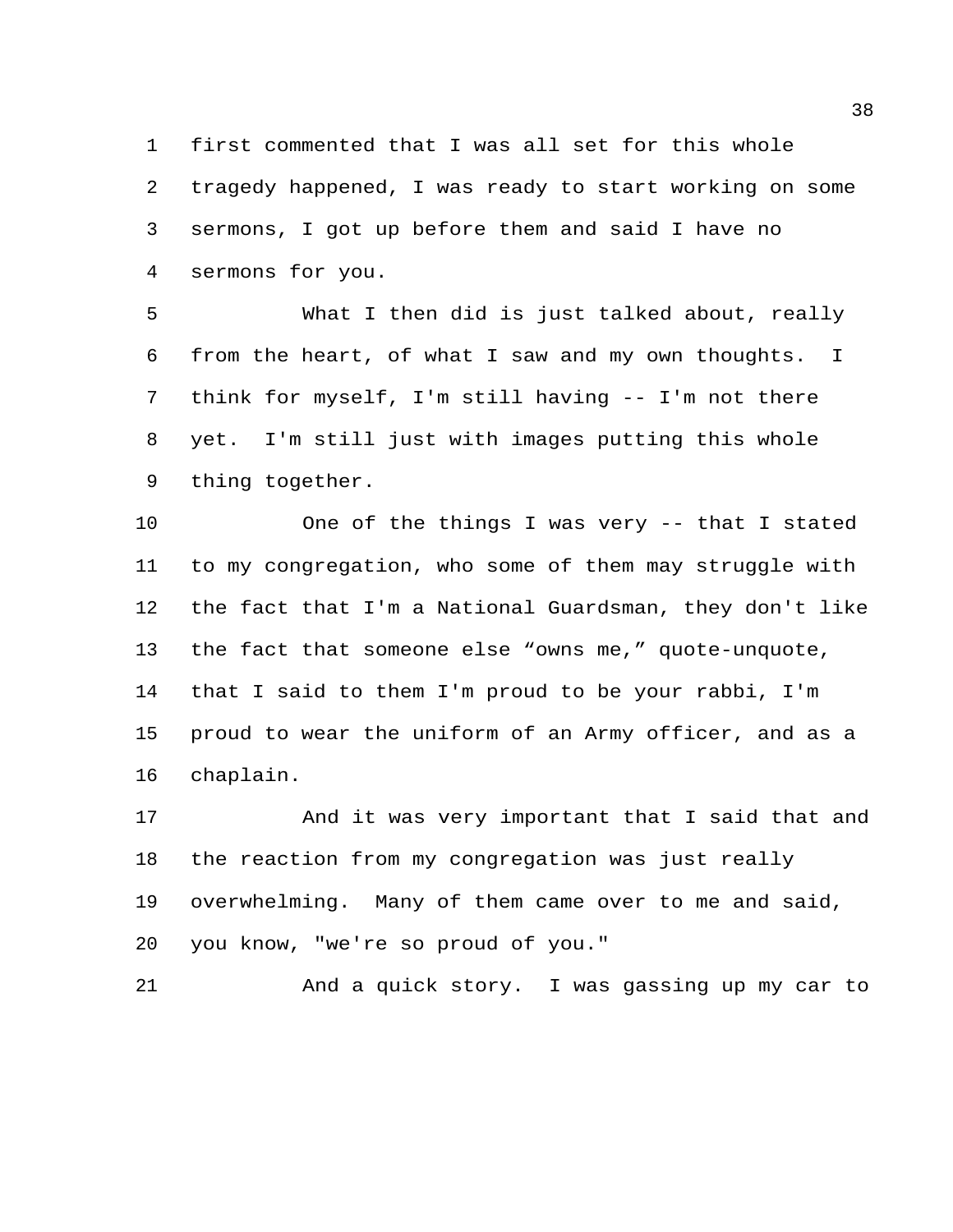first commented that I was all set for this whole tragedy happened, I was ready to start working on some sermons, I got up before them and said I have no sermons for you.

 What I then did is just talked about, really from the heart, of what I saw and my own thoughts. I think for myself, I'm still having -- I'm not there yet. I'm still just with images putting this whole thing together.

 One of the things I was very -- that I stated to my congregation, who some of them may struggle with the fact that I'm a National Guardsman, they don't like the fact that someone else "owns me," quote-unquote, that I said to them I'm proud to be your rabbi, I'm proud to wear the uniform of an Army officer, and as a chaplain.

 And it was very important that I said that and the reaction from my congregation was just really overwhelming. Many of them came over to me and said, you know, "we're so proud of you."

And a quick story. I was gassing up my car to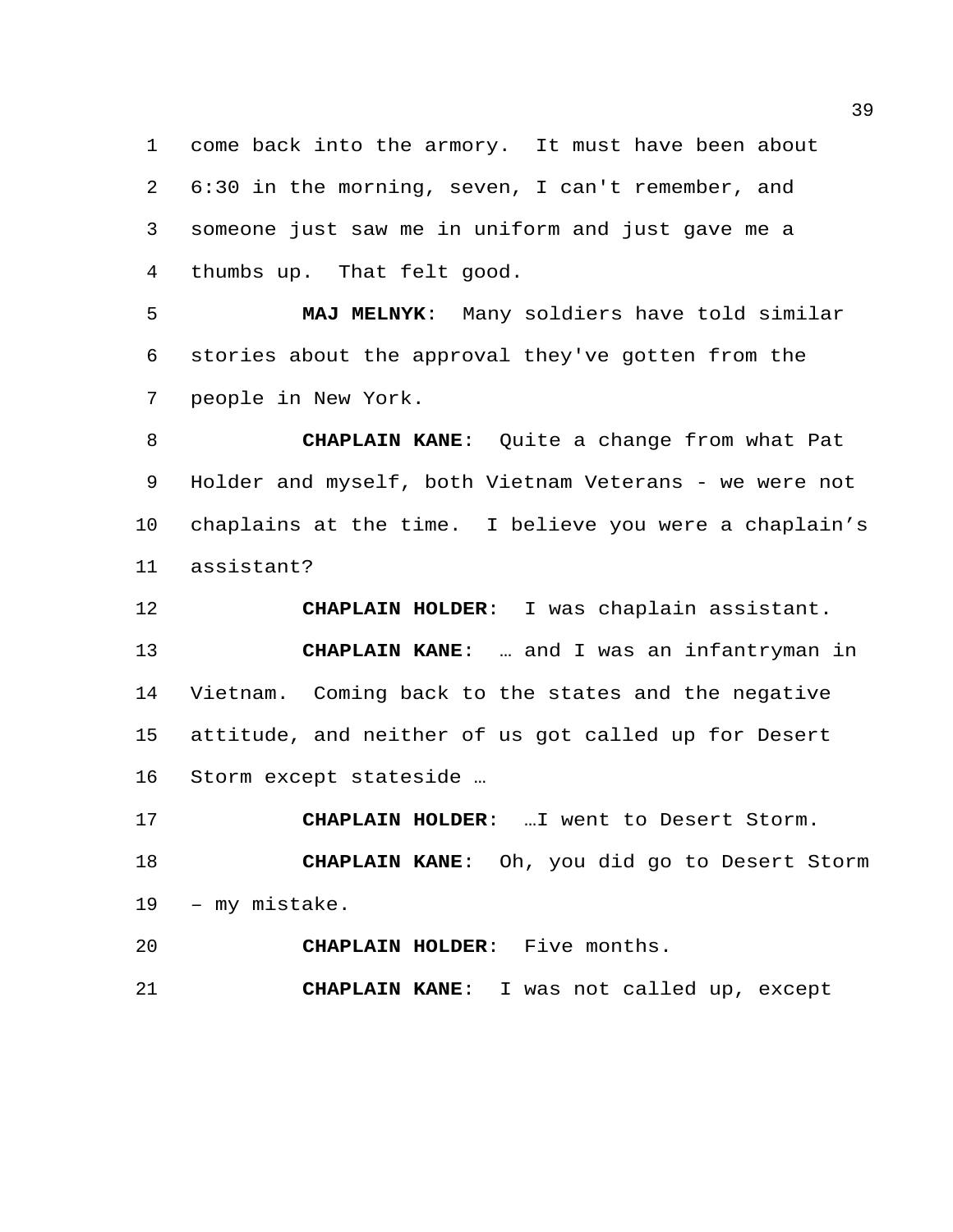come back into the armory. It must have been about 6:30 in the morning, seven, I can't remember, and someone just saw me in uniform and just gave me a thumbs up. That felt good.

 **MAJ MELNYK**: Many soldiers have told similar stories about the approval they've gotten from the people in New York.

 **CHAPLAIN KANE**: Quite a change from what Pat 9 Holder and myself, both Vietnam Veterans - we were not chaplains at the time. I believe you were a chaplain's assistant?

 **CHAPLAIN HOLDER**: I was chaplain assistant. **CHAPLAIN KANE**: … and I was an infantryman in Vietnam. Coming back to the states and the negative attitude, and neither of us got called up for Desert Storm except stateside …

 **CHAPLAIN HOLDER**: …I went to Desert Storm. **CHAPLAIN KANE**: Oh, you did go to Desert Storm – my mistake.

**CHAPLAIN HOLDER**: Five months.

**CHAPLAIN KANE**: I was not called up, except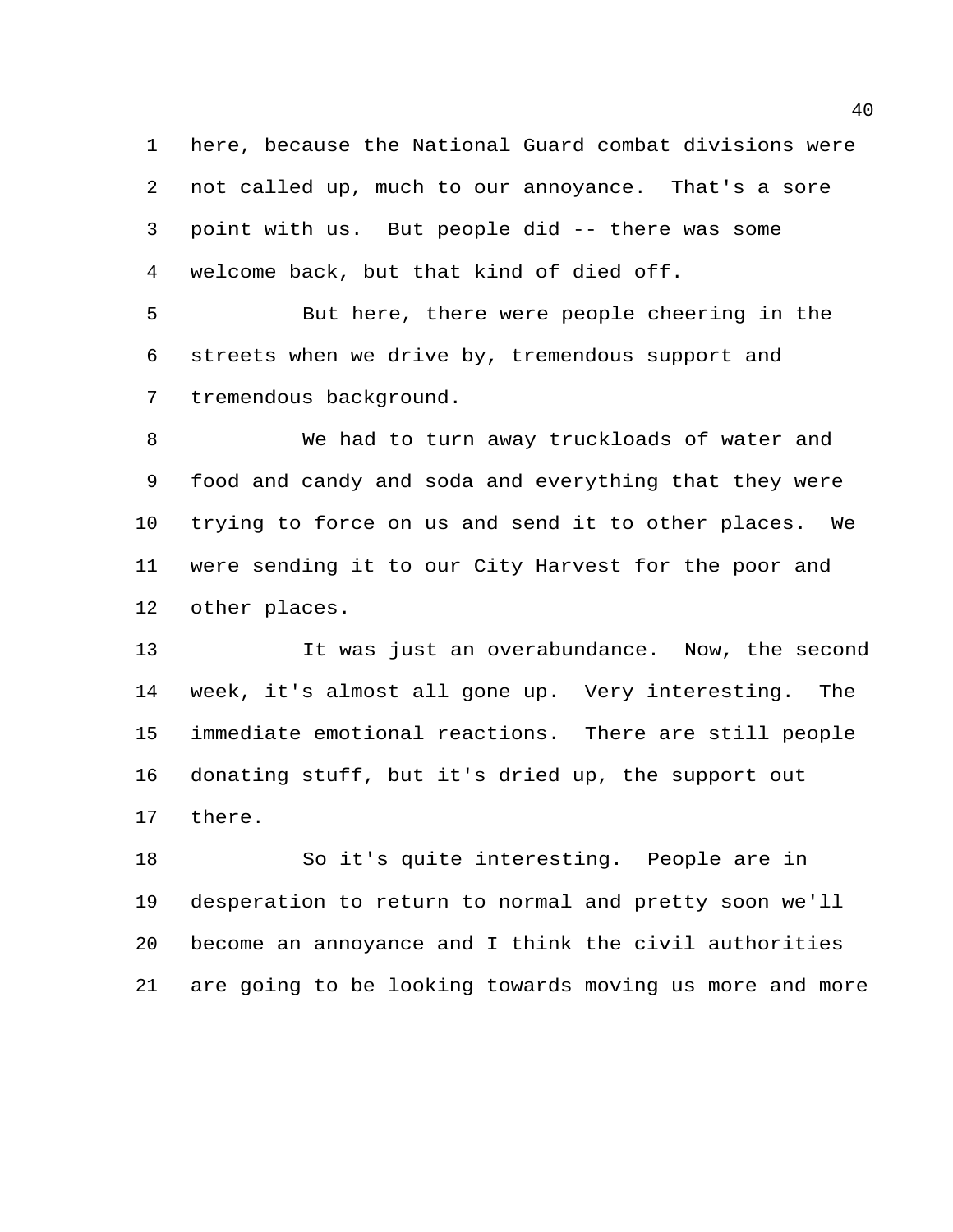here, because the National Guard combat divisions were not called up, much to our annoyance. That's a sore point with us. But people did -- there was some welcome back, but that kind of died off.

 But here, there were people cheering in the streets when we drive by, tremendous support and tremendous background.

 We had to turn away truckloads of water and food and candy and soda and everything that they were trying to force on us and send it to other places. We were sending it to our City Harvest for the poor and other places.

 It was just an overabundance. Now, the second week, it's almost all gone up. Very interesting. The immediate emotional reactions. There are still people donating stuff, but it's dried up, the support out there.

 So it's quite interesting. People are in desperation to return to normal and pretty soon we'll become an annoyance and I think the civil authorities are going to be looking towards moving us more and more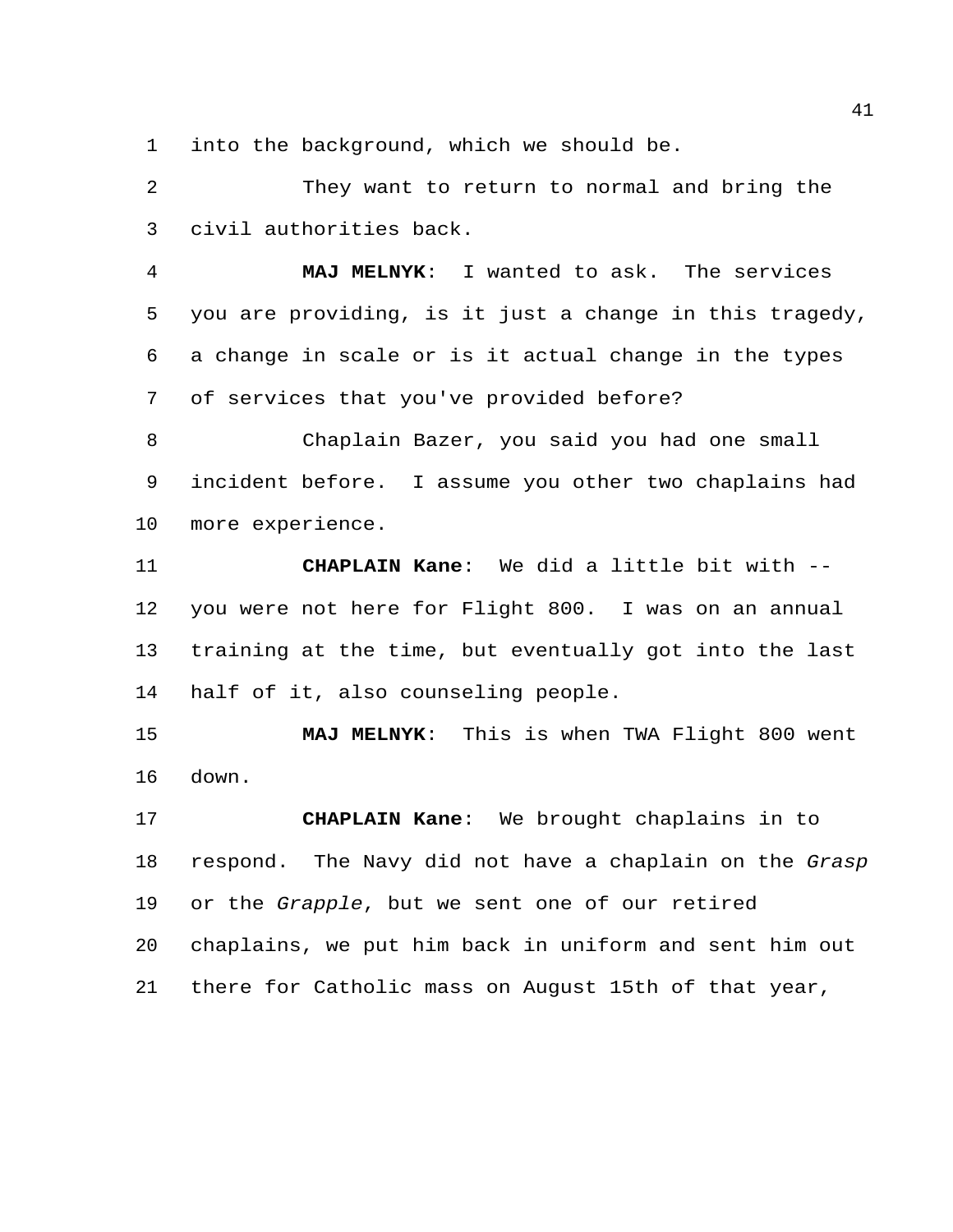into the background, which we should be.

 They want to return to normal and bring the civil authorities back.

 **MAJ MELNYK**: I wanted to ask. The services you are providing, is it just a change in this tragedy, a change in scale or is it actual change in the types of services that you've provided before?

 Chaplain Bazer, you said you had one small incident before. I assume you other two chaplains had more experience.

 **CHAPLAIN Kane**: We did a little bit with -- you were not here for Flight 800. I was on an annual training at the time, but eventually got into the last half of it, also counseling people.

 **MAJ MELNYK**: This is when TWA Flight 800 went down.

 **CHAPLAIN Kane**: We brought chaplains in to respond. The Navy did not have a chaplain on the *Grasp*  or the *Grapple*, but we sent one of our retired chaplains, we put him back in uniform and sent him out there for Catholic mass on August 15th of that year,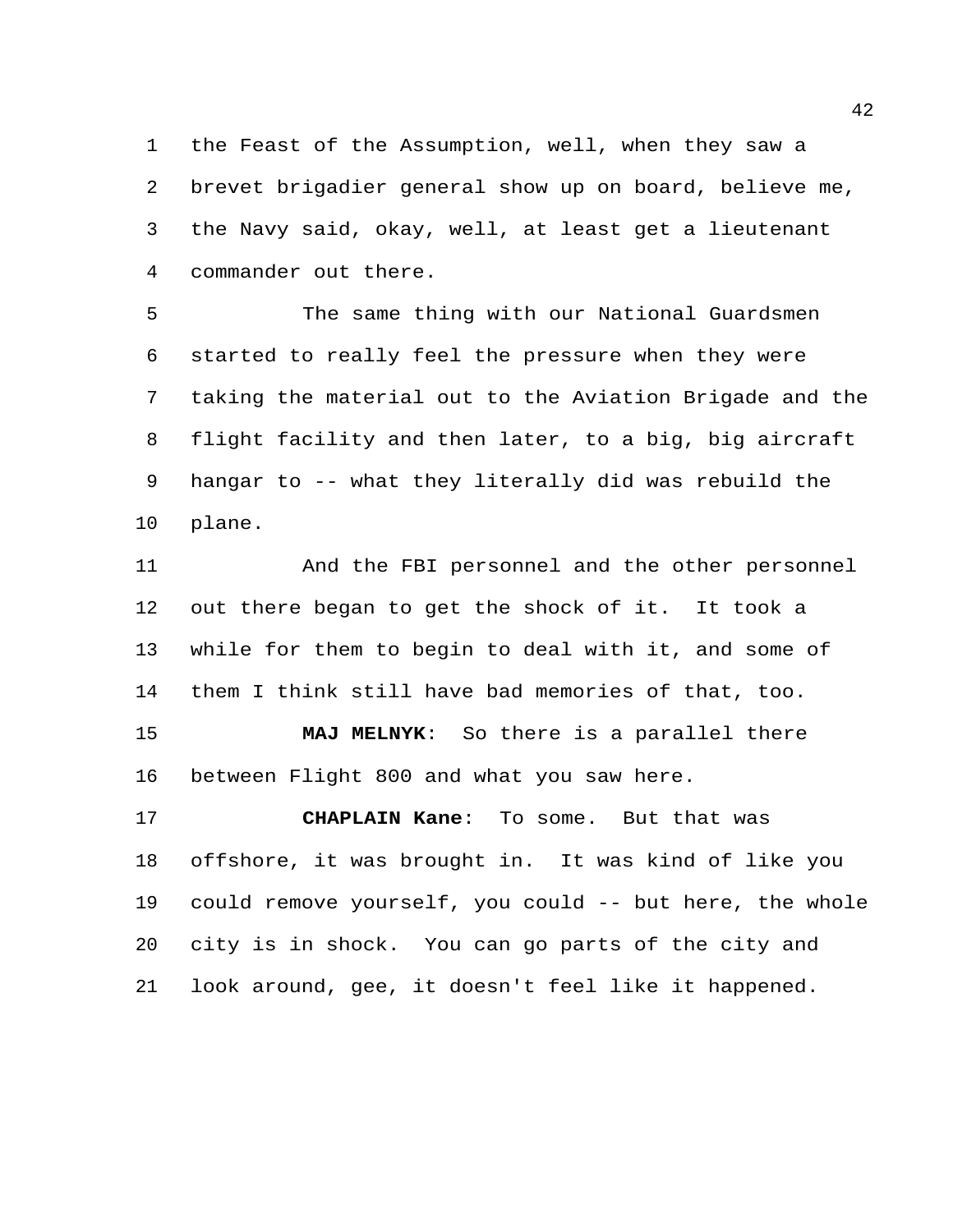the Feast of the Assumption, well, when they saw a brevet brigadier general show up on board, believe me, the Navy said, okay, well, at least get a lieutenant commander out there.

 The same thing with our National Guardsmen started to really feel the pressure when they were taking the material out to the Aviation Brigade and the flight facility and then later, to a big, big aircraft hangar to -- what they literally did was rebuild the plane.

 And the FBI personnel and the other personnel out there began to get the shock of it. It took a while for them to begin to deal with it, and some of them I think still have bad memories of that, too.

 **MAJ MELNYK**: So there is a parallel there between Flight 800 and what you saw here.

 **CHAPLAIN Kane**: To some. But that was offshore, it was brought in. It was kind of like you could remove yourself, you could -- but here, the whole city is in shock. You can go parts of the city and look around, gee, it doesn't feel like it happened.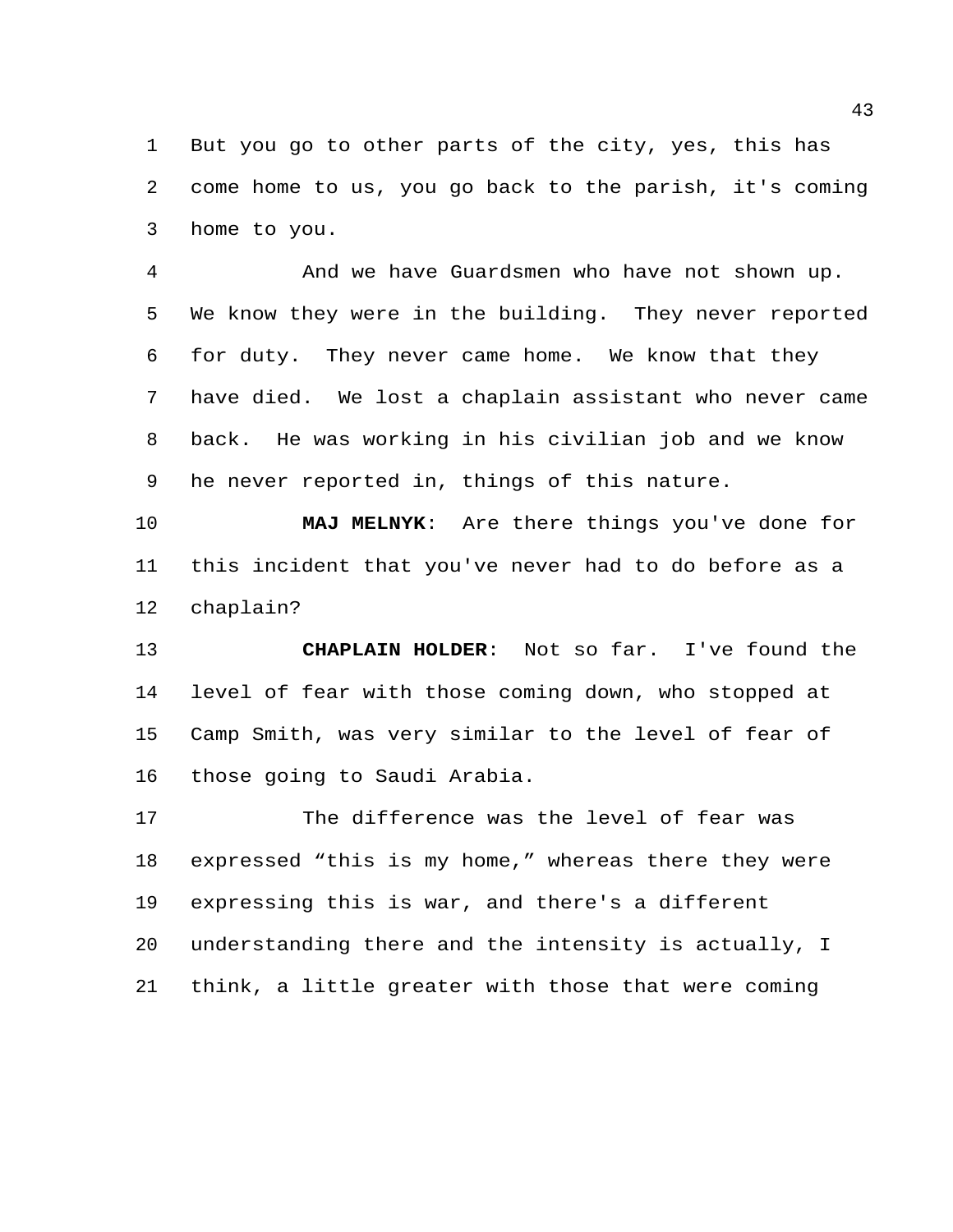But you go to other parts of the city, yes, this has come home to us, you go back to the parish, it's coming home to you.

 And we have Guardsmen who have not shown up. We know they were in the building. They never reported for duty. They never came home. We know that they have died. We lost a chaplain assistant who never came back. He was working in his civilian job and we know he never reported in, things of this nature.

 **MAJ MELNYK**: Are there things you've done for this incident that you've never had to do before as a chaplain?

 **CHAPLAIN HOLDER**: Not so far. I've found the level of fear with those coming down, who stopped at Camp Smith, was very similar to the level of fear of those going to Saudi Arabia.

 The difference was the level of fear was expressed "this is my home," whereas there they were expressing this is war, and there's a different understanding there and the intensity is actually, I think, a little greater with those that were coming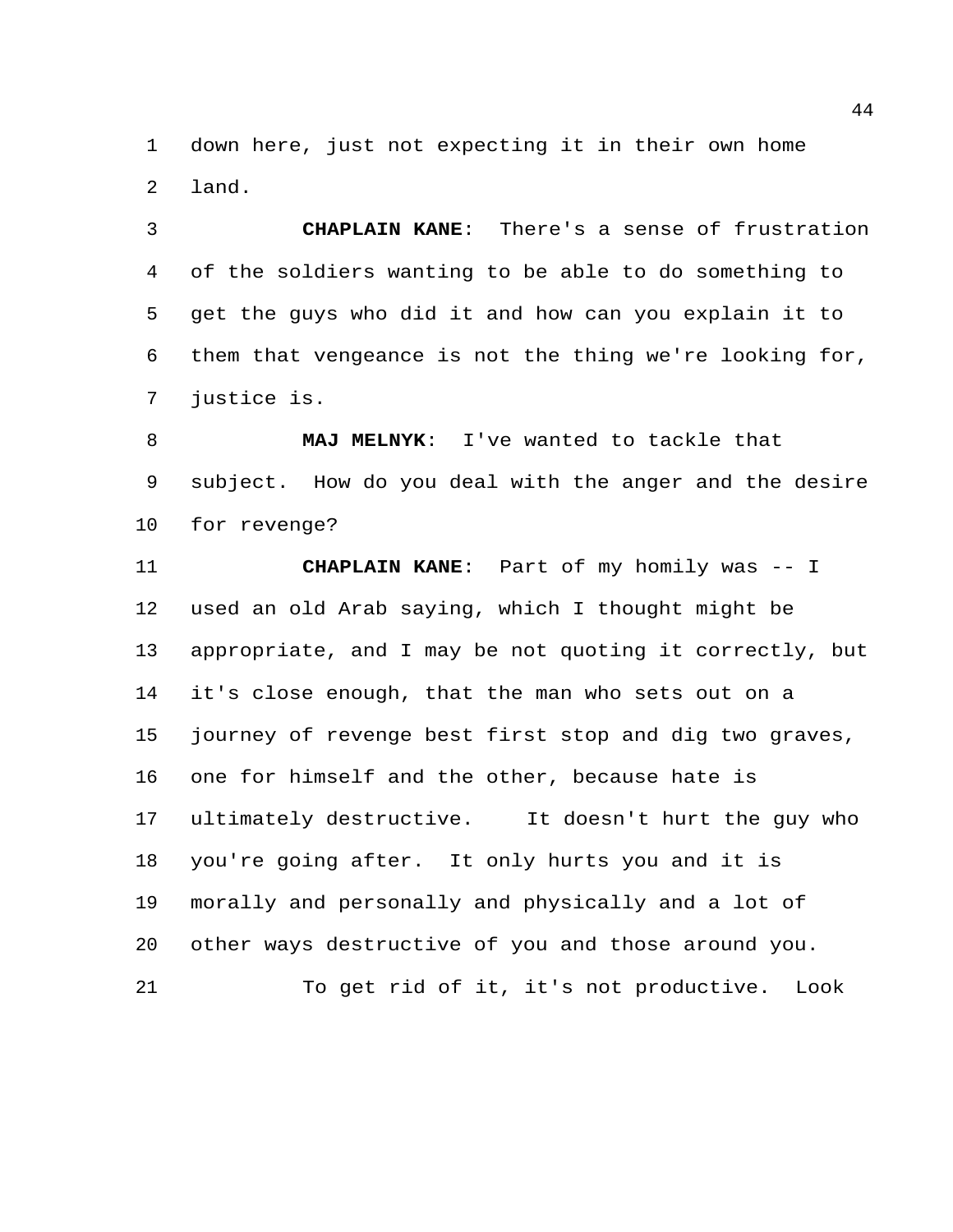down here, just not expecting it in their own home land.

 **CHAPLAIN KANE**: There's a sense of frustration of the soldiers wanting to be able to do something to get the guys who did it and how can you explain it to them that vengeance is not the thing we're looking for, justice is.

 **MAJ MELNYK**: I've wanted to tackle that subject. How do you deal with the anger and the desire for revenge?

 **CHAPLAIN KANE**: Part of my homily was -- I used an old Arab saying, which I thought might be appropriate, and I may be not quoting it correctly, but it's close enough, that the man who sets out on a journey of revenge best first stop and dig two graves, one for himself and the other, because hate is ultimately destructive. It doesn't hurt the guy who you're going after. It only hurts you and it is morally and personally and physically and a lot of other ways destructive of you and those around you. To get rid of it, it's not productive. Look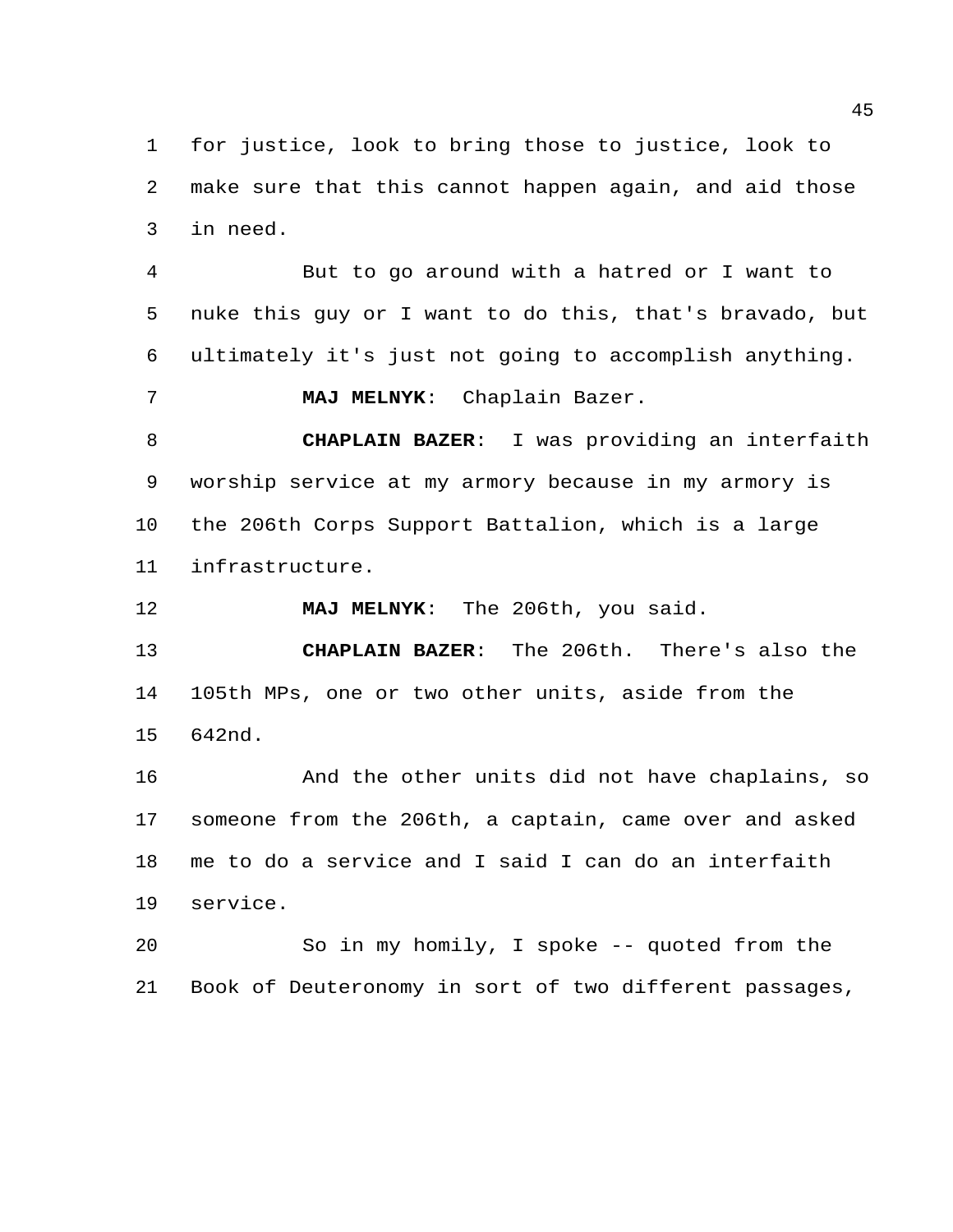for justice, look to bring those to justice, look to make sure that this cannot happen again, and aid those in need.

 But to go around with a hatred or I want to nuke this guy or I want to do this, that's bravado, but ultimately it's just not going to accomplish anything.

**MAJ MELNYK**: Chaplain Bazer.

 **CHAPLAIN BAZER**: I was providing an interfaith worship service at my armory because in my armory is the 206th Corps Support Battalion, which is a large infrastructure.

**MAJ MELNYK**: The 206th, you said.

 **CHAPLAIN BAZER**: The 206th. There's also the 105th MPs, one or two other units, aside from the 642nd.

 And the other units did not have chaplains, so someone from the 206th, a captain, came over and asked me to do a service and I said I can do an interfaith service.

 So in my homily, I spoke -- quoted from the Book of Deuteronomy in sort of two different passages,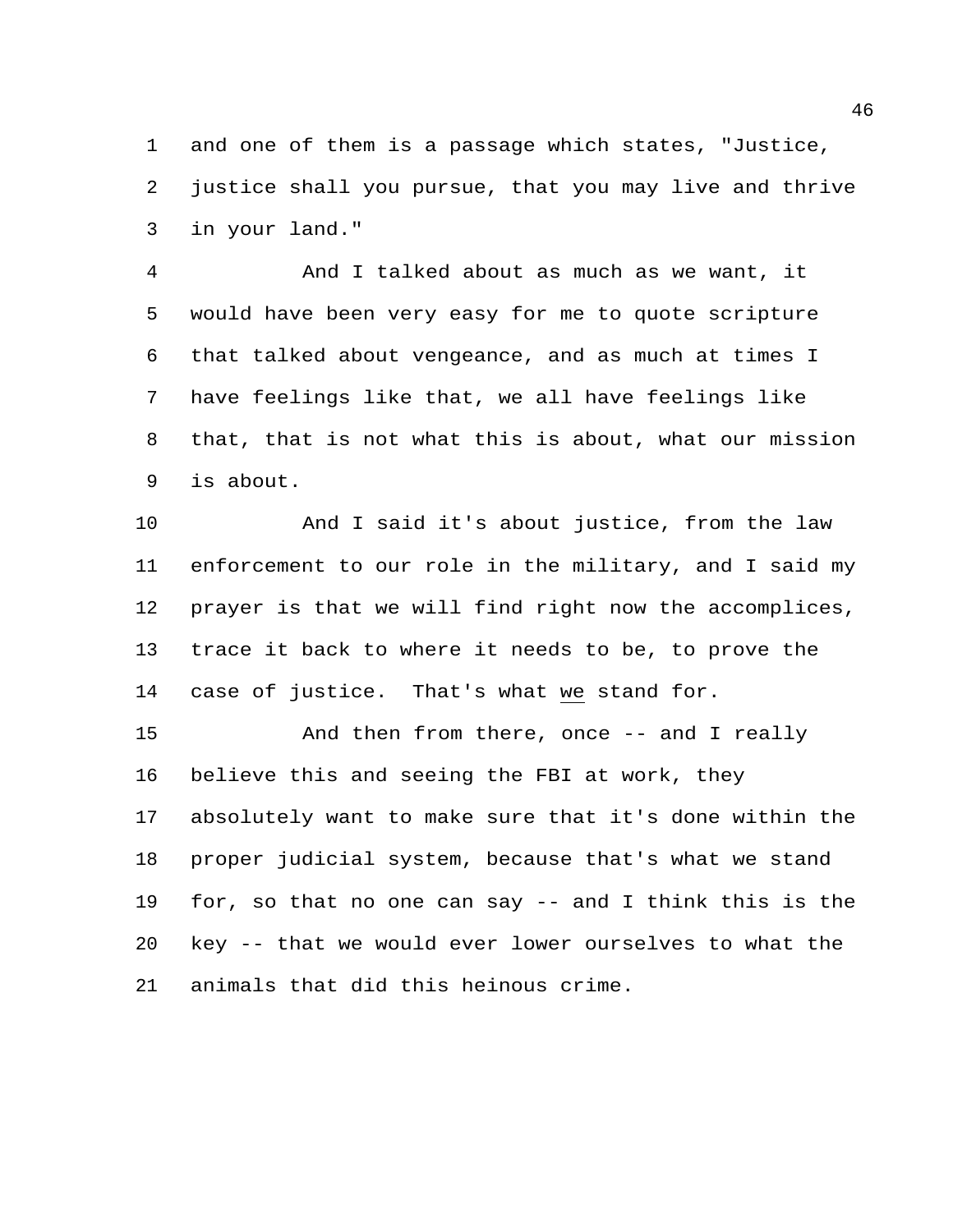and one of them is a passage which states, "Justice, justice shall you pursue, that you may live and thrive in your land."

 And I talked about as much as we want, it would have been very easy for me to quote scripture that talked about vengeance, and as much at times I have feelings like that, we all have feelings like that, that is not what this is about, what our mission is about.

 And I said it's about justice, from the law enforcement to our role in the military, and I said my prayer is that we will find right now the accomplices, trace it back to where it needs to be, to prove the case of justice. That's what we stand for.

 And then from there, once -- and I really believe this and seeing the FBI at work, they absolutely want to make sure that it's done within the proper judicial system, because that's what we stand for, so that no one can say -- and I think this is the key -- that we would ever lower ourselves to what the animals that did this heinous crime.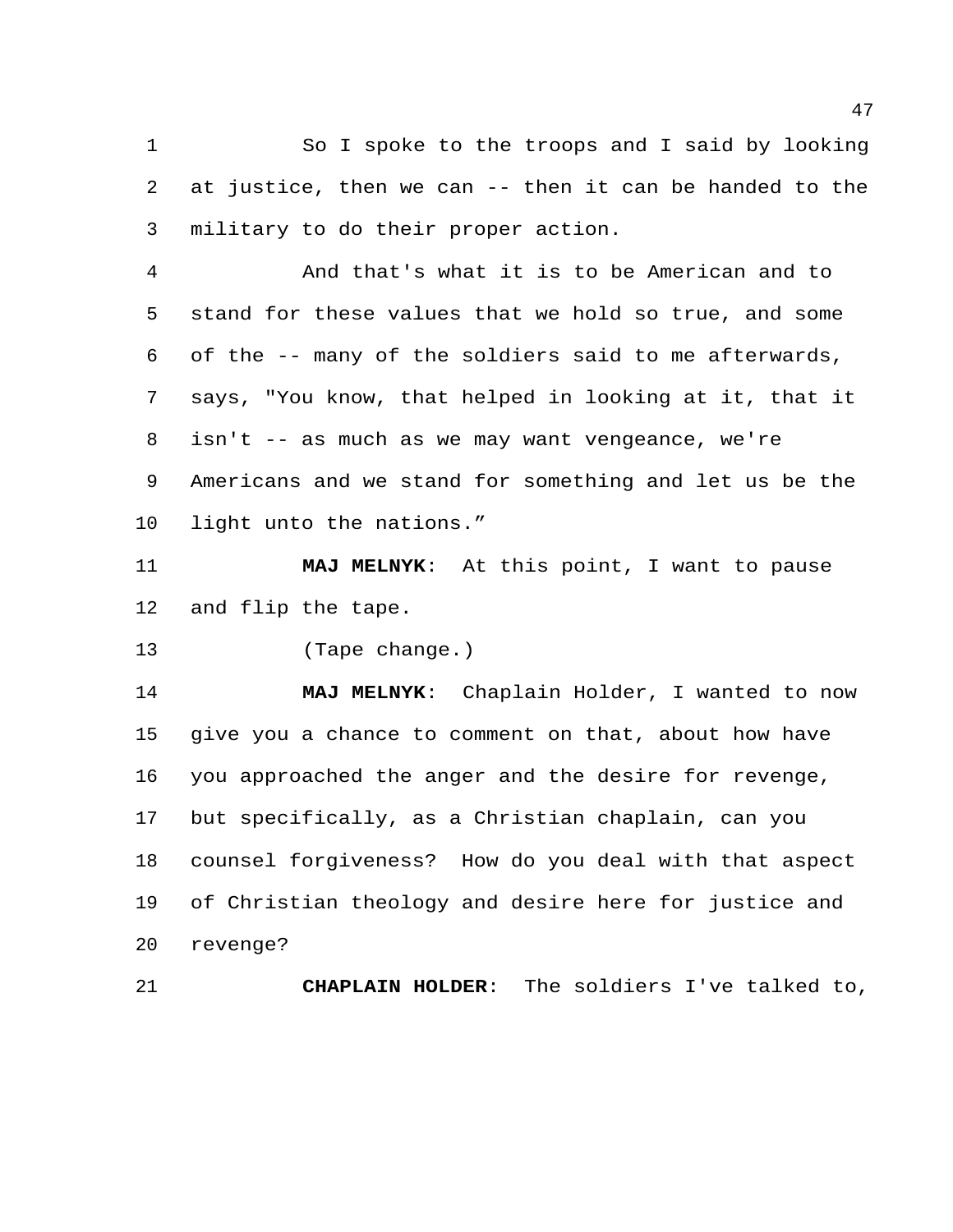So I spoke to the troops and I said by looking at justice, then we can -- then it can be handed to the military to do their proper action.

 And that's what it is to be American and to stand for these values that we hold so true, and some of the -- many of the soldiers said to me afterwards, says, "You know, that helped in looking at it, that it isn't -- as much as we may want vengeance, we're Americans and we stand for something and let us be the light unto the nations."

 **MAJ MELNYK**: At this point, I want to pause and flip the tape.

(Tape change.)

 **MAJ MELNYK**: Chaplain Holder, I wanted to now give you a chance to comment on that, about how have you approached the anger and the desire for revenge, but specifically, as a Christian chaplain, can you counsel forgiveness? How do you deal with that aspect of Christian theology and desire here for justice and revenge?

**CHAPLAIN HOLDER**: The soldiers I've talked to,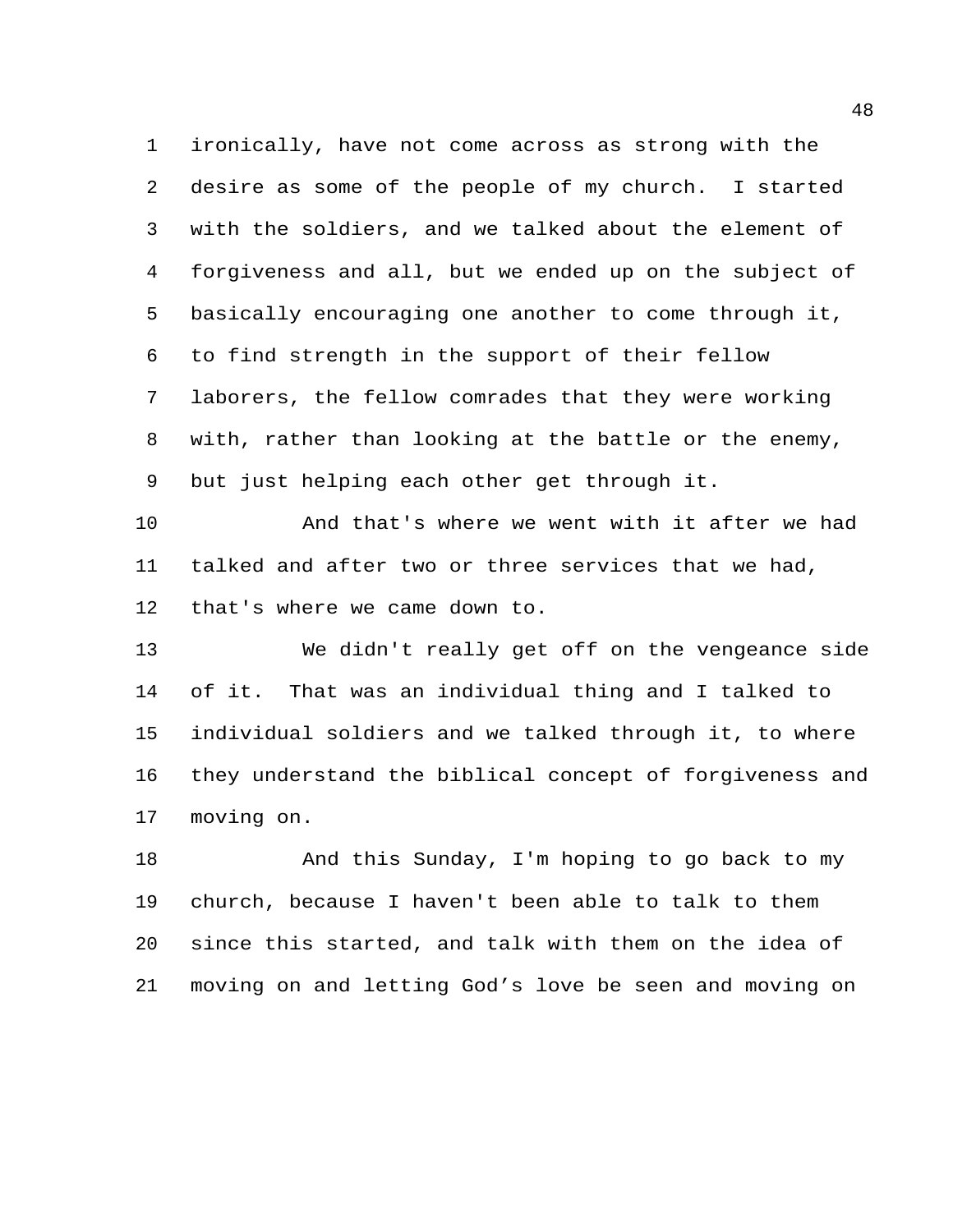ironically, have not come across as strong with the desire as some of the people of my church. I started with the soldiers, and we talked about the element of forgiveness and all, but we ended up on the subject of basically encouraging one another to come through it, to find strength in the support of their fellow laborers, the fellow comrades that they were working with, rather than looking at the battle or the enemy, but just helping each other get through it.

 And that's where we went with it after we had talked and after two or three services that we had, that's where we came down to.

 We didn't really get off on the vengeance side of it. That was an individual thing and I talked to individual soldiers and we talked through it, to where they understand the biblical concept of forgiveness and moving on.

 And this Sunday, I'm hoping to go back to my church, because I haven't been able to talk to them since this started, and talk with them on the idea of moving on and letting God's love be seen and moving on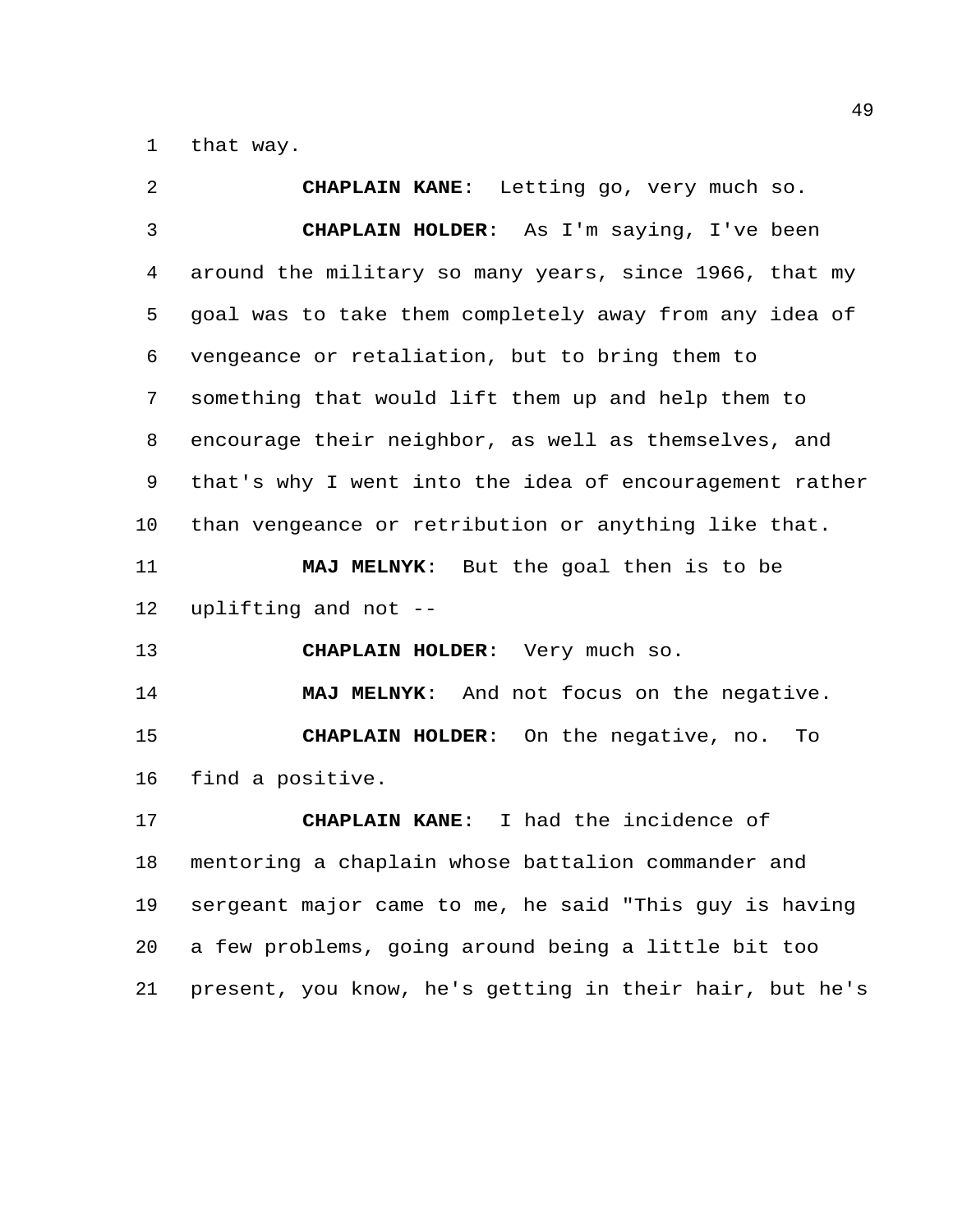that way.

 **CHAPLAIN KANE**: Letting go, very much so. **CHAPLAIN HOLDER**: As I'm saying, I've been around the military so many years, since 1966, that my goal was to take them completely away from any idea of vengeance or retaliation, but to bring them to something that would lift them up and help them to encourage their neighbor, as well as themselves, and that's why I went into the idea of encouragement rather than vengeance or retribution or anything like that. **MAJ MELNYK**: But the goal then is to be uplifting and not -- **CHAPLAIN HOLDER**: Very much so. **MAJ MELNYK**: And not focus on the negative. **CHAPLAIN HOLDER**: On the negative, no. To find a positive. **CHAPLAIN KANE**: I had the incidence of mentoring a chaplain whose battalion commander and sergeant major came to me, he said "This guy is having a few problems, going around being a little bit too present, you know, he's getting in their hair, but he's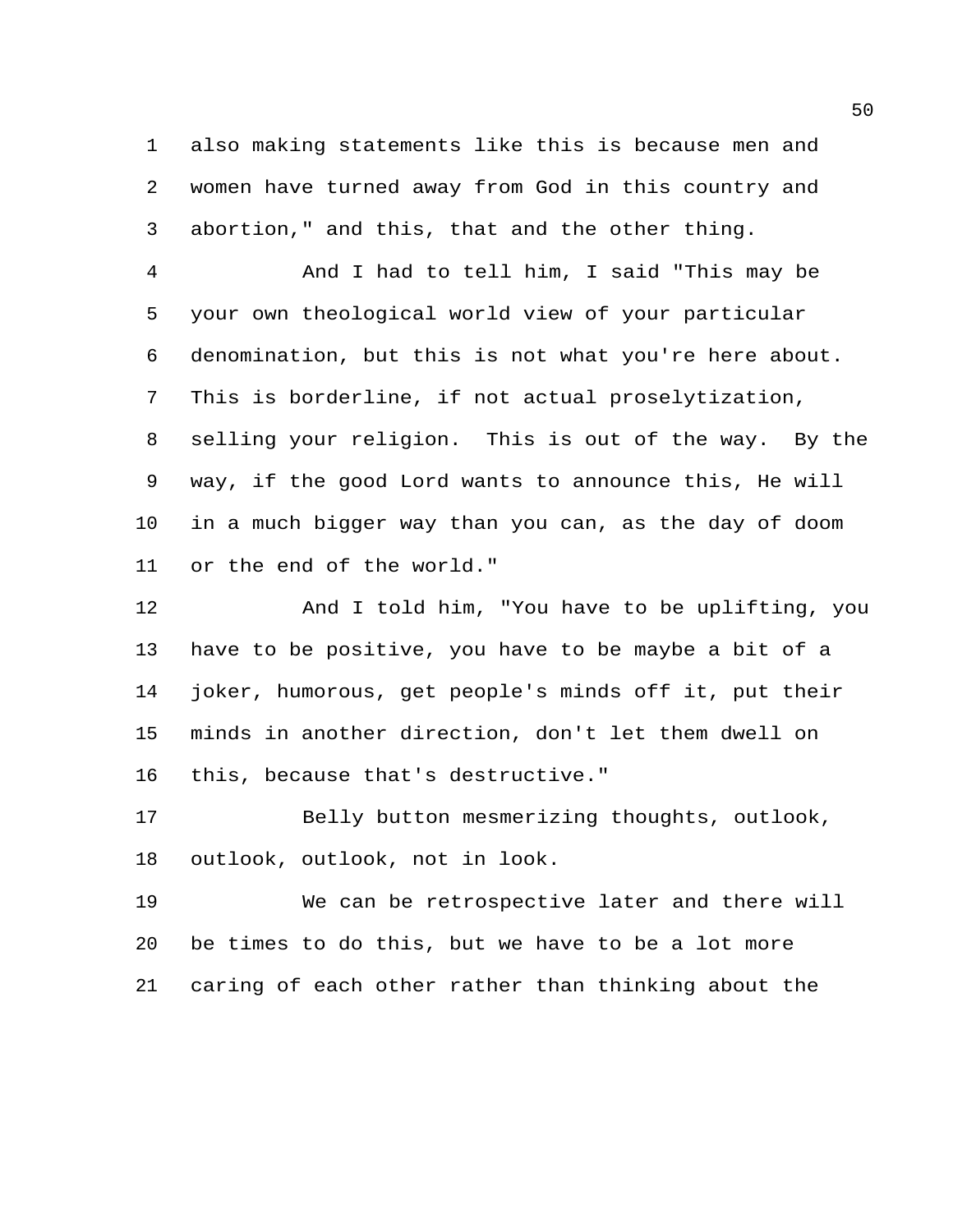also making statements like this is because men and women have turned away from God in this country and abortion," and this, that and the other thing.

 And I had to tell him, I said "This may be your own theological world view of your particular denomination, but this is not what you're here about. This is borderline, if not actual proselytization, selling your religion. This is out of the way. By the way, if the good Lord wants to announce this, He will in a much bigger way than you can, as the day of doom or the end of the world."

 And I told him, "You have to be uplifting, you have to be positive, you have to be maybe a bit of a joker, humorous, get people's minds off it, put their minds in another direction, don't let them dwell on this, because that's destructive."

 Belly button mesmerizing thoughts, outlook, outlook, outlook, not in look.

 We can be retrospective later and there will be times to do this, but we have to be a lot more caring of each other rather than thinking about the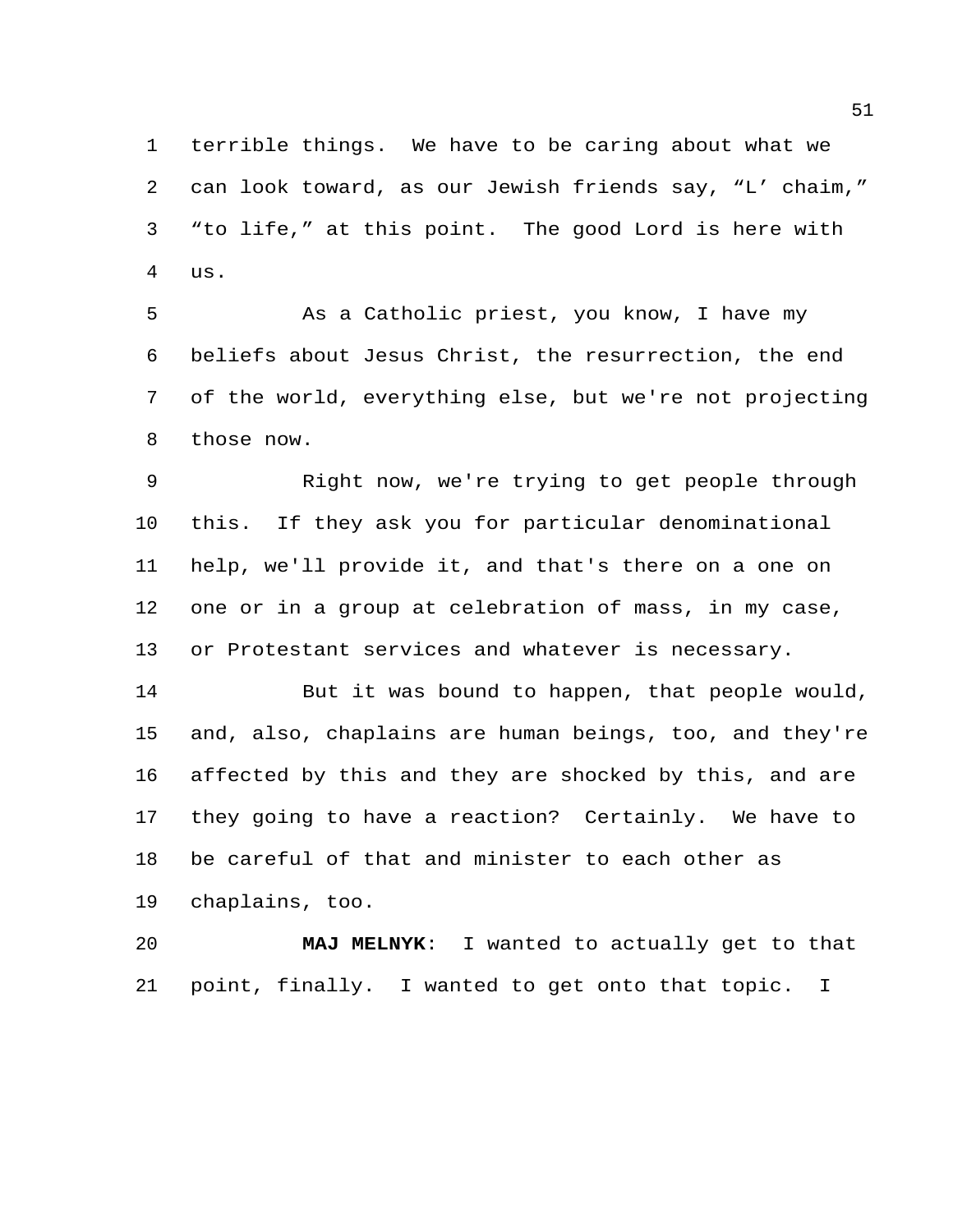terrible things. We have to be caring about what we can look toward, as our Jewish friends say, "L' chaim," "to life," at this point. The good Lord is here with us.

 As a Catholic priest, you know, I have my beliefs about Jesus Christ, the resurrection, the end of the world, everything else, but we're not projecting those now.

 Right now, we're trying to get people through this. If they ask you for particular denominational help, we'll provide it, and that's there on a one on one or in a group at celebration of mass, in my case, or Protestant services and whatever is necessary.

 But it was bound to happen, that people would, and, also, chaplains are human beings, too, and they're affected by this and they are shocked by this, and are they going to have a reaction? Certainly. We have to be careful of that and minister to each other as chaplains, too.

 **MAJ MELNYK**: I wanted to actually get to that point, finally. I wanted to get onto that topic. I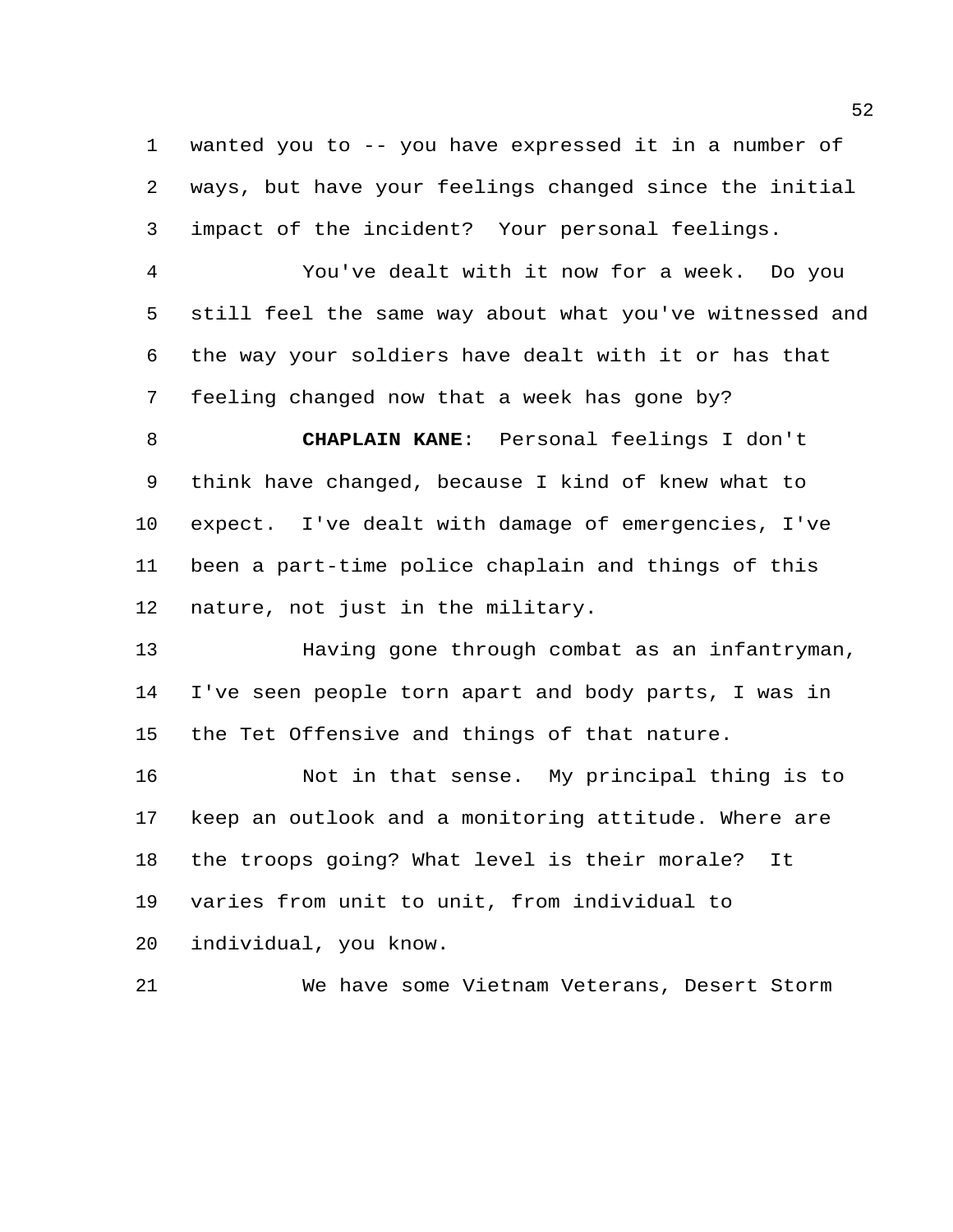wanted you to -- you have expressed it in a number of ways, but have your feelings changed since the initial impact of the incident? Your personal feelings.

 You've dealt with it now for a week. Do you still feel the same way about what you've witnessed and the way your soldiers have dealt with it or has that feeling changed now that a week has gone by?

 **CHAPLAIN KANE**: Personal feelings I don't think have changed, because I kind of knew what to expect. I've dealt with damage of emergencies, I've been a part-time police chaplain and things of this nature, not just in the military.

 Having gone through combat as an infantryman, I've seen people torn apart and body parts, I was in the Tet Offensive and things of that nature.

 Not in that sense. My principal thing is to keep an outlook and a monitoring attitude. Where are the troops going? What level is their morale? It varies from unit to unit, from individual to individual, you know.

We have some Vietnam Veterans, Desert Storm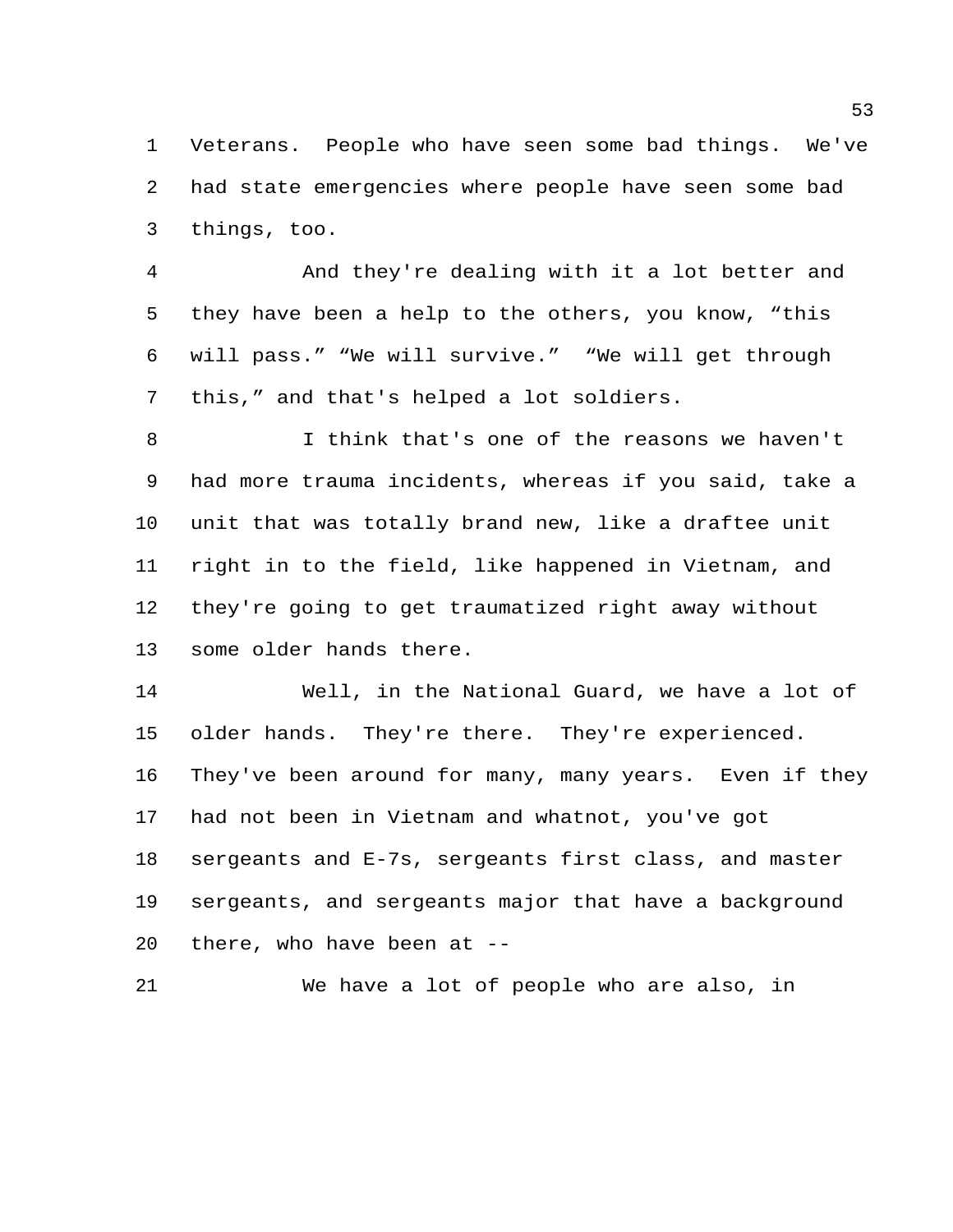Veterans. People who have seen some bad things. We've had state emergencies where people have seen some bad things, too.

 And they're dealing with it a lot better and they have been a help to the others, you know, "this will pass." "We will survive." "We will get through this," and that's helped a lot soldiers.

 I think that's one of the reasons we haven't had more trauma incidents, whereas if you said, take a unit that was totally brand new, like a draftee unit right in to the field, like happened in Vietnam, and they're going to get traumatized right away without some older hands there.

 Well, in the National Guard, we have a lot of older hands. They're there. They're experienced. They've been around for many, many years. Even if they had not been in Vietnam and whatnot, you've got sergeants and E-7s, sergeants first class, and master sergeants, and sergeants major that have a background there, who have been at --

We have a lot of people who are also, in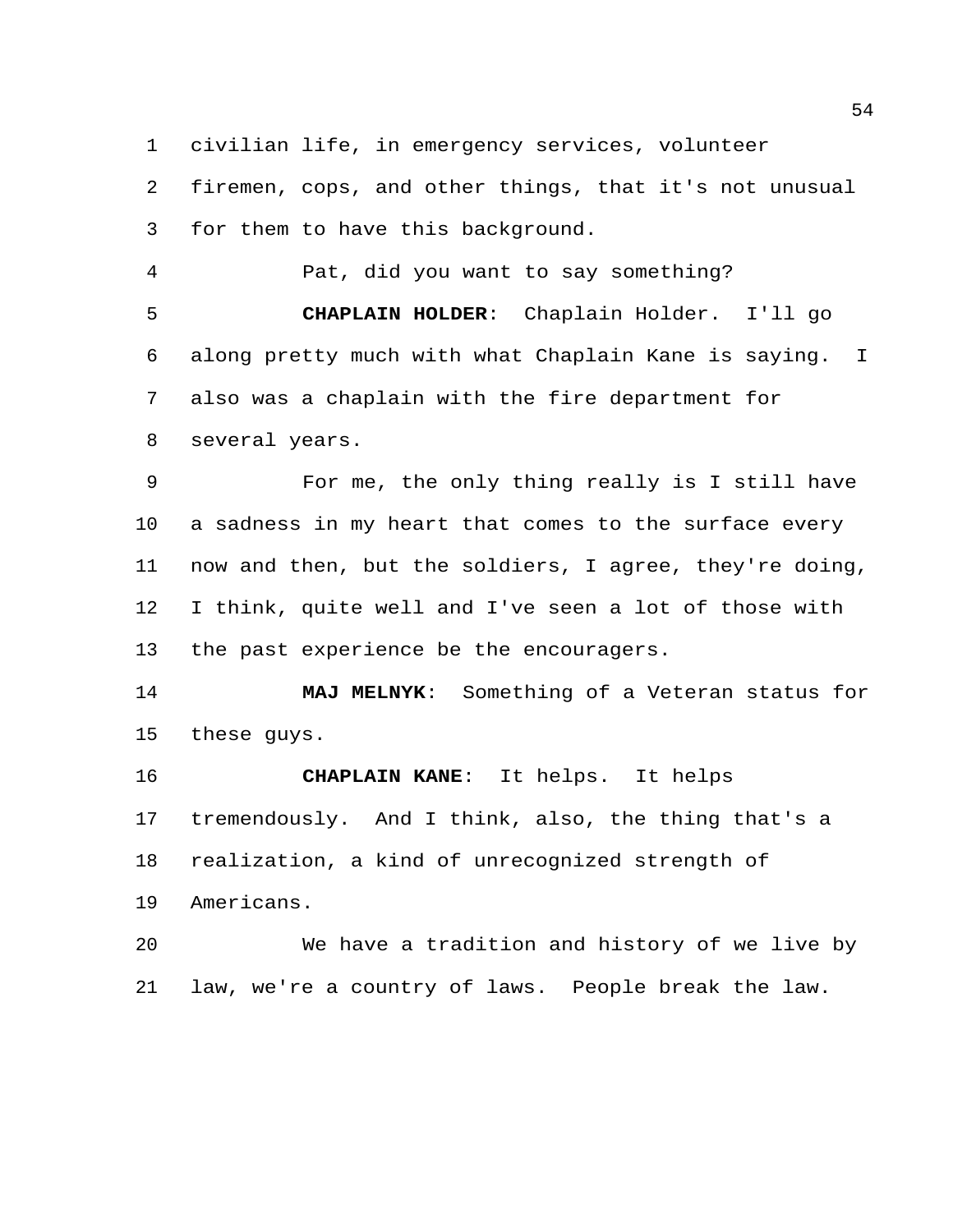civilian life, in emergency services, volunteer

 firemen, cops, and other things, that it's not unusual for them to have this background.

 Pat, did you want to say something? **CHAPLAIN HOLDER**: Chaplain Holder. I'll go along pretty much with what Chaplain Kane is saying. I also was a chaplain with the fire department for several years.

 For me, the only thing really is I still have a sadness in my heart that comes to the surface every now and then, but the soldiers, I agree, they're doing, I think, quite well and I've seen a lot of those with 13 the past experience be the encouragers.

 **MAJ MELNYK**: Something of a Veteran status for these guys.

 **CHAPLAIN KANE**: It helps. It helps tremendously. And I think, also, the thing that's a realization, a kind of unrecognized strength of Americans.

 We have a tradition and history of we live by law, we're a country of laws. People break the law.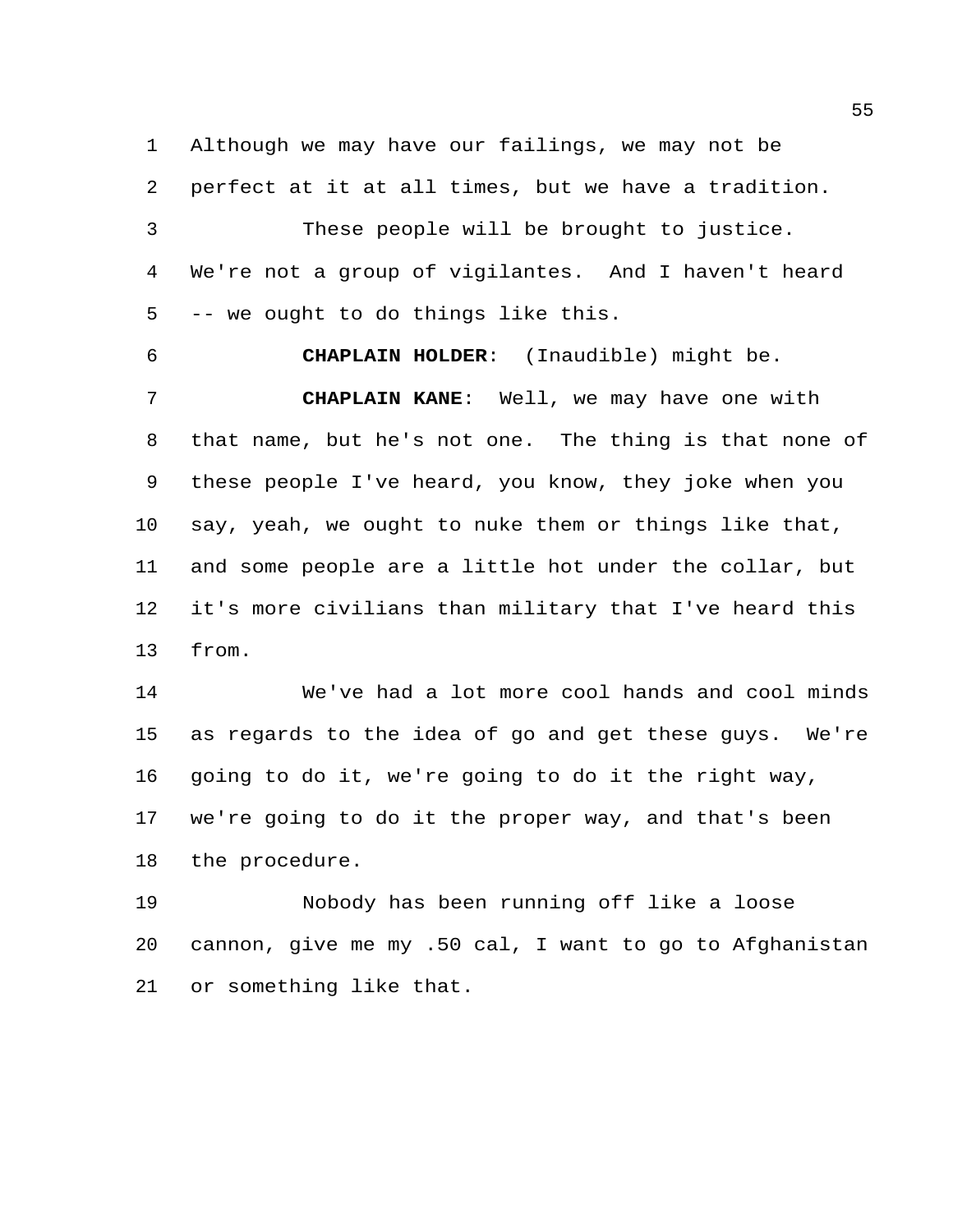Although we may have our failings, we may not be perfect at it at all times, but we have a tradition. These people will be brought to justice. We're not a group of vigilantes. And I haven't heard -- we ought to do things like this.

 **CHAPLAIN HOLDER**: (Inaudible) might be. **CHAPLAIN KANE**: Well, we may have one with that name, but he's not one. The thing is that none of these people I've heard, you know, they joke when you say, yeah, we ought to nuke them or things like that, and some people are a little hot under the collar, but it's more civilians than military that I've heard this from.

 We've had a lot more cool hands and cool minds as regards to the idea of go and get these guys. We're going to do it, we're going to do it the right way, we're going to do it the proper way, and that's been the procedure.

 Nobody has been running off like a loose cannon, give me my .50 cal, I want to go to Afghanistan or something like that.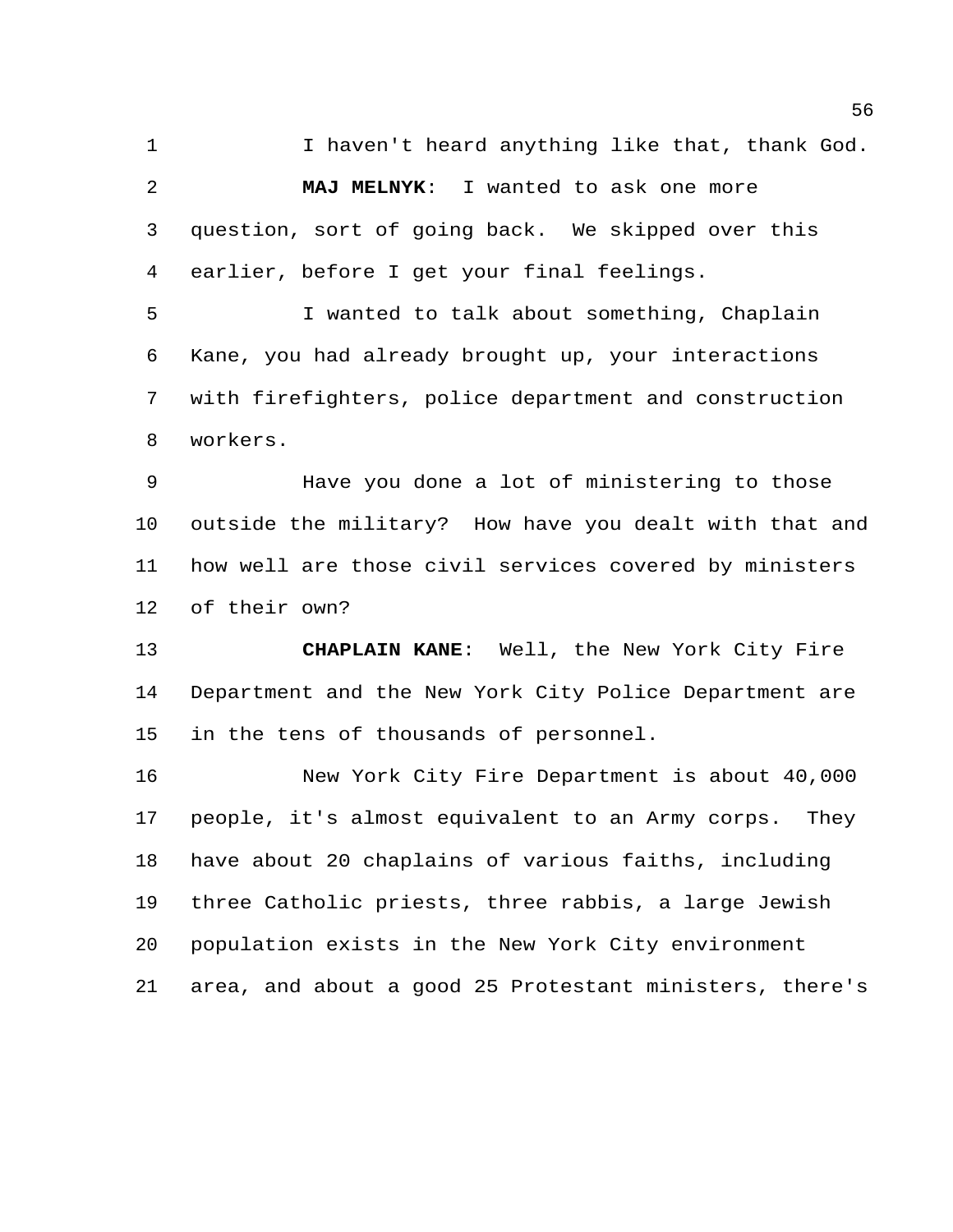1 I haven't heard anything like that, thank God. **MAJ MELNYK**: I wanted to ask one more question, sort of going back. We skipped over this earlier, before I get your final feelings.

 I wanted to talk about something, Chaplain Kane, you had already brought up, your interactions with firefighters, police department and construction workers.

 Have you done a lot of ministering to those outside the military? How have you dealt with that and how well are those civil services covered by ministers of their own?

 **CHAPLAIN KANE**: Well, the New York City Fire Department and the New York City Police Department are in the tens of thousands of personnel.

 New York City Fire Department is about 40,000 people, it's almost equivalent to an Army corps. They have about 20 chaplains of various faiths, including three Catholic priests, three rabbis, a large Jewish population exists in the New York City environment area, and about a good 25 Protestant ministers, there's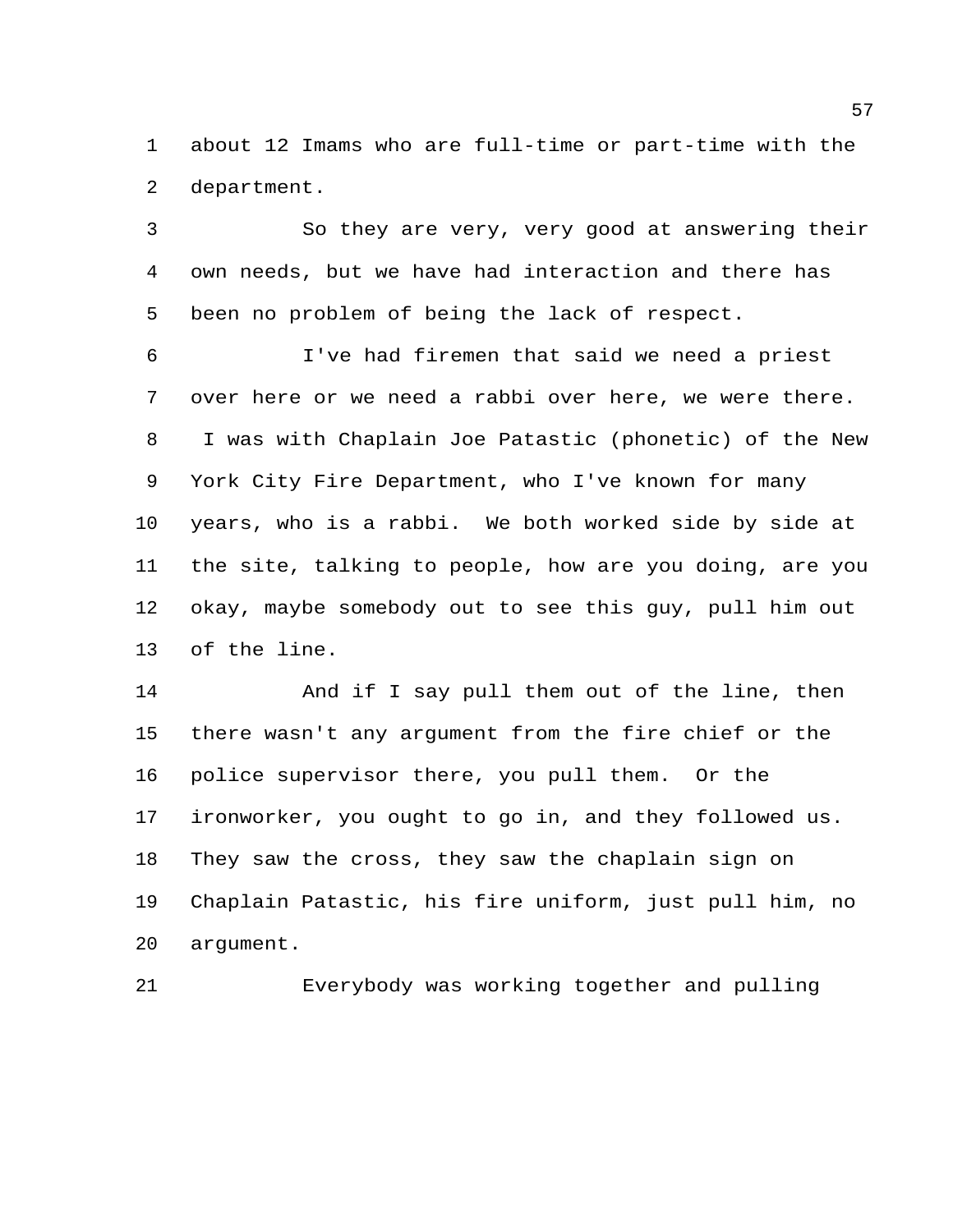about 12 Imams who are full-time or part-time with the department.

 So they are very, very good at answering their own needs, but we have had interaction and there has been no problem of being the lack of respect.

 I've had firemen that said we need a priest over here or we need a rabbi over here, we were there. I was with Chaplain Joe Patastic (phonetic) of the New York City Fire Department, who I've known for many years, who is a rabbi. We both worked side by side at the site, talking to people, how are you doing, are you okay, maybe somebody out to see this guy, pull him out of the line.

14 And if I say pull them out of the line, then there wasn't any argument from the fire chief or the police supervisor there, you pull them. Or the ironworker, you ought to go in, and they followed us. They saw the cross, they saw the chaplain sign on Chaplain Patastic, his fire uniform, just pull him, no argument.

Everybody was working together and pulling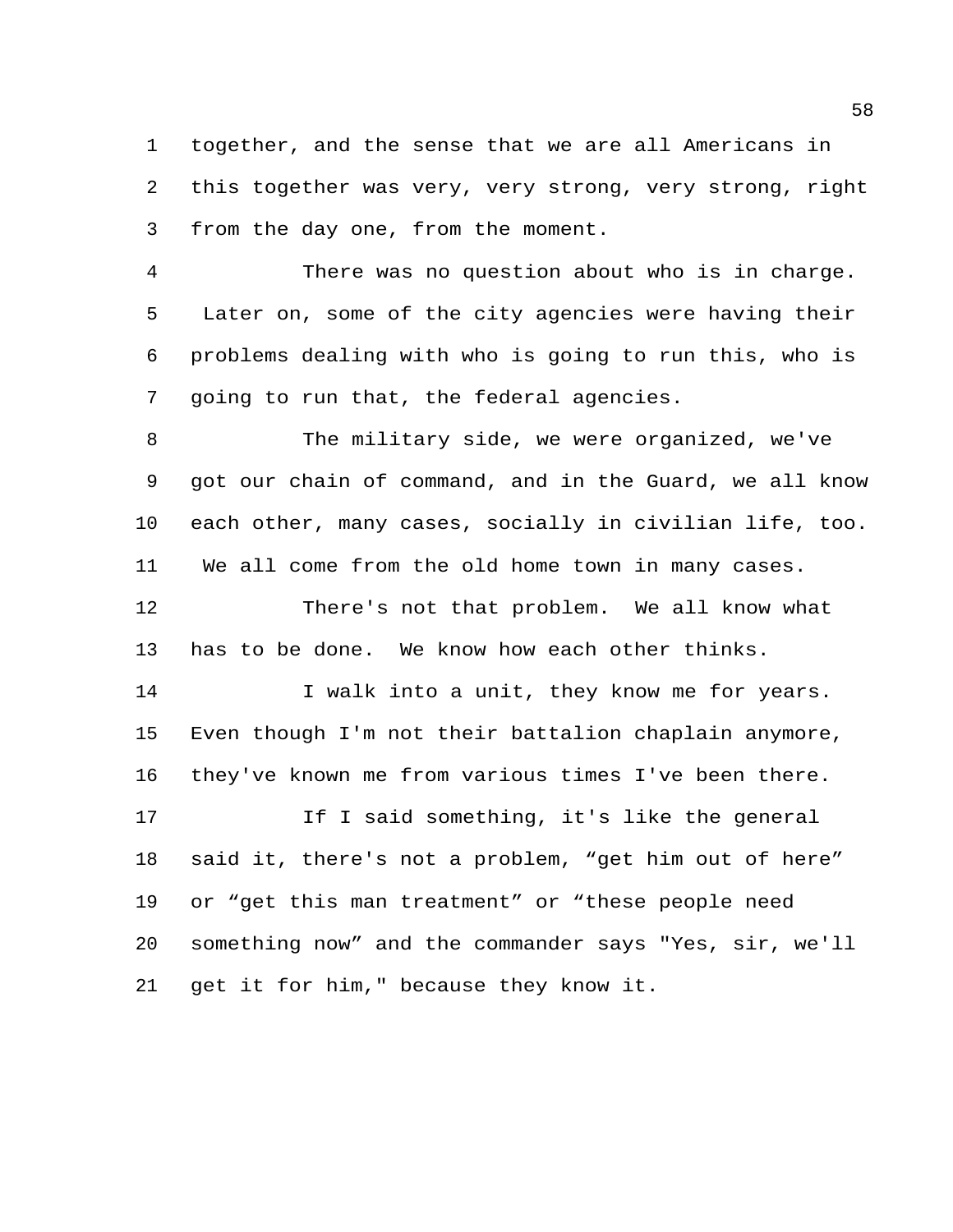together, and the sense that we are all Americans in this together was very, very strong, very strong, right from the day one, from the moment.

 There was no question about who is in charge. Later on, some of the city agencies were having their problems dealing with who is going to run this, who is going to run that, the federal agencies.

 The military side, we were organized, we've got our chain of command, and in the Guard, we all know each other, many cases, socially in civilian life, too. We all come from the old home town in many cases.

 There's not that problem. We all know what has to be done. We know how each other thinks.

14 I walk into a unit, they know me for years. Even though I'm not their battalion chaplain anymore, they've known me from various times I've been there.

17 If I said something, it's like the general said it, there's not a problem, "get him out of here" or "get this man treatment" or "these people need something now" and the commander says "Yes, sir, we'll get it for him," because they know it.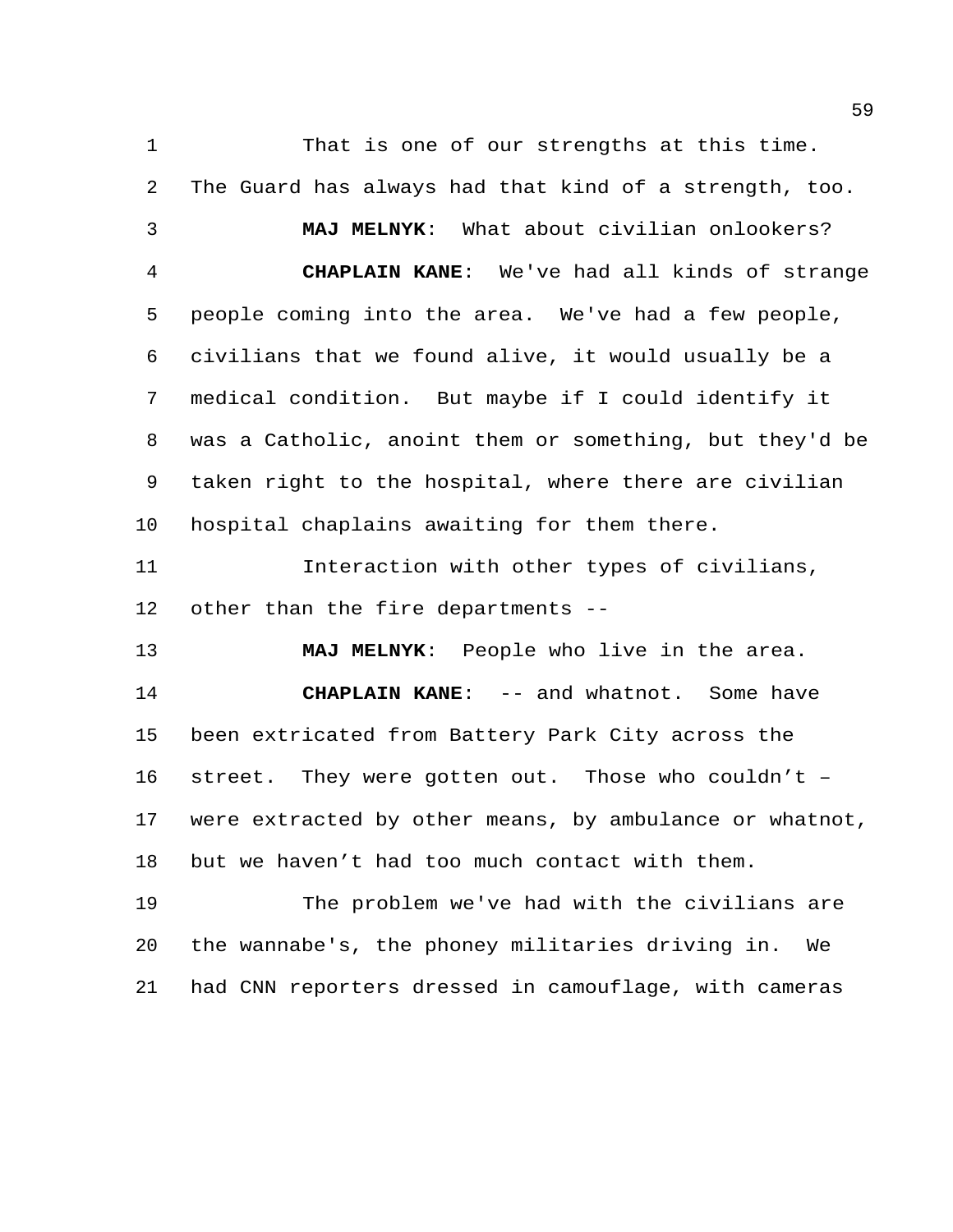1 That is one of our strengths at this time. The Guard has always had that kind of a strength, too. **MAJ MELNYK**: What about civilian onlookers? **CHAPLAIN KANE**: We've had all kinds of strange people coming into the area. We've had a few people, civilians that we found alive, it would usually be a medical condition. But maybe if I could identify it was a Catholic, anoint them or something, but they'd be taken right to the hospital, where there are civilian hospital chaplains awaiting for them there. Interaction with other types of civilians, other than the fire departments -- **MAJ MELNYK**: People who live in the area. **CHAPLAIN KANE:** -- and whatnot. Some have been extricated from Battery Park City across the street. They were gotten out. Those who couldn't – were extracted by other means, by ambulance or whatnot, but we haven't had too much contact with them. The problem we've had with the civilians are the wannabe's, the phoney militaries driving in. We

had CNN reporters dressed in camouflage, with cameras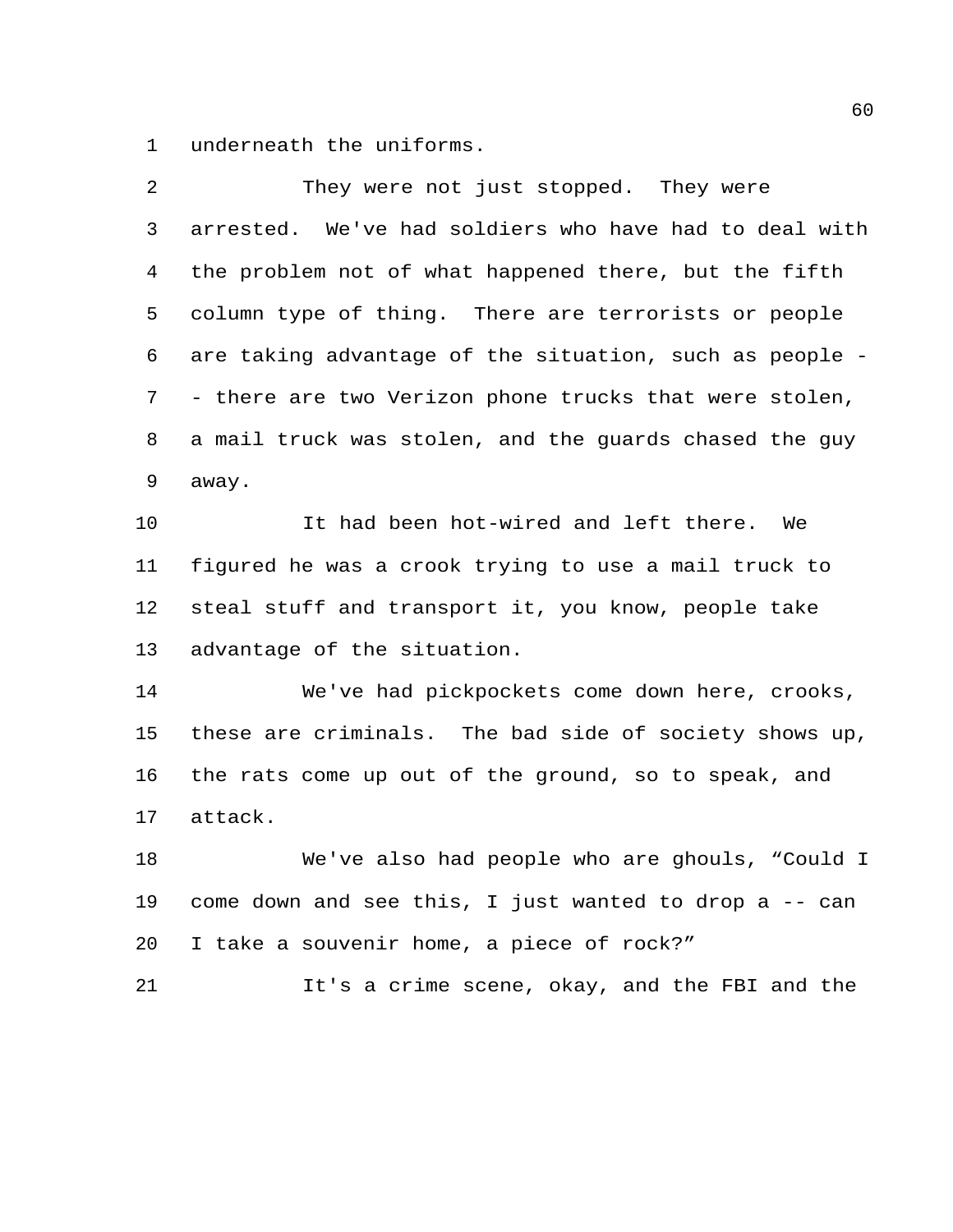underneath the uniforms.

| 2  | They were not just stopped. They were                   |
|----|---------------------------------------------------------|
| 3  | arrested. We've had soldiers who have had to deal with  |
| 4  | the problem not of what happened there, but the fifth   |
| 5  | column type of thing. There are terrorists or people    |
| 6  | are taking advantage of the situation, such as people - |
| 7  | - there are two Verizon phone trucks that were stolen,  |
| 8  | a mail truck was stolen, and the guards chased the guy  |
| 9  | away.                                                   |
| 10 | It had been hot-wired and left there.<br>We             |
| 11 | figured he was a crook trying to use a mail truck to    |
| 12 | steal stuff and transport it, you know, people take     |
| 13 | advantage of the situation.                             |
| 14 | We've had pickpockets come down here, crooks,           |
| 15 | these are criminals. The bad side of society shows up,  |
| 16 | the rats come up out of the ground, so to speak, and    |
| 17 | attack.                                                 |
| 18 | We've also had people who are ghouls, "Could I          |
| 19 | come down and see this, I just wanted to drop a -- can  |
| 20 | I take a souvenir home, a piece of rock?"               |
| 21 | It's a crime scene, okay, and the FBI and the           |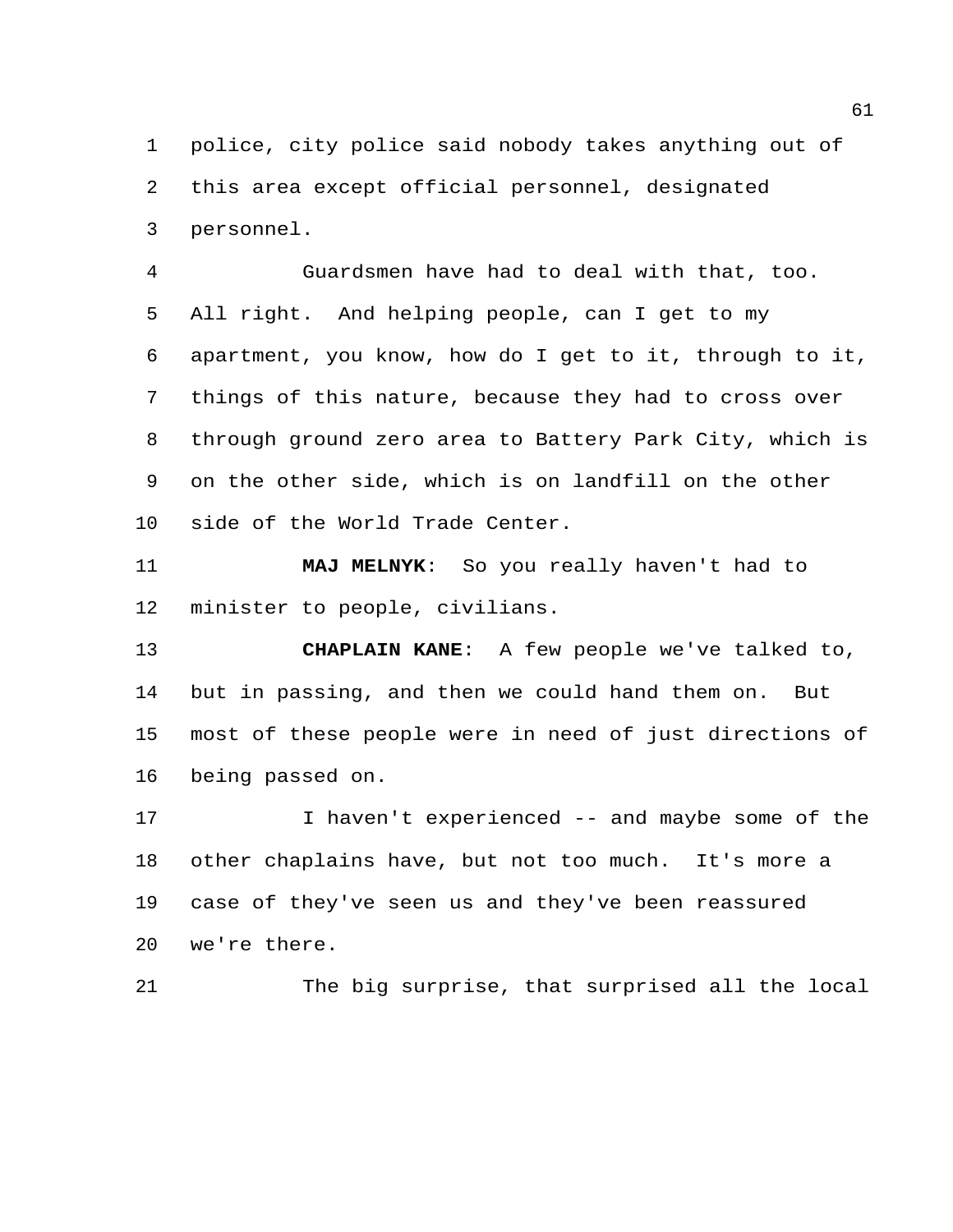police, city police said nobody takes anything out of this area except official personnel, designated personnel.

 Guardsmen have had to deal with that, too. All right. And helping people, can I get to my apartment, you know, how do I get to it, through to it, things of this nature, because they had to cross over through ground zero area to Battery Park City, which is on the other side, which is on landfill on the other side of the World Trade Center.

 **MAJ MELNYK**: So you really haven't had to minister to people, civilians.

 **CHAPLAIN KANE**: A few people we've talked to, but in passing, and then we could hand them on. But most of these people were in need of just directions of being passed on.

 I haven't experienced -- and maybe some of the other chaplains have, but not too much. It's more a case of they've seen us and they've been reassured we're there.

The big surprise, that surprised all the local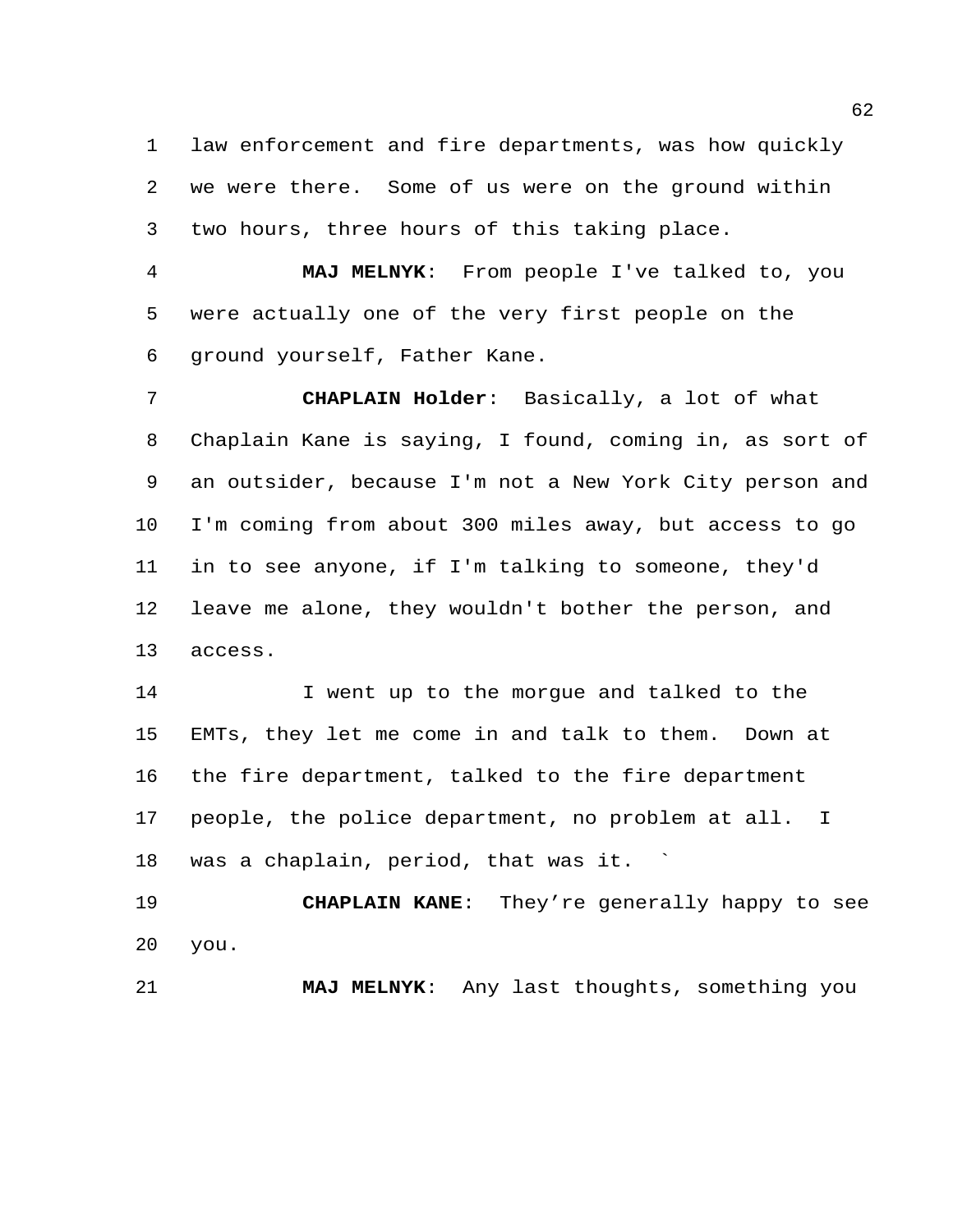law enforcement and fire departments, was how quickly we were there. Some of us were on the ground within two hours, three hours of this taking place.

 **MAJ MELNYK**: From people I've talked to, you were actually one of the very first people on the ground yourself, Father Kane.

 **CHAPLAIN Holder**: Basically, a lot of what Chaplain Kane is saying, I found, coming in, as sort of an outsider, because I'm not a New York City person and I'm coming from about 300 miles away, but access to go in to see anyone, if I'm talking to someone, they'd leave me alone, they wouldn't bother the person, and access.

 I went up to the morgue and talked to the EMTs, they let me come in and talk to them. Down at the fire department, talked to the fire department people, the police department, no problem at all. I was a chaplain, period, that was it. `

 **CHAPLAIN KANE**: They're generally happy to see you.

**MAJ MELNYK**: Any last thoughts, something you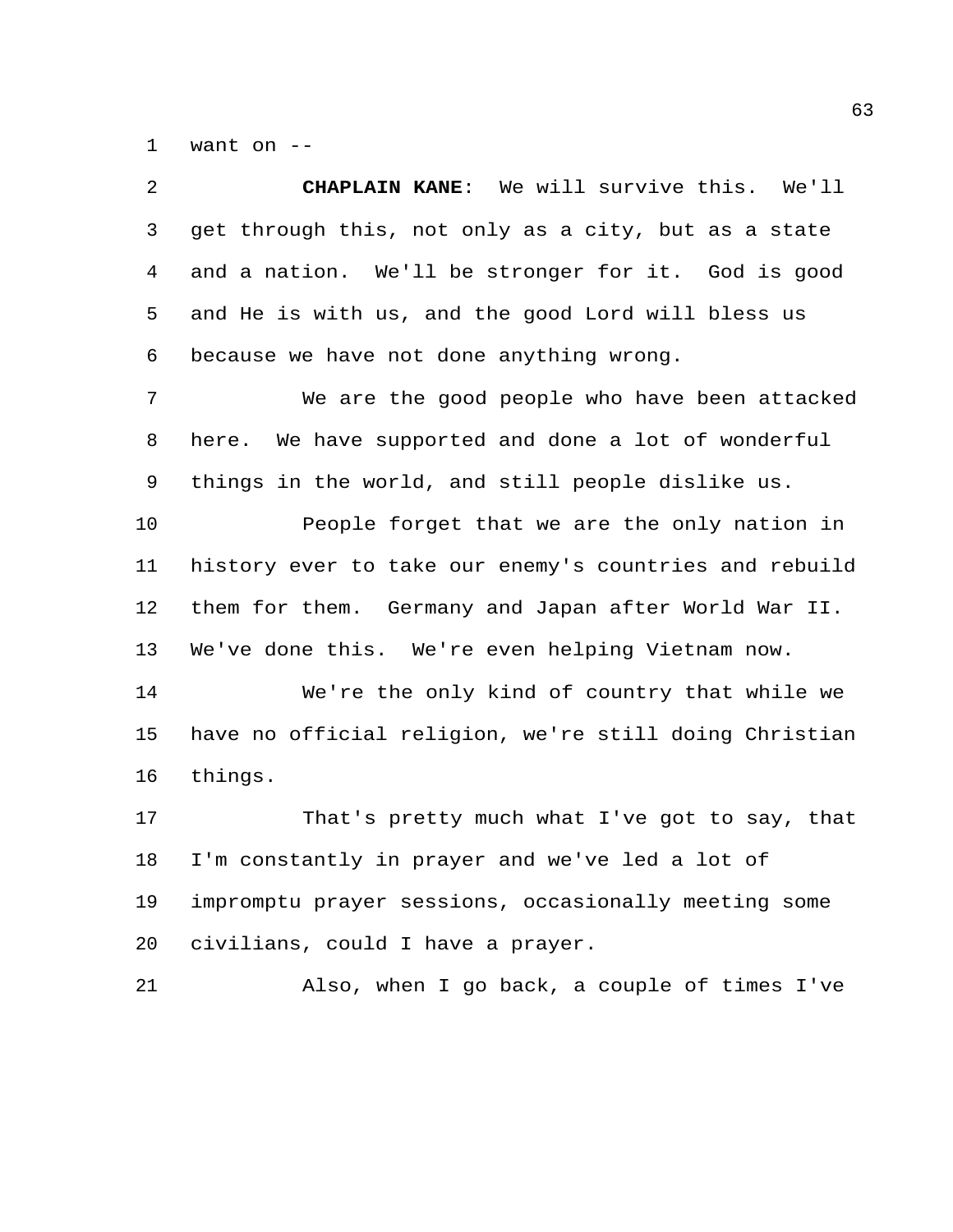want on --

| 2  | CHAPLAIN KANE: We will survive this. We'll             |
|----|--------------------------------------------------------|
| 3  | get through this, not only as a city, but as a state   |
| 4  | and a nation. We'll be stronger for it. God is good    |
| 5  | and He is with us, and the good Lord will bless us     |
| 6  | because we have not done anything wrong.               |
| 7  | We are the good people who have been attacked          |
| 8  | here. We have supported and done a lot of wonderful    |
| 9  | things in the world, and still people dislike us.      |
| 10 | People forget that we are the only nation in           |
| 11 | history ever to take our enemy's countries and rebuild |
| 12 | them for them. Germany and Japan after World War II.   |
| 13 | We've done this. We're even helping Vietnam now.       |
| 14 | We're the only kind of country that while we           |
| 15 | have no official religion, we're still doing Christian |
| 16 | things.                                                |
| 17 | That's pretty much what I've got to say, that          |
| 18 | I'm constantly in prayer and we've led a lot of        |
| 19 | impromptu prayer sessions, occasionally meeting some   |
| 20 | civilians, could I have a prayer.                      |
| 21 | Also, when I go back, a couple of times I've           |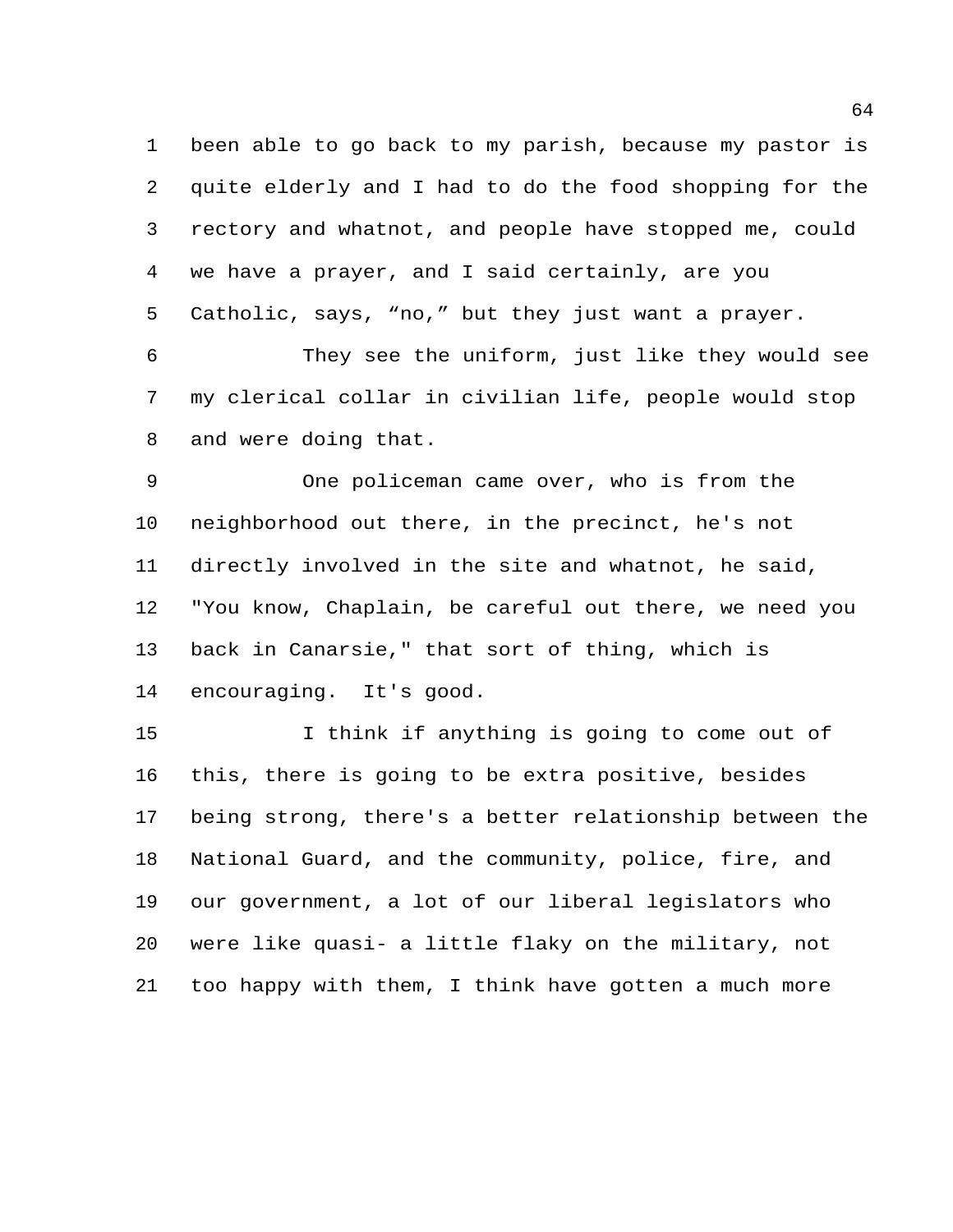been able to go back to my parish, because my pastor is quite elderly and I had to do the food shopping for the rectory and whatnot, and people have stopped me, could we have a prayer, and I said certainly, are you Catholic, says, "no," but they just want a prayer.

 They see the uniform, just like they would see my clerical collar in civilian life, people would stop and were doing that.

 One policeman came over, who is from the neighborhood out there, in the precinct, he's not directly involved in the site and whatnot, he said, "You know, Chaplain, be careful out there, we need you back in Canarsie," that sort of thing, which is encouraging. It's good.

 I think if anything is going to come out of this, there is going to be extra positive, besides being strong, there's a better relationship between the National Guard, and the community, police, fire, and our government, a lot of our liberal legislators who were like quasi- a little flaky on the military, not too happy with them, I think have gotten a much more